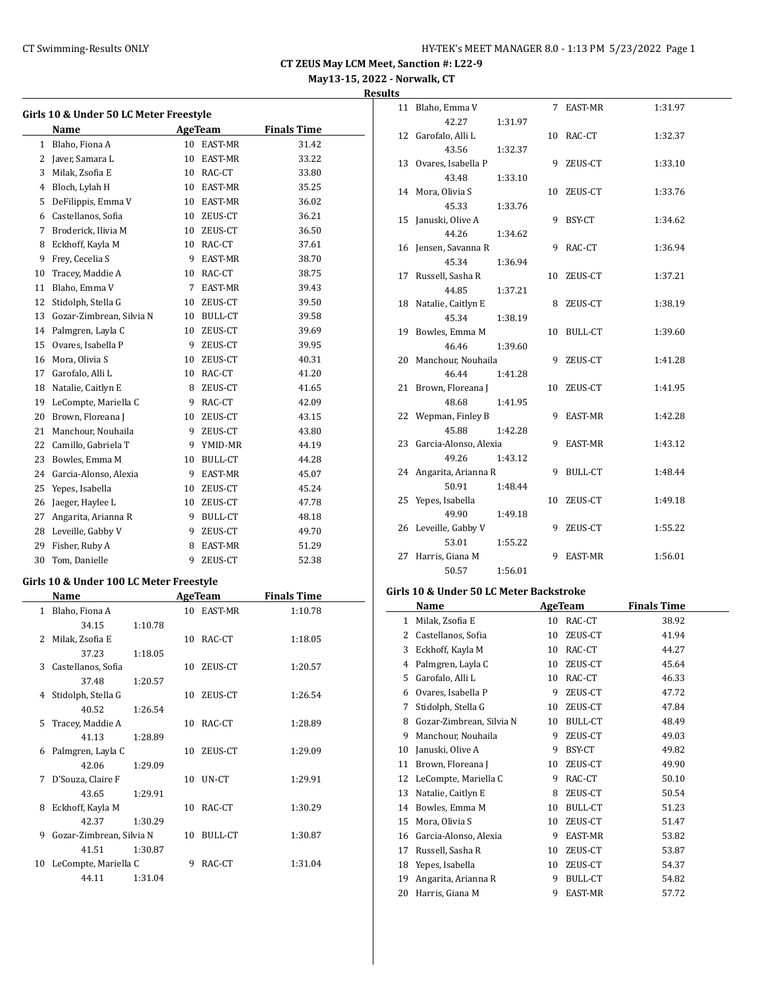**May13-15, 2022 - Norwalk, CT**

#### **Results**

| Girls 10 & Under 50 LC Meter Freestyle |                          |                 |                |                    |  |  |
|----------------------------------------|--------------------------|-----------------|----------------|--------------------|--|--|
|                                        | Name                     |                 | AgeTeam        | <b>Finals Time</b> |  |  |
| 1                                      | Blaho, Fiona A           | 10              | <b>EAST-MR</b> | 31.42              |  |  |
| 2                                      | Javer, Samara L          | 10              | EAST-MR        | 33.22              |  |  |
| 3                                      | Milak, Zsofia E          | 10              | RAC-CT         | 33.80              |  |  |
| 4                                      | Bloch, Lylah H           | 10              | EAST-MR        | 35.25              |  |  |
| 5                                      | DeFilippis, Emma V       | 10              | EAST-MR        | 36.02              |  |  |
| 6                                      | Castellanos, Sofia       |                 | 10 ZEUS-CT     | 36.21              |  |  |
| 7                                      | Broderick, Ilivia M      | 10              | ZEUS-CT        | 36.50              |  |  |
| 8                                      | Eckhoff, Kayla M         | 10              | RAC-CT         | 37.61              |  |  |
| 9                                      | Frey, Cecelia S          | 9               | EAST-MR        | 38.70              |  |  |
| 10                                     | Tracey, Maddie A         | 10              | RAC-CT         | 38.75              |  |  |
| 11                                     | Blaho, Emma V            | 7               | EAST-MR        | 39.43              |  |  |
| 12                                     | Stidolph, Stella G       | 10 <sup>°</sup> | ZEUS-CT        | 39.50              |  |  |
| 13                                     | Gozar-Zimbrean, Silvia N | 10              | BULL-CT        | 39.58              |  |  |
| 14                                     | Palmgren, Layla C        | 10              | ZEUS-CT        | 39.69              |  |  |
| 15                                     | Ovares, Isabella P       | 9               | ZEUS-CT        | 39.95              |  |  |
| 16                                     | Mora, Olivia S           | 10              | ZEUS-CT        | 40.31              |  |  |
| 17                                     | Garofalo, Alli L         | 10              | RAC-CT         | 41.20              |  |  |
| 18                                     | Natalie, Caitlyn E       | 8               | ZEUS-CT        | 41.65              |  |  |
| 19                                     | LeCompte, Mariella C     | 9               | RAC-CT         | 42.09              |  |  |
| 20                                     | Brown, Floreana J        | 10              | ZEUS-CT        | 43.15              |  |  |
| 21                                     | Manchour, Nouhaila       | 9               | ZEUS-CT        | 43.80              |  |  |
| 22                                     | Camillo, Gabriela T      | 9               | YMID-MR        | 44.19              |  |  |
| 23                                     | Bowles, Emma M           | 10              | BULL-CT        | 44.28              |  |  |
| 24                                     | Garcia-Alonso, Alexia    | 9               | EAST-MR        | 45.07              |  |  |
| 25                                     | Yepes, Isabella          | 10              | ZEUS-CT        | 45.24              |  |  |
| 26                                     | Jaeger, Haylee L         | 10              | ZEUS-CT        | 47.78              |  |  |
| 27                                     | Angarita, Arianna R      | 9               | BULL-CT        | 48.18              |  |  |
| 28                                     | Leveille, Gabby V        | 9.              | ZEUS-CT        | 49.70              |  |  |
| 29                                     | Fisher, Ruby A           | 8               | EAST-MR        | 51.29              |  |  |
| 30                                     | Tom, Danielle            | 9               | ZEUS-CT        | 52.38              |  |  |

#### **Girls 10 & Under 100 LC Meter Freestyle**

|    | Name                     |         |    | AgeTeam    | <b>Finals Time</b> |
|----|--------------------------|---------|----|------------|--------------------|
|    | 1 Blaho, Fiona A         |         |    | 10 EAST-MR | 1:10.78            |
|    | 34.15                    | 1:10.78 |    |            |                    |
|    | 2 Milak, Zsofia E        |         |    | 10 RAC-CT  | 1:18.05            |
|    | 37.23                    | 1:18.05 |    |            |                    |
|    | 3 Castellanos, Sofia     |         |    | 10 ZEUS-CT | 1:20.57            |
|    | 37.48                    | 1:20.57 |    |            |                    |
|    | 4 Stidolph, Stella G     |         |    | 10 ZEUS-CT | 1:26.54            |
|    | 40.52                    | 1:26.54 |    |            |                    |
|    | 5 Tracey, Maddie A       |         |    | 10 RAC-CT  | 1:28.89            |
|    | 41.13                    | 1:28.89 |    |            |                    |
| 6  | Palmgren, Layla C        |         |    | 10 ZEUS-CT | 1:29.09            |
|    | 42.06                    | 1:29.09 |    |            |                    |
| 7  | D'Souza, Claire F        |         | 10 | UN-CT      | 1:29.91            |
|    | 43.65                    | 1:29.91 |    |            |                    |
| 8  | Eckhoff, Kayla M         |         |    | 10 RAC-CT  | 1:30.29            |
|    | 42.37                    | 1:30.29 |    |            |                    |
| 9  | Gozar-Zimbrean, Silvia N |         |    | 10 BULL-CT | 1:30.87            |
|    | 41.51                    | 1:30.87 |    |            |                    |
| 10 | LeCompte, Mariella C     |         | 9  | RAC-CT     | 1:31.04            |
|    | 44.11                    | 1:31.04 |    |            |                    |

|    | 11 Blaho, Emma V         |         |    | 7 EAST-MR  | 1:31.97 |
|----|--------------------------|---------|----|------------|---------|
|    | 42.27                    | 1:31.97 |    |            |         |
|    | 12 Garofalo, Alli L      |         |    | 10 RAC-CT  | 1:32.37 |
|    | 43.56                    | 1:32.37 |    |            |         |
|    | 13 Ovares, Isabella P    |         | 9  | ZEUS-CT    | 1:33.10 |
|    | 43.48                    | 1:33.10 |    |            |         |
|    | 14 Mora, Olivia S        |         | 10 | ZEUS-CT    | 1:33.76 |
|    | 45.33                    | 1:33.76 |    |            |         |
|    | 15 Januski, Olive A      |         | 9  | BSY-CT     | 1:34.62 |
|    | 44.26                    | 1:34.62 |    |            |         |
|    | 16 Jensen, Savanna R     |         | 9  | RAC-CT     | 1:36.94 |
|    | 45.34                    | 1:36.94 |    |            |         |
|    | 17 Russell, Sasha R      |         | 10 | ZEUS-CT    | 1:37.21 |
|    | 44.85                    | 1:37.21 |    |            |         |
| 18 | Natalie, Caitlyn E       |         | 8  | ZEUS-CT    | 1:38.19 |
|    | 45.34                    | 1:38.19 |    |            |         |
|    | 19 Bowles, Emma M        |         | 10 | BULL-CT    | 1:39.60 |
|    | 46.46                    | 1:39.60 |    |            |         |
|    | 20 Manchour, Nouhaila    |         |    | 9 ZEUS-CT  | 1:41.28 |
|    | 46.44                    | 1:41.28 |    |            |         |
|    | 21 Brown, Floreana J     |         | 10 | ZEUS-CT    | 1:41.95 |
|    | 48.68                    | 1:41.95 |    |            |         |
|    | 22 Wepman, Finley B      |         | 9  | EAST-MR    | 1:42.28 |
|    | 45.88                    | 1:42.28 |    |            |         |
|    | 23 Garcia-Alonso, Alexia |         | 9  | EAST-MR    | 1:43.12 |
|    | 49.26                    | 1:43.12 |    |            |         |
|    | 24 Angarita, Arianna R   |         | 9  | BULL-CT    | 1:48.44 |
|    | 50.91                    | 1:48.44 |    |            |         |
| 25 | Yepes, Isabella          |         |    | 10 ZEUS-CT | 1:49.18 |
|    | 49.90                    | 1:49.18 |    |            |         |
|    | 26 Leveille, Gabby V     |         | 9  | ZEUS-CT    | 1:55.22 |
|    | 53.01                    | 1:55.22 |    |            |         |
| 27 | Harris, Giana M          |         | 9  | EAST-MR    | 1:56.01 |
|    | 50.57                    | 1:56.01 |    |            |         |

#### **Girls 10 & Under 50 LC Meter Backstroke**

|    | Name                     |    | AgeTeam        | <b>Finals Time</b> |
|----|--------------------------|----|----------------|--------------------|
| 1  | Milak, Zsofia E          | 10 | RAC-CT         | 38.92              |
| 2  | Castellanos, Sofia       | 10 | ZEUS-CT        | 41.94              |
| 3  | Eckhoff, Kayla M         | 10 | RAC-CT         | 44.27              |
| 4  | Palmgren, Layla C        | 10 | ZEUS-CT        | 45.64              |
| 5  | Garofalo, Alli L         | 10 | RAC-CT         | 46.33              |
| 6  | Ovares, Isabella P       | 9  | ZEUS-CT        | 47.72              |
| 7  | Stidolph, Stella G       | 10 | ZEUS-CT        | 47.84              |
| 8  | Gozar-Zimbrean, Silvia N | 10 | <b>BULL-CT</b> | 48.49              |
| 9  | Manchour, Nouhaila       | 9  | ZEUS-CT        | 49.03              |
| 10 | Januski, Olive A         | 9  | BSY-CT         | 49.82              |
| 11 | Brown, Floreana J        | 10 | ZEUS-CT        | 49.90              |
| 12 | LeCompte, Mariella C     | 9  | RAC-CT         | 50.10              |
| 13 | Natalie, Caitlyn E       | 8  | ZEUS-CT        | 50.54              |
| 14 | Bowles, Emma M           | 10 | <b>BULL-CT</b> | 51.23              |
| 15 | Mora, Olivia S           | 10 | ZEUS-CT        | 51.47              |
| 16 | Garcia-Alonso, Alexia    | 9  | EAST-MR        | 53.82              |
| 17 | Russell, Sasha R         | 10 | ZEUS-CT        | 53.87              |
| 18 | Yepes, Isabella          | 10 | ZEUS-CT        | 54.37              |
| 19 | Angarita, Arianna R      | 9  | <b>BULL-CT</b> | 54.82              |
| 20 | Harris, Giana M          | 9  | EAST-MR        | 57.72              |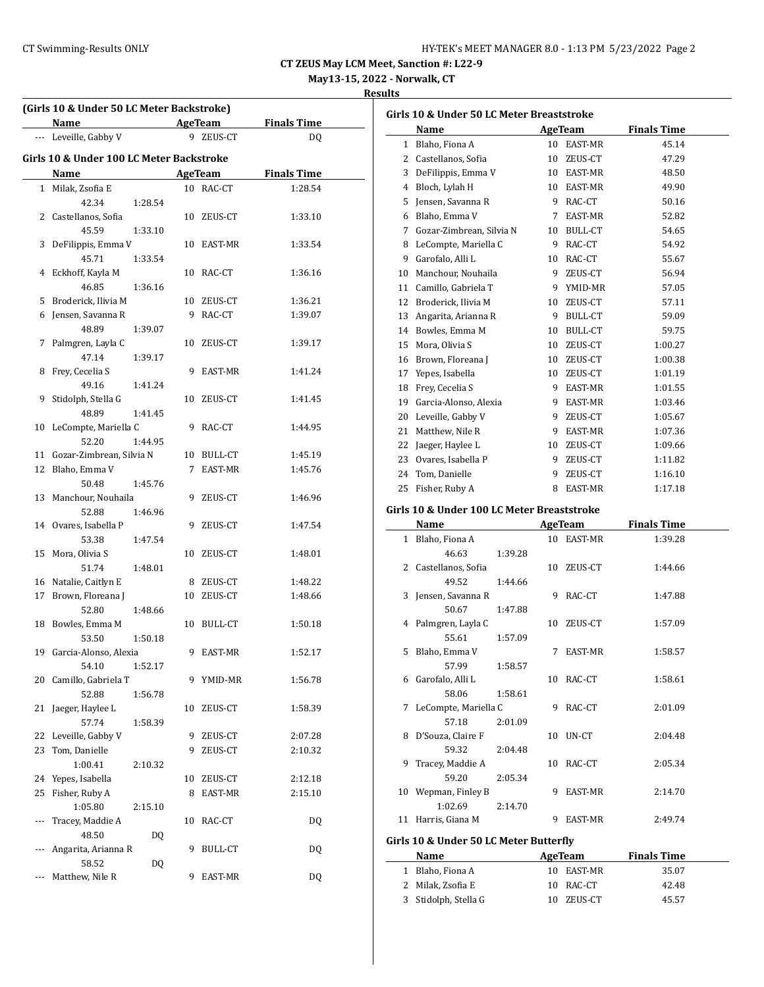| HY-TEK's MEET MANAGER 8.0 - 1:13 PM 5/23/2022 Page 2 |  |  |  |
|------------------------------------------------------|--|--|--|
|------------------------------------------------------|--|--|--|

**May13-15, 2022 - Norwalk, CT**

#### **Results**

|    | Name                                     |    | AgeTeam    | <b>Finals Time</b> |
|----|------------------------------------------|----|------------|--------------------|
|    | --- Leveille, Gabby V                    |    | 9 ZEUS-CT  | DQ                 |
|    | Girls 10 & Under 100 LC Meter Backstroke |    |            |                    |
|    | Name                                     |    | AgeTeam    | <b>Finals Time</b> |
|    | 1 Milak, Zsofia E                        |    | 10 RAC-CT  | 1:28.54            |
|    | 42.34<br>1:28.54                         |    |            |                    |
|    | 2 Castellanos, Sofia                     |    | 10 ZEUS-CT | 1:33.10            |
|    | 45.59<br>1:33.10                         |    |            |                    |
| 3  | DeFilippis, Emma V                       |    | 10 EAST-MR | 1:33.54            |
|    | 45.71<br>1:33.54                         |    |            |                    |
|    | 4 Eckhoff, Kayla M                       |    | 10 RAC-CT  | 1:36.16            |
|    | 46.85<br>1:36.16                         |    |            |                    |
|    | 5 Broderick, Ilivia M                    |    | 10 ZEUS-CT | 1:36.21            |
|    | 6 Jensen, Savanna R                      |    | 9 RAC-CT   | 1:39.07            |
|    | 48.89<br>1:39.07                         |    |            |                    |
| 7  | Palmgren, Layla C                        |    | 10 ZEUS-CT | 1:39.17            |
|    | 47.14<br>1:39.17                         |    |            |                    |
| 8  | Frey, Cecelia S                          | 9  | EAST-MR    | 1:41.24            |
|    | 49.16<br>1:41.24                         |    |            |                    |
| 9  | Stidolph, Stella G                       |    | 10 ZEUS-CT | 1:41.45            |
|    | 48.89<br>1:41.45                         |    |            |                    |
|    | 10 LeCompte, Mariella C                  |    | 9 RAC-CT   | 1:44.95            |
|    | 52.20<br>1:44.95                         |    |            |                    |
|    | 11 Gozar-Zimbrean, Silvia N              |    | 10 BULL-CT | 1:45.19            |
|    | 12 Blaho, Emma V                         |    | 7 EAST-MR  | 1:45.76            |
|    | 50.48<br>1:45.76                         |    |            |                    |
|    | 13 Manchour, Nouhaila                    |    |            |                    |
|    | 52.88                                    |    | 9 ZEUS-CT  | 1:46.96            |
|    | 1:46.96                                  | 9  | ZEUS-CT    |                    |
|    | 14 Ovares, Isabella P                    |    |            | 1:47.54            |
|    | 53.38<br>1:47.54                         |    |            |                    |
|    | 15 Mora, Olivia S                        |    | 10 ZEUS-CT | 1:48.01            |
|    | 51.74<br>1:48.01                         |    |            |                    |
|    | 16 Natalie, Caitlyn E                    |    | 8 ZEUS-CT  | 1:48.22            |
| 17 | Brown, Floreana J                        |    | 10 ZEUS-CT | 1:48.66            |
|    | 52.80<br>1:48.66                         |    |            |                    |
|    | 18 Bowles, Emma M                        |    | 10 BULL-CT | 1:50.18            |
|    | 53.50<br>1:50.18                         |    |            |                    |
|    | 19 Garcia-Alonso, Alexia                 |    | 9 EAST-MR  | 1:52.17            |
|    | 54.10<br>1:52.17                         |    |            |                    |
|    | 20 Camillo, Gabriela T                   | 9  | YMID-MR    | 1:56.78            |
|    | 52.88<br>1:56.78                         |    |            |                    |
|    | 21 Jaeger, Haylee L                      | 10 | ZEUS-CT    | 1:58.39            |
|    | 57.74<br>1:58.39                         |    |            |                    |
| 22 | Leveille, Gabby V                        | 9  | ZEUS-CT    | 2:07.28            |
| 23 | Tom, Danielle                            | 9  | ZEUS-CT    | 2:10.32            |
|    | 1:00.41<br>2:10.32                       |    |            |                    |
| 24 | Yepes, Isabella                          | 10 | ZEUS-CT    | 2:12.18            |
| 25 | Fisher, Ruby A                           | 8  | EAST-MR    | 2:15.10            |
|    | 1:05.80<br>2:15.10                       |    |            |                    |
|    | Tracey, Maddie A                         | 10 | RAC-CT     | DQ                 |
|    | 48.50<br>DQ                              |    |            |                    |
|    | Angarita, Arianna R                      | 9  | BULL-CT    | DQ                 |
|    | 58.52<br>DQ                              |    |            |                    |
|    | Matthew, Nile R                          | 9  | EAST-MR    | DQ                 |
|    |                                          |    |            |                    |

|       | Girls 10 & Under 50 LC Meter Breaststroke  |    |                |                    |  |  |  |
|-------|--------------------------------------------|----|----------------|--------------------|--|--|--|
|       | Name                                       |    | AgeTeam        | <b>Finals Time</b> |  |  |  |
| $1\,$ | Blaho, Fiona A                             | 10 | EAST-MR        | 45.14              |  |  |  |
| 2     | Castellanos, Sofia                         |    | 10 ZEUS-CT     | 47.29              |  |  |  |
| 3     | DeFilippis, Emma V                         |    | 10 EAST-MR     | 48.50              |  |  |  |
| 4     | Bloch, Lylah H                             |    | 10 EAST-MR     | 49.90              |  |  |  |
| 5     | Jensen, Savanna R                          |    | 9 RAC-CT       | 50.16              |  |  |  |
|       | 6 Blaho, Emma V                            |    | 7 EAST-MR      | 52.82              |  |  |  |
|       | 7 Gozar-Zimbrean, Silvia N                 |    | 10 BULL-CT     | 54.65              |  |  |  |
| 8     | LeCompte, Mariella C                       |    | 9 RAC-CT       | 54.92              |  |  |  |
| 9     | Garofalo, Alli L                           |    | 10 RAC-CT      | 55.67              |  |  |  |
| 10    | Manchour, Nouhaila                         |    | 9 ZEUS-CT      | 56.94              |  |  |  |
| 11    | Camillo, Gabriela T                        |    | 9 YMID-MR      | 57.05              |  |  |  |
|       | 12 Broderick, Ilivia M                     |    | 10 ZEUS-CT     | 57.11              |  |  |  |
| 13    | Angarita, Arianna R                        |    | 9 BULL-CT      | 59.09              |  |  |  |
|       | 14 Bowles, Emma M                          |    | 10 BULL-CT     | 59.75              |  |  |  |
| 15    | Mora, Olivia S                             |    |                |                    |  |  |  |
|       |                                            |    | 10 ZEUS-CT     | 1:00.27            |  |  |  |
|       | 16 Brown, Floreana J                       |    | 10 ZEUS-CT     | 1:00.38            |  |  |  |
|       | 17 Yepes, Isabella                         |    | 10 ZEUS-CT     | 1:01.19            |  |  |  |
|       | 18 Frey, Cecelia S                         |    | 9 EAST-MR      | 1:01.55            |  |  |  |
| 19    | Garcia-Alonso, Alexia                      |    | 9 EAST-MR      | 1:03.46            |  |  |  |
| 20    | Leveille, Gabby V                          |    | 9 ZEUS-CT      | 1:05.67            |  |  |  |
| 21    | Matthew, Nile R                            |    | 9 EAST-MR      | 1:07.36            |  |  |  |
| 22    | Jaeger, Haylee L                           |    | 10 ZEUS-CT     | 1:09.66            |  |  |  |
| 23    | Ovares, Isabella P                         |    | 9 ZEUS-CT      | 1:11.82            |  |  |  |
| 24    | Tom, Danielle                              | 9  | ZEUS-CT        | 1:16.10            |  |  |  |
| 25    | Fisher, Ruby A                             |    | 8 EAST-MR      | 1:17.18            |  |  |  |
|       | Girls 10 & Under 100 LC Meter Breaststroke |    |                |                    |  |  |  |
|       | Name                                       |    | <b>AgeTeam</b> | <b>Finals Time</b> |  |  |  |
|       | 1 Blaho, Fiona A                           | 10 | EAST-MR        | 1:39.28            |  |  |  |
|       | 46.63<br>1:39.28                           |    |                |                    |  |  |  |
|       | 2 Castellanos, Sofia                       | 10 | ZEUS-CT        | 1:44.66            |  |  |  |
|       | 49.52<br>1:44.66                           |    |                |                    |  |  |  |
| 3     | Jensen, Savanna R                          | 9  | RAC-CT         | 1:47.88            |  |  |  |
|       | 50.67<br>1:47.88                           |    |                |                    |  |  |  |
|       | 4 Palmgren, Layla C                        | 10 | ZEUS-CT        | 1:57.09            |  |  |  |
|       | 55.61<br>1:57.09                           |    |                |                    |  |  |  |
| 5     | Blaho, Emma V                              | 7  | EAST-MR        | 1:58.57            |  |  |  |
|       | 57.99<br>1:58.57                           |    |                |                    |  |  |  |
|       | 6 Garofalo, Alli L                         |    | 10 RAC-CT      | 1:58.61            |  |  |  |
|       | 58.06<br>1:58.61                           |    |                |                    |  |  |  |
| 7     | LeCompte, Mariella C                       | 9  | RAC-CT         | 2:01.09            |  |  |  |
|       | 57.18<br>2:01.09                           |    |                |                    |  |  |  |
| 8     | D'Souza, Claire F                          | 10 | UN-CT          | 2:04.48            |  |  |  |
|       | 59.32                                      |    |                |                    |  |  |  |
| 9     | 2:04.48<br>Tracey, Maddie A                | 10 |                |                    |  |  |  |
|       | 59.20                                      |    | RAC-CT         | 2:05.34            |  |  |  |
|       | 2:05.34                                    |    |                |                    |  |  |  |
| 10    | Wepman, Finley B                           | 9  | EAST-MR        | 2:14.70            |  |  |  |
|       | 1:02.69<br>2:14.70                         |    |                |                    |  |  |  |
| 11    | Harris, Giana M                            | 9  | EAST-MR        | 2:49.74            |  |  |  |
|       | Girls 10 & Under 50 LC Meter Butterfly     |    |                |                    |  |  |  |
|       | Name                                       |    | AgeTeam        | <b>Finals Time</b> |  |  |  |
| 1     | Blaho, Fiona A                             |    | 10 EAST-MR     | 35.07              |  |  |  |

2 Milak, Zsofia E 10 RAC-CT 42.48 3 Stidolph, Stella G 10 ZEUS-CT 45.57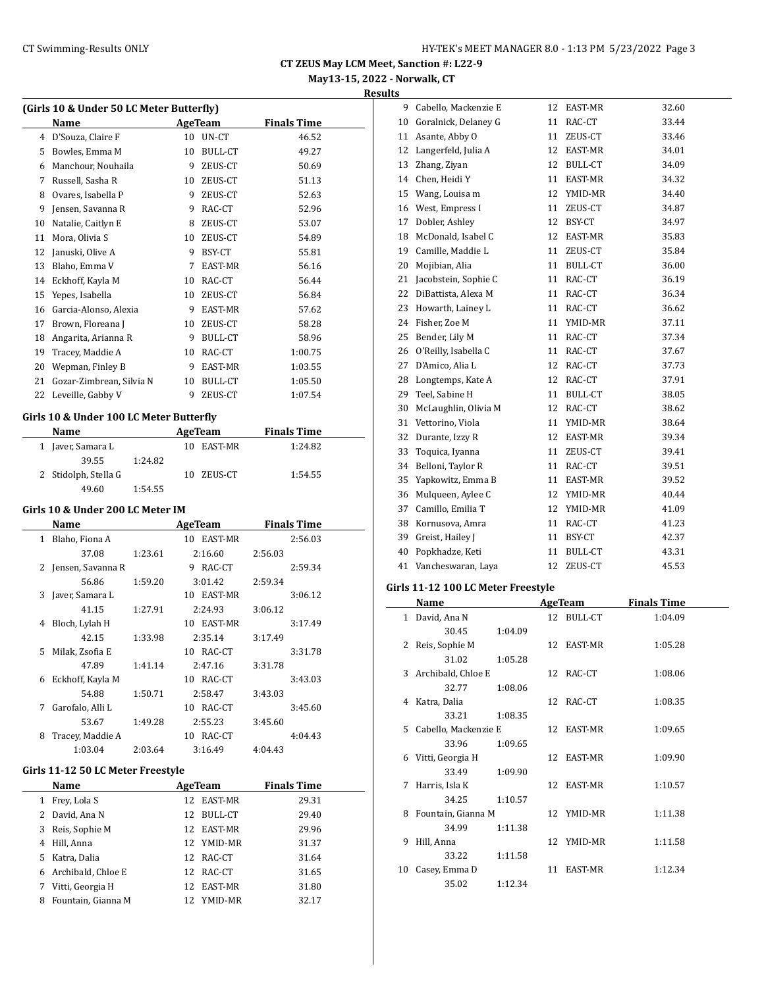## **May13-15, 2022 - Norwalk, CT Results**

|    | Name                     |    | AgeTeam | <b>Finals Time</b> |  |
|----|--------------------------|----|---------|--------------------|--|
| 4  | D'Souza, Claire F        | 10 | UN-CT   | 46.52              |  |
| 5  | Bowles, Emma M           | 10 | BULL-CT | 49.27              |  |
| 6  | Manchour, Nouhaila       | 9  | ZEUS-CT | 50.69              |  |
| 7  | Russell, Sasha R         | 10 | ZEUS-CT | 51.13              |  |
| 8  | Ovares, Isabella P       | 9  | ZEUS-CT | 52.63              |  |
| 9  | Jensen, Savanna R        | 9  | RAC-CT  | 52.96              |  |
| 10 | Natalie, Caitlyn E       | 8  | ZEUS-CT | 53.07              |  |
| 11 | Mora, Olivia S           | 10 | ZEUS-CT | 54.89              |  |
| 12 | Januski, Olive A         | 9  | BSY-CT  | 55.81              |  |
| 13 | Blaho, Emma V            | 7  | EAST-MR | 56.16              |  |
| 14 | Eckhoff, Kayla M         | 10 | RAC-CT  | 56.44              |  |
| 15 | Yepes, Isabella          | 10 | ZEUS-CT | 56.84              |  |
| 16 | Garcia-Alonso, Alexia    | 9  | EAST-MR | 57.62              |  |
| 17 | Brown, Floreana J        | 10 | ZEUS-CT | 58.28              |  |
| 18 | Angarita, Arianna R      | 9  | BULL-CT | 58.96              |  |
| 19 | Tracey, Maddie A         | 10 | RAC-CT  | 1:00.75            |  |
| 20 | Wepman, Finley B         | 9  | EAST-MR | 1:03.55            |  |
| 21 | Gozar-Zimbrean, Silvia N | 10 | BULL-CT | 1:05.50            |  |
| 22 | Leveille, Gabby V        | 9  | ZEUS-CT | 1:07.54            |  |
|    |                          |    |         |                    |  |

## **Girls 10 & Under 100 LC Meter Butterfly**

| Name                 |         | AgeTeam       | <b>Finals Time</b> |  |
|----------------------|---------|---------------|--------------------|--|
| 1 Javer, Samara L    |         | EAST-MR<br>10 | 1:24.82            |  |
| 39.55                | 1:24.82 |               |                    |  |
| 2 Stidolph, Stella G |         | 10 ZEUS-CT    | 1:54.55            |  |
| 49.60                | 1:54.55 |               |                    |  |

#### **Girls 10 & Under 200 LC Meter IM**

|              | Name                |         | AgeTeam      | <b>Finals Time</b> |
|--------------|---------------------|---------|--------------|--------------------|
| $\mathbf{1}$ | Blaho, Fiona A      |         | 10 EAST-MR   | 2:56.03            |
|              | 37.08               | 1:23.61 | 2:16.60      | 2:56.03            |
|              | 2 Jensen, Savanna R |         | RAC-CT<br>9  | 2:59.34            |
|              | 56.86               | 1:59.20 | 3:01.42      | 2:59.34            |
| 3            | Javer, Samara L     |         | 10 EAST-MR   | 3:06.12            |
|              | 41.15               | 1:27.91 | 2:24.93      | 3:06.12            |
| 4            | Bloch, Lylah H      |         | 10 EAST-MR   | 3:17.49            |
|              | 42.15               | 1:33.98 | 2:35.14      | 3:17.49            |
| 5.           | Milak, Zsofia E     |         | 10 RAC-CT    | 3:31.78            |
|              | 47.89               | 1:41.14 | 2:47.16      | 3:31.78            |
| 6            | Eckhoff, Kayla M    |         | 10 RAC-CT    | 3:43.03            |
|              | 54.88               | 1:50.71 | 2:58.47      | 3:43.03            |
| 7            | Garofalo, Alli L    |         | 10 RAC-CT    | 3:45.60            |
|              | 53.67               | 1:49.28 | 2:55.23      | 3:45.60            |
| 8            | Tracey, Maddie A    |         | RAC-CT<br>10 | 4:04.43            |
|              | 1:03.04             | 2:03.64 | 3:16.49      | 4:04.43            |

#### **Girls 11-12 50 LC Meter Freestyle**

|   | Name                 |    | AgeTeam    | <b>Finals Time</b> |  |
|---|----------------------|----|------------|--------------------|--|
| 1 | Frey, Lola S         | 12 | EAST-MR    | 29.31              |  |
| 2 | David, Ana N         | 12 | BULL-CT    | 29.40              |  |
| 3 | Reis, Sophie M       | 12 | EAST-MR    | 29.96              |  |
| 4 | Hill, Anna           |    | 12 YMID-MR | 31.37              |  |
|   | 5 Katra, Dalia       |    | 12 RAC-CT  | 31.64              |  |
|   | 6 Archibald, Chloe E | 12 | RAC-CT     | 31.65              |  |
| 7 | Vitti, Georgia H     | 12 | EAST-MR    | 31.80              |  |
| 8 | Fountain, Gianna M   | 12 | YMID-MR    | 32.17              |  |

| 9  | Cabello, Mackenzie E | 12 | EAST-MR        | 32.60 |
|----|----------------------|----|----------------|-------|
| 10 | Goralnick, Delaney G | 11 | RAC-CT         | 33.44 |
| 11 | Asante, Abby O       | 11 | ZEUS-CT        | 33.46 |
| 12 | Langerfeld, Julia A  | 12 | EAST-MR        | 34.01 |
| 13 | Zhang, Ziyan         | 12 | BULL-CT        | 34.09 |
| 14 | Chen, Heidi Y        | 11 | EAST-MR        | 34.32 |
| 15 | Wang, Louisa m       | 12 | YMID-MR        | 34.40 |
| 16 | West, Empress I      | 11 | ZEUS-CT        | 34.87 |
| 17 | Dobler, Ashley       | 12 | BSY-CT         | 34.97 |
| 18 | McDonald, Isabel C   | 12 | EAST-MR        | 35.83 |
| 19 | Camille, Maddie L    | 11 | ZEUS-CT        | 35.84 |
| 20 | Mojibian, Alia       | 11 | BULL-CT        | 36.00 |
| 21 | Jacobstein, Sophie C | 11 | RAC-CT         | 36.19 |
| 22 | DiBattista, Alexa M  | 11 | RAC-CT         | 36.34 |
| 23 | Howarth, Lainey L    | 11 | RAC-CT         | 36.62 |
| 24 | Fisher, Zoe M        | 11 | YMID-MR        | 37.11 |
| 25 | Bender, Lily M       | 11 | RAC-CT         | 37.34 |
| 26 | O'Reilly, Isabella C | 11 | RAC-CT         | 37.67 |
| 27 | D'Amico, Alia L      | 12 | RAC-CT         | 37.73 |
| 28 | Longtemps, Kate A    | 12 | RAC-CT         | 37.91 |
| 29 | Teel, Sabine H       | 11 | <b>BULL-CT</b> | 38.05 |
| 30 | McLaughlin, Olivia M | 12 | RAC-CT         | 38.62 |
| 31 | Vettorino, Viola     | 11 | YMID-MR        | 38.64 |
| 32 | Durante, Izzy R      | 12 | EAST-MR        | 39.34 |
| 33 | Toquica, Iyanna      | 11 | ZEUS-CT        | 39.41 |
| 34 | Belloni, Taylor R    | 11 | RAC-CT         | 39.51 |
| 35 | Yapkowitz, Emma B    | 11 | EAST-MR        | 39.52 |
| 36 | Mulqueen, Aylee C    | 12 | YMID-MR        | 40.44 |
| 37 | Camillo, Emilia T    | 12 | YMID-MR        | 41.09 |
| 38 | Kornusova, Amra      | 11 | RAC-CT         | 41.23 |
| 39 | Greist, Hailey J     | 11 | BSY-CT         | 42.37 |
| 40 | Popkhadze, Keti      | 11 | BULL-CT        | 43.31 |
| 41 | Vancheswaran, Laya   | 12 | ZEUS-CT        | 45.53 |

#### **Girls 11-12 100 LC Meter Freestyle**

|    | Name                   |         |    | <b>AgeTeam</b> | <b>Finals Time</b> |
|----|------------------------|---------|----|----------------|--------------------|
|    | 1 David, Ana N         |         |    | 12 BULL-CT     | 1:04.09            |
|    | 30.45                  | 1:04.09 |    |                |                    |
| 2  | Reis, Sophie M         |         |    | 12 EAST-MR     | 1:05.28            |
|    | 31.02                  | 1:05.28 |    |                |                    |
|    | 3 Archibald, Chloe E   |         |    | 12 RAC-CT      | 1:08.06            |
|    | 32.77                  | 1:08.06 |    |                |                    |
|    | 4 Katra, Dalia         |         |    | 12 RAC-CT      | 1:08.35            |
|    | 33.21                  | 1:08.35 |    |                |                    |
|    | 5 Cabello, Mackenzie E |         |    | 12 EAST-MR     | 1:09.65            |
|    | 33.96                  | 1:09.65 |    |                |                    |
| 6  | Vitti, Georgia H       |         |    | 12 EAST-MR     | 1:09.90            |
|    | 33.49                  | 1:09.90 |    |                |                    |
| 7  | Harris, Isla K         |         |    | 12 EAST-MR     | 1:10.57            |
|    | 34.25                  | 1:10.57 |    |                |                    |
| 8  | Fountain, Gianna M     |         |    | 12 YMID-MR     | 1:11.38            |
|    | 34.99                  | 1:11.38 |    |                |                    |
| 9  | Hill, Anna             |         |    | 12 YMID-MR     | 1:11.58            |
|    | 33.22                  | 1:11.58 |    |                |                    |
| 10 | Casey, Emma D          |         | 11 | EAST-MR        | 1:12.34            |
|    | 35.02                  | 1:12.34 |    |                |                    |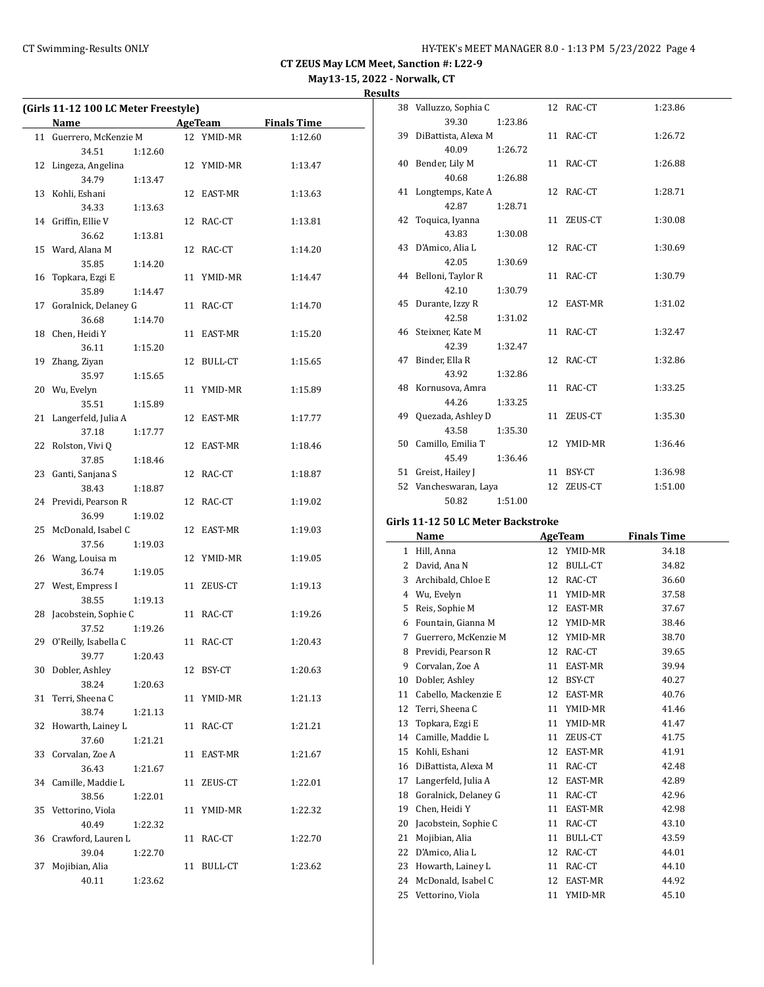**May13-15, 2022 - Norwalk, CT**

**Results**

| (Girls 11-12 100 LC Meter Freestyle) |                             |         |    |                          |                    |  |
|--------------------------------------|-----------------------------|---------|----|--------------------------|--------------------|--|
|                                      | Name                        |         |    | AgeTeam                  | <b>Finals Time</b> |  |
| 11                                   | Guerrero, McKenzie M        |         |    | 12 YMID-MR               | 1:12.60            |  |
|                                      | 34.51                       | 1:12.60 |    |                          |                    |  |
| 12                                   | Lingeza, Angelina           |         |    | 12 YMID-MR               | 1:13.47            |  |
|                                      | 34.79                       | 1:13.47 |    |                          |                    |  |
| 13                                   | Kohli, Eshani               |         | 12 | EAST-MR                  | 1:13.63            |  |
|                                      | 34.33                       | 1:13.63 |    |                          |                    |  |
| 14                                   | Griffin, Ellie V            |         | 12 | RAC-CT                   | 1:13.81            |  |
|                                      | 36.62                       | 1:13.81 |    |                          |                    |  |
|                                      | 15 Ward, Alana M            |         | 12 | RAC-CT                   | 1:14.20            |  |
|                                      | 35.85                       | 1:14.20 |    |                          |                    |  |
| 16                                   | Topkara, Ezgi E             |         |    | 11 YMID-MR               | 1:14.47            |  |
|                                      | 35.89                       | 1:14.47 |    |                          |                    |  |
| 17                                   | Goralnick, Delaney G        |         |    | 11 RAC-CT                | 1:14.70            |  |
|                                      | 36.68                       | 1:14.70 |    |                          |                    |  |
| 18                                   | Chen, Heidi Y               |         |    | 11 EAST-MR               | 1:15.20            |  |
|                                      | 36.11                       | 1:15.20 |    |                          |                    |  |
| 19                                   | Zhang, Ziyan                |         | 12 | BULL-CT                  | 1:15.65            |  |
|                                      | 35.97                       | 1:15.65 |    |                          |                    |  |
| 20                                   | Wu, Evelyn                  |         | 11 |                          |                    |  |
|                                      |                             |         |    | YMID-MR                  | 1:15.89            |  |
|                                      | 35.51                       | 1:15.89 |    |                          |                    |  |
| 21                                   | Langerfeld, Julia A         |         | 12 | EAST-MR                  | 1:17.77            |  |
|                                      | 37.18                       | 1:17.77 |    |                          |                    |  |
| 22                                   | Rolston, Vivi Q             |         | 12 | EAST-MR                  | 1:18.46            |  |
|                                      | 37.85                       | 1:18.46 |    |                          |                    |  |
| 23                                   | Ganti, Sanjana S            |         | 12 | RAC-CT                   | 1:18.87            |  |
|                                      | 38.43                       | 1:18.87 |    |                          |                    |  |
| 24                                   | Previdi, Pearson R          |         | 12 | RAC-CT                   | 1:19.02            |  |
| 25                                   | 36.99<br>McDonald, Isabel C | 1:19.02 | 12 |                          |                    |  |
|                                      | 37.56                       | 1:19.03 |    | EAST-MR                  | 1:19.03            |  |
| 26                                   | Wang, Louisa m              |         |    | 12 YMID-MR               | 1:19.05            |  |
|                                      | 36.74                       | 1:19.05 |    |                          |                    |  |
| 27                                   | West, Empress I             |         | 11 | ZEUS-CT                  | 1:19.13            |  |
|                                      | 38.55                       | 1:19.13 |    |                          |                    |  |
| 28                                   | Jacobstein, Sophie C        |         |    | 11 RAC-CT                | 1:19.26            |  |
|                                      | 37.52                       | 1:19.26 |    |                          |                    |  |
| 29                                   | O'Reilly, Isabella C        |         |    | 11 RAC-CT                | 1:20.43            |  |
|                                      | 39.77                       | 1:20.43 |    |                          |                    |  |
| 30                                   | Dobler, Ashley              |         |    | 12 BSY-CT                | 1:20.63            |  |
|                                      | 38.24                       | 1:20.63 |    |                          |                    |  |
| 31                                   | Terri, Sheena C             |         | 11 | YMID-MR                  | 1:21.13            |  |
|                                      | 38.74                       | 1:21.13 |    |                          |                    |  |
| 32                                   | Howarth, Lainey L           |         | 11 | RAC-CT                   | 1:21.21            |  |
|                                      | 37.60                       | 1:21.21 |    |                          |                    |  |
| 33                                   | Corvalan, Zoe A             |         | 11 | EAST-MR                  | 1:21.67            |  |
|                                      | 36.43                       | 1:21.67 |    |                          |                    |  |
| 34                                   | Camille, Maddie L           |         | 11 | ZEUS-CT                  | 1:22.01            |  |
|                                      | 38.56                       | 1:22.01 |    |                          |                    |  |
| 35                                   | Vettorino, Viola            |         | 11 | YMID-MR                  | 1:22.32            |  |
|                                      | 40.49                       | 1:22.32 |    |                          |                    |  |
| 36                                   | Crawford, Lauren L          |         |    | 11 RAC-CT                | 1:22.70            |  |
|                                      | 39.04                       | 1:22.70 |    |                          |                    |  |
| 37                                   | Mojibian, Alia              |         | 11 | $\operatorname{BULL-CT}$ | 1:23.62            |  |
|                                      | 40.11                       | 1:23.62 |    |                          |                    |  |
|                                      |                             |         |    |                          |                    |  |

| 38 Valluzzo, Sophia C  |         |    | 12 RAC-CT  | 1:23.86 |
|------------------------|---------|----|------------|---------|
| 39.30                  | 1:23.86 |    |            |         |
| 39 DiBattista, Alexa M |         |    | 11 RAC-CT  | 1:26.72 |
| 40.09                  | 1:26.72 |    |            |         |
| 40 Bender, Lily M      |         |    | 11 RAC-CT  | 1:26.88 |
| 40.68                  | 1:26.88 |    |            |         |
| 41 Longtemps, Kate A   |         |    | 12 RAC-CT  | 1:28.71 |
| 42.87                  | 1:28.71 |    |            |         |
| 42 Toquica, Iyanna     |         |    | 11 ZEUS-CT | 1:30.08 |
| 43.83                  | 1:30.08 |    |            |         |
| 43 D'Amico, Alia L     |         |    | 12 RAC-CT  | 1:30.69 |
| 42.05                  | 1:30.69 |    |            |         |
| 44 Belloni, Taylor R   |         |    | 11 RAC-CT  | 1:30.79 |
| 42.10                  | 1:30.79 |    |            |         |
| 45 Durante, Izzy R     |         |    | 12 EAST-MR | 1:31.02 |
| 42.58                  | 1:31.02 |    |            |         |
| 46 Steixner, Kate M    |         |    | 11 RAC-CT  | 1:32.47 |
| 42.39                  | 1:32.47 |    |            |         |
| 47 Binder, Ella R      |         |    | 12 RAC-CT  | 1:32.86 |
| 43.92                  | 1:32.86 |    |            |         |
| 48 Kornusova, Amra     |         |    | 11 RAC-CT  | 1:33.25 |
| 44.26                  | 1:33.25 |    |            |         |
| 49 Quezada, Ashley D   |         | 11 | ZEUS-CT    | 1:35.30 |
| 43.58                  | 1:35.30 |    |            |         |
| 50 Camillo, Emilia T   |         |    | 12 YMID-MR | 1:36.46 |
| 45.49                  | 1:36.46 |    |            |         |
| 51 Greist, Hailey J    |         | 11 | BSY-CT     | 1:36.98 |
| 52 Vancheswaran, Laya  |         | 12 | ZEUS-CT    | 1:51.00 |
| 50.82                  | 1:51.00 |    |            |         |

### **Girls 11-12 50 LC Meter Backstroke**

|    | Name                 |    | <b>AgeTeam</b> | <b>Finals Time</b> |
|----|----------------------|----|----------------|--------------------|
| 1  | Hill, Anna           | 12 | YMID-MR        | 34.18              |
| 2  | David, Ana N         | 12 | <b>BULL-CT</b> | 34.82              |
| 3  | Archibald, Chloe E   | 12 | RAC-CT         | 36.60              |
| 4  | Wu, Evelyn           | 11 | YMID-MR        | 37.58              |
| 5  | Reis, Sophie M       | 12 | EAST-MR        | 37.67              |
| 6  | Fountain, Gianna M   | 12 | YMID-MR        | 38.46              |
| 7  | Guerrero, McKenzie M | 12 | YMID-MR        | 38.70              |
| 8  | Previdi, Pearson R   | 12 | RAC-CT         | 39.65              |
| 9  | Corvalan, Zoe A      | 11 | EAST-MR        | 39.94              |
| 10 | Dobler, Ashley       | 12 | BSY-CT         | 40.27              |
| 11 | Cabello, Mackenzie E | 12 | EAST-MR        | 40.76              |
| 12 | Terri, Sheena C      | 11 | YMID-MR        | 41.46              |
| 13 | Topkara, Ezgi E      | 11 | YMID-MR        | 41.47              |
| 14 | Camille, Maddie L    | 11 | ZEUS-CT        | 41.75              |
| 15 | Kohli, Eshani        | 12 | EAST-MR        | 41.91              |
| 16 | DiBattista, Alexa M  | 11 | RAC-CT         | 42.48              |
| 17 | Langerfeld, Julia A  | 12 | EAST-MR        | 42.89              |
| 18 | Goralnick, Delaney G | 11 | RAC-CT         | 42.96              |
| 19 | Chen, Heidi Y        | 11 | EAST-MR        | 42.98              |
| 20 | Jacobstein, Sophie C | 11 | RAC-CT         | 43.10              |
| 21 | Mojibian, Alia       | 11 | BULL-CT        | 43.59              |
| 22 | D'Amico, Alia L      | 12 | RAC-CT         | 44.01              |
| 23 | Howarth, Lainey L    | 11 | RAC-CT         | 44.10              |
| 24 | McDonald, Isabel C   | 12 | EAST-MR        | 44.92              |
| 25 | Vettorino, Viola     | 11 | YMID-MR        | 45.10              |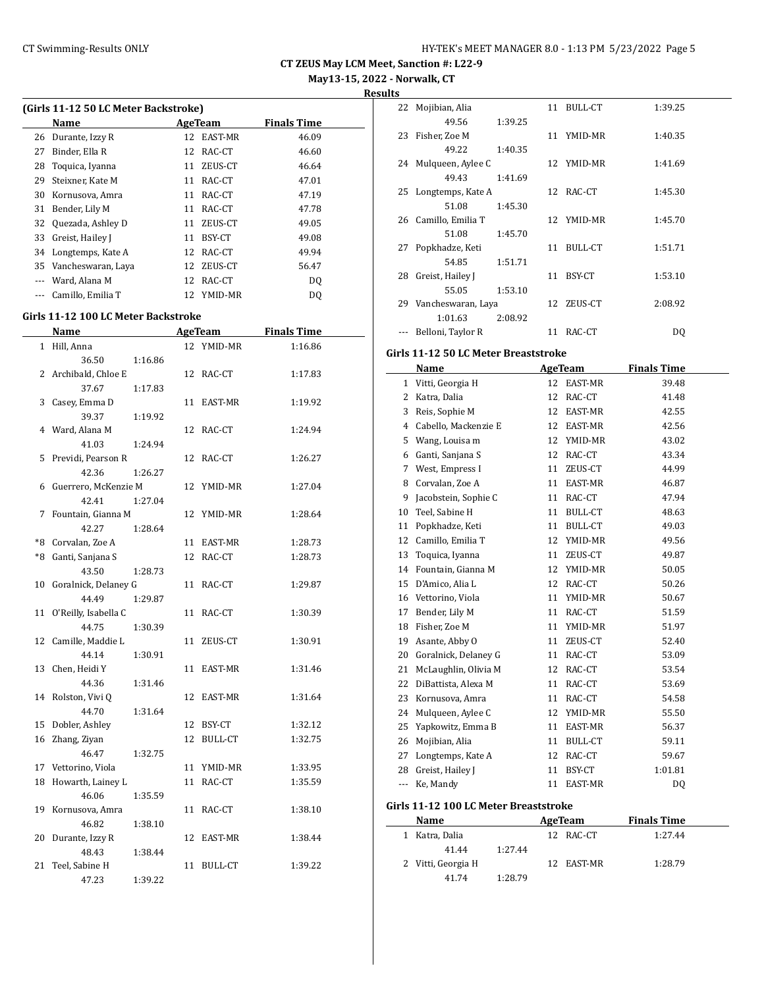**May13-15, 2022 - Norwalk, CT**

**Results**

|    | (Girls 11-12 50 LC Meter Backstroke) |    |         |                    |  |  |  |  |
|----|--------------------------------------|----|---------|--------------------|--|--|--|--|
|    | Name                                 |    | AgeTeam | <b>Finals Time</b> |  |  |  |  |
| 26 | Durante, Izzy R                      | 12 | EAST-MR | 46.09              |  |  |  |  |
| 27 | Binder, Ella R                       | 12 | RAC-CT  | 46.60              |  |  |  |  |
| 28 | Toquica, Iyanna                      | 11 | ZEUS-CT | 46.64              |  |  |  |  |
| 29 | Steixner, Kate M                     | 11 | RAC-CT  | 47.01              |  |  |  |  |
| 30 | Kornusova, Amra                      | 11 | RAC-CT  | 47.19              |  |  |  |  |
| 31 | Bender, Lily M                       | 11 | RAC-CT  | 47.78              |  |  |  |  |
| 32 | Quezada, Ashley D                    | 11 | ZEUS-CT | 49.05              |  |  |  |  |
| 33 | Greist, Hailey J                     | 11 | BSY-CT  | 49.08              |  |  |  |  |
| 34 | Longtemps, Kate A                    | 12 | RAC-CT  | 49.94              |  |  |  |  |
| 35 | Vancheswaran, Laya                   | 12 | ZEUS-CT | 56.47              |  |  |  |  |
|    | Ward, Alana M                        | 12 | RAC-CT  | DO.                |  |  |  |  |
|    | Camillo, Emilia T                    | 12 | YMID-MR | DO.                |  |  |  |  |

## **Girls 11-12 100 LC Meter Backstroke**

|              | <b>Name</b>                         |    | <b>AgeTeam</b> | <b>Finals Time</b> |
|--------------|-------------------------------------|----|----------------|--------------------|
| $\mathbf{1}$ | Hill, Anna                          |    | 12 YMID-MR     | 1:16.86            |
|              | 36.50<br>1:16.86                    |    |                |                    |
| 2            | Archibald, Chloe E                  |    | 12 RAC-CT      | 1:17.83            |
|              | 37.67<br>1:17.83                    |    |                |                    |
| 3            | Casey, Emma D                       | 11 | EAST-MR        | 1:19.92            |
|              | 39.37<br>1:19.92                    |    |                |                    |
| 4            | Ward, Alana M                       |    | 12 RAC-CT      | 1:24.94            |
|              | 41.03<br>1:24.94                    |    |                |                    |
| 5            | Previdi, Pearson R                  | 12 | RAC-CT         | 1:26.27            |
|              | 42.36<br>1:26.27                    |    |                |                    |
| 6            | Guerrero, McKenzie M                | 12 | YMID-MR        | 1:27.04            |
|              | 42.41<br>1:27.04                    |    |                |                    |
| 7            | Fountain, Gianna M                  |    | 12 YMID-MR     | 1:28.64            |
|              | 42.27<br>1:28.64                    |    |                |                    |
|              | *8 Corvalan, Zoe A                  |    | 11 EAST-MR     | 1:28.73            |
|              | *8 Ganti, Sanjana S                 |    | 12 RAC-CT      | 1:28.73            |
|              | 43.50<br>1:28.73                    |    |                |                    |
| 10           | Goralnick, Delaney G                | 11 | RAC-CT         | 1:29.87            |
|              | 44.49<br>1:29.87                    |    |                |                    |
| 11           | O'Reilly, Isabella C                | 11 | RAC-CT         | 1:30.39            |
|              | 44.75<br>1:30.39                    |    |                |                    |
|              | 12 Camille, Maddie L                | 11 | ZEUS-CT        | 1:30.91            |
|              | 44.14<br>1:30.91                    |    |                |                    |
| 13           | Chen, Heidi Y                       | 11 | EAST-MR        | 1:31.46            |
|              | 44.36<br>1:31.46                    |    |                |                    |
|              | 14 Rolston, Vivi Q                  | 12 | <b>EAST-MR</b> | 1:31.64            |
|              | 44.70<br>1:31.64                    |    |                |                    |
| 15           | Dobler, Ashley                      |    | 12 BSY-CT      | 1:32.12            |
| 16           | Zhang, Ziyan                        | 12 | <b>BULL-CT</b> | 1:32.75            |
|              | 46.47<br>1:32.75                    |    |                |                    |
|              | 17 Vettorino, Viola                 | 11 | YMID-MR        | 1:33.95            |
| 18           | Howarth, Lainey L                   |    | 11 RAC-CT      | 1:35.59            |
|              | 46.06<br>1:35.59                    |    |                |                    |
| 19           | Kornusova, Amra                     |    | 11 RAC-CT      | 1:38.10            |
| 20           | 46.82<br>1:38.10<br>Durante, Izzy R | 12 |                | 1:38.44            |
|              | 48.43<br>1:38.44                    |    | EAST-MR        |                    |
| 21           | Teel, Sabine H                      | 11 | <b>BULL-CT</b> | 1:39.22            |
|              | 47.23<br>1:39.22                    |    |                |                    |
|              |                                     |    |                |                    |

| 22  | Mojibian, Alia     |         | 11 | BULL-CT        | 1:39.25 |
|-----|--------------------|---------|----|----------------|---------|
|     | 49.56              | 1:39.25 |    |                |         |
| 23  | Fisher, Zoe M      |         |    | 11 YMID-MR     | 1:40.35 |
|     | 49.22              | 1:40.35 |    |                |         |
| 24  | Mulqueen, Aylee C  |         |    | 12 YMID-MR     | 1:41.69 |
|     | 49.43              | 1:41.69 |    |                |         |
| 25  | Longtemps, Kate A  |         |    | 12 RAC-CT      | 1:45.30 |
|     | 51.08              | 1:45.30 |    |                |         |
| 26  | Camillo, Emilia T  |         |    | 12 YMID-MR     | 1:45.70 |
|     | 51.08              | 1:45.70 |    |                |         |
| 27  | Popkhadze, Keti    |         | 11 | <b>BULL-CT</b> | 1:51.71 |
|     | 54.85              | 1:51.71 |    |                |         |
| 28  | Greist, Hailey J   |         | 11 | BSY-CT         | 1:53.10 |
|     | 55.05              | 1:53.10 |    |                |         |
| 29. | Vancheswaran, Laya |         |    | 12 ZEUS-CT     | 2:08.92 |
|     | 1:01.63            | 2:08.92 |    |                |         |
|     | Belloni, Taylor R  |         | 11 | RAC-CT         | DO.     |

#### **Girls 11-12 50 LC Meter Breaststroke**

|     | Name                                  | <b>AgeTeam</b> |                | <b>Finals Time</b> |  |  |  |  |  |
|-----|---------------------------------------|----------------|----------------|--------------------|--|--|--|--|--|
| 1   | Vitti, Georgia H                      | 12             | <b>EAST-MR</b> | 39.48              |  |  |  |  |  |
| 2   | Katra, Dalia                          | 12             | RAC-CT         | 41.48              |  |  |  |  |  |
| 3   | Reis, Sophie M                        | 12             | EAST-MR        | 42.55              |  |  |  |  |  |
| 4   | Cabello, Mackenzie E                  | 12             | EAST-MR        | 42.56              |  |  |  |  |  |
| 5   | Wang, Louisa m                        | 12             | YMID-MR        | 43.02              |  |  |  |  |  |
| 6   | Ganti, Sanjana S                      | 12             | RAC-CT         | 43.34              |  |  |  |  |  |
| 7   | West, Empress I                       | 11             | ZEUS-CT        | 44.99              |  |  |  |  |  |
| 8   | Corvalan, Zoe A                       | 11             | EAST-MR        | 46.87              |  |  |  |  |  |
| 9   | Jacobstein, Sophie C                  | 11             | RAC-CT         | 47.94              |  |  |  |  |  |
| 10  | Teel, Sabine H                        | 11             | <b>BULL-CT</b> | 48.63              |  |  |  |  |  |
| 11  | Popkhadze, Keti                       | 11             | BULL-CT        | 49.03              |  |  |  |  |  |
| 12  | Camillo, Emilia T                     | 12             | YMID-MR        | 49.56              |  |  |  |  |  |
| 13  | Toquica, Iyanna                       | 11             | ZEUS-CT        | 49.87              |  |  |  |  |  |
| 14  | Fountain, Gianna M                    | 12             | YMID-MR        | 50.05              |  |  |  |  |  |
| 15  | D'Amico, Alia L                       | 12             | RAC-CT         | 50.26              |  |  |  |  |  |
| 16  | Vettorino, Viola                      | 11             | YMID-MR        | 50.67              |  |  |  |  |  |
| 17  | Bender, Lily M                        | 11             | RAC-CT         | 51.59              |  |  |  |  |  |
| 18  | Fisher, Zoe M                         | 11             | YMID-MR        | 51.97              |  |  |  |  |  |
| 19  | Asante, Abby O                        | 11             | ZEUS-CT        | 52.40              |  |  |  |  |  |
| 20  | Goralnick, Delaney G                  | 11             | RAC-CT         | 53.09              |  |  |  |  |  |
| 21  | McLaughlin, Olivia M                  | 12             | RAC-CT         | 53.54              |  |  |  |  |  |
| 22  | DiBattista, Alexa M                   | 11             | RAC-CT         | 53.69              |  |  |  |  |  |
| 23  | Kornusova, Amra                       | 11             | RAC-CT         | 54.58              |  |  |  |  |  |
| 24  | Mulqueen, Aylee C                     | 12             | YMID-MR        | 55.50              |  |  |  |  |  |
| 25  | Yapkowitz, Emma B                     | 11             | EAST-MR        | 56.37              |  |  |  |  |  |
| 26  | Mojibian, Alia                        | 11             | BULL-CT        | 59.11              |  |  |  |  |  |
| 27  | Longtemps, Kate A                     | 12             | RAC-CT         | 59.67              |  |  |  |  |  |
| 28  | Greist, Hailey J                      | 11             | <b>BSY-CT</b>  | 1:01.81            |  |  |  |  |  |
| --- | Ke, Mandy                             | 11             | EAST-MR        | DQ                 |  |  |  |  |  |
|     | Girls 11-12 100 LC Meter Breaststroke |                |                |                    |  |  |  |  |  |
|     | Name                                  |                | <b>AgeTeam</b> | <b>Finals Time</b> |  |  |  |  |  |
| 1   | Katra, Dalia                          |                | 12 RAC-CT      | 1:27.44            |  |  |  |  |  |

| name               |         | 1160100111 | .       |  |
|--------------------|---------|------------|---------|--|
| Katra, Dalia       |         | 12 RAC-CT  | 1:27.44 |  |
| 41.44              | 1:27.44 |            |         |  |
| 2 Vitti, Georgia H |         | 12 EAST-MR | 1:28.79 |  |
| 41.74              | 1:28.79 |            |         |  |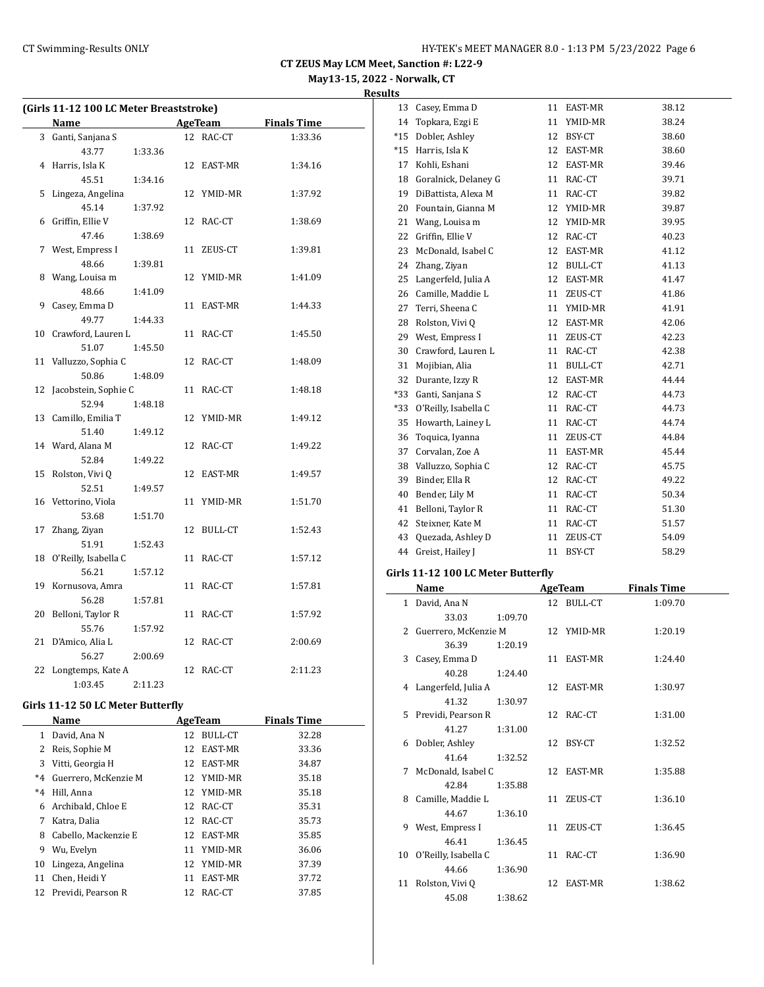# **May13-15, 2022 - Norwalk, CT Results**

|    | (Girls 11-12 100 LC Meter Breaststroke) |         |            |                    |
|----|-----------------------------------------|---------|------------|--------------------|
|    | Name                                    |         | AgeTeam    | <b>Finals Time</b> |
|    | 3 Ganti, Sanjana S                      |         | 12 RAC-CT  | 1:33.36            |
|    | 43.77                                   | 1:33.36 |            |                    |
| 4  | Harris, Isla K                          |         | 12 EAST-MR | 1:34.16            |
|    | 45.51                                   | 1:34.16 |            |                    |
| 5  | Lingeza, Angelina                       |         | 12 YMID-MR | 1:37.92            |
|    | 45.14                                   | 1:37.92 |            |                    |
| 6  | Griffin, Ellie V                        |         | 12 RAC-CT  | 1:38.69            |
|    | 47.46                                   | 1:38.69 |            |                    |
| 7  | West, Empress I                         |         | 11 ZEUS-CT | 1:39.81            |
|    | 48.66                                   | 1:39.81 |            |                    |
|    | 8 Wang, Louisa m                        |         | 12 YMID-MR | 1:41.09            |
|    | 48.66                                   | 1:41.09 |            |                    |
| 9  | Casey, Emma D                           |         | 11 EAST-MR | 1:44.33            |
|    | 49.77                                   | 1:44.33 |            |                    |
| 10 | Crawford, Lauren L                      |         | 11 RAC-CT  | 1:45.50            |
|    | 51.07                                   | 1:45.50 |            |                    |
| 11 | Valluzzo, Sophia C                      |         | 12 RAC-CT  | 1:48.09            |
|    | 50.86                                   | 1:48.09 |            |                    |
| 12 | Jacobstein, Sophie C                    |         | 11 RAC-CT  | 1:48.18            |
|    | 52.94                                   | 1:48.18 |            |                    |
| 13 | Camillo, Emilia T                       |         | 12 YMID-MR | 1:49.12            |
|    | 51.40                                   | 1:49.12 |            |                    |
|    | 14 Ward, Alana M                        |         | 12 RAC-CT  | 1:49.22            |
|    | 52.84                                   | 1:49.22 |            |                    |
| 15 | Rolston, Vivi Q                         |         | 12 EAST-MR | 1:49.57            |
|    | 52.51                                   | 1:49.57 |            |                    |
|    | 16 Vettorino, Viola                     |         | 11 YMID-MR | 1:51.70            |
|    | 53.68                                   | 1:51.70 |            |                    |
| 17 | Zhang, Ziyan                            |         | 12 BULL-CT | 1:52.43            |
|    | 51.91                                   | 1:52.43 |            |                    |
| 18 | O'Reilly, Isabella C                    |         | 11 RAC-CT  | 1:57.12            |
|    | 56.21                                   | 1:57.12 |            |                    |
| 19 | Kornusova, Amra                         |         | 11 RAC-CT  | 1:57.81            |
|    | 56.28                                   | 1:57.81 |            |                    |
| 20 | Belloni, Taylor R                       |         | 11 RAC-CT  | 1:57.92            |
|    | 55.76                                   | 1:57.92 |            |                    |
| 21 | D'Amico, Alia L                         |         | 12 RAC-CT  | 2:00.69            |
|    | 56.27                                   | 2:00.69 |            |                    |
| 22 | Longtemps, Kate A                       |         | 12 RAC-CT  | 2:11.23            |
|    | 1:03.45                                 | 2:11.23 |            |                    |

#### **Girls 11-12 50 LC Meter Butterfly**

| Name                 |                       |                | <b>Finals Time</b>                                                                                                                         |
|----------------------|-----------------------|----------------|--------------------------------------------------------------------------------------------------------------------------------------------|
| David, Ana N         | 12                    | BULL-CT        | 32.28                                                                                                                                      |
| Reis, Sophie M       | 12                    |                | 33.36                                                                                                                                      |
| Vitti, Georgia H     | 12                    |                | 34.87                                                                                                                                      |
| Guerrero, McKenzie M |                       |                | 35.18                                                                                                                                      |
| Hill, Anna           |                       |                | 35.18                                                                                                                                      |
| Archibald, Chloe E   |                       |                | 35.31                                                                                                                                      |
| Katra, Dalia         |                       |                | 35.73                                                                                                                                      |
| Cabello, Mackenzie E |                       |                | 35.85                                                                                                                                      |
| Wu, Evelyn           |                       |                | 36.06                                                                                                                                      |
| Lingeza, Angelina    |                       |                | 37.39                                                                                                                                      |
| Chen, Heidi Y        | 11                    | <b>EAST-MR</b> | 37.72                                                                                                                                      |
|                      |                       |                | 37.85                                                                                                                                      |
|                      | 12 Previdi, Pearson R |                | AgeTeam<br>EAST-MR<br>EAST-MR<br>12 YMID-MR<br>12 YMID-MR<br>12 RAC-CT<br>12 RAC-CT<br>12 EAST-MR<br>11 YMID-MR<br>12 YMID-MR<br>12 RAC-CT |

| 13    | Casey, Emma D        | 11 | EAST-MR        | 38.12 |
|-------|----------------------|----|----------------|-------|
| 14    | Topkara, Ezgi E      | 11 | YMID-MR        | 38.24 |
| $*15$ | Dobler, Ashley       | 12 | BSY-CT         | 38.60 |
| *15   | Harris, Isla K       | 12 | EAST-MR        | 38.60 |
| 17    | Kohli, Eshani        | 12 | EAST-MR        | 39.46 |
| 18    | Goralnick, Delaney G | 11 | RAC-CT         | 39.71 |
| 19    | DiBattista, Alexa M  | 11 | RAC-CT         | 39.82 |
| 20    | Fountain, Gianna M   | 12 | YMID-MR        | 39.87 |
| 21    | Wang, Louisa m       | 12 | YMID-MR        | 39.95 |
| 22    | Griffin, Ellie V     | 12 | RAC-CT         | 40.23 |
| 23    | McDonald, Isabel C   | 12 | EAST-MR        | 41.12 |
| 24    | Zhang, Ziyan         | 12 | <b>BULL-CT</b> | 41.13 |
| 25    | Langerfeld, Julia A  | 12 | EAST-MR        | 41.47 |
| 26    | Camille, Maddie L    | 11 | ZEUS-CT        | 41.86 |
| 27    | Terri, Sheena C      | 11 | YMID-MR        | 41.91 |
| 28    | Rolston, Vivi Q      | 12 | EAST-MR        | 42.06 |
| 29    | West, Empress I      | 11 | ZEUS-CT        | 42.23 |
| 30    | Crawford, Lauren L   | 11 | RAC-CT         | 42.38 |
| 31    | Mojibian, Alia       | 11 | BULL-CT        | 42.71 |
| 32    | Durante, Izzy R      | 12 | EAST-MR        | 44.44 |
| $*33$ | Ganti, Sanjana S     | 12 | RAC-CT         | 44.73 |
| $*33$ | O'Reilly, Isabella C | 11 | RAC-CT         | 44.73 |
| 35    | Howarth, Lainey L    | 11 | RAC-CT         | 44.74 |
| 36    | Toquica, Iyanna      | 11 | ZEUS-CT        | 44.84 |
| 37    | Corvalan, Zoe A      | 11 | EAST-MR        | 45.44 |
| 38    | Valluzzo, Sophia C   | 12 | RAC-CT         | 45.75 |
| 39    | Binder, Ella R       | 12 | RAC-CT         | 49.22 |
| 40    | Bender, Lily M       | 11 | RAC-CT         | 50.34 |
| 41    | Belloni, Taylor R    | 11 | RAC-CT         | 51.30 |
| 42    | Steixner, Kate M     | 11 | RAC-CT         | 51.57 |
| 43    | Quezada, Ashley D    | 11 | ZEUS-CT        | 54.09 |
| 44    | Greist, Hailey J     | 11 | <b>BSY-CT</b>  | 58.29 |

#### **Girls 11-12 100 LC Meter Butterfly**

|              | Name                   |         |    | AgeTeam    | <b>Finals Time</b> |
|--------------|------------------------|---------|----|------------|--------------------|
| $\mathbf{1}$ | David, Ana N           |         |    | 12 BULL-CT | 1:09.70            |
|              | 33.03                  | 1:09.70 |    |            |                    |
|              | 2 Guerrero, McKenzie M |         |    | 12 YMID-MR | 1:20.19            |
|              | 36.39                  | 1:20.19 |    |            |                    |
| 3            | Casey, Emma D          |         |    | 11 EAST-MR | 1:24.40            |
|              | 40.28                  | 1:24.40 |    |            |                    |
|              | 4 Langerfeld, Julia A  |         |    | 12 EAST-MR | 1:30.97            |
|              | 41.32                  | 1:30.97 |    |            |                    |
|              | 5 Previdi, Pearson R   |         |    | 12 RAC-CT  | 1:31.00            |
|              | 41.27                  | 1:31.00 |    |            |                    |
|              | 6 Dobler, Ashley       |         |    | 12 BSY-CT  | 1:32.52            |
|              | 41.64                  | 1:32.52 |    |            |                    |
| 7            | McDonald, Isabel C     |         |    | 12 EAST-MR | 1:35.88            |
|              | 42.84                  | 1:35.88 |    |            |                    |
|              | 8 Camille, Maddie L    |         |    | 11 ZEUS-CT | 1:36.10            |
|              | 44.67                  | 1:36.10 |    |            |                    |
|              | 9 West, Empress I      |         |    | 11 ZEUS-CT | 1:36.45            |
|              | 46.41                  | 1:36.45 |    |            |                    |
| 10           | O'Reilly, Isabella C   |         |    | 11 RAC-CT  | 1:36.90            |
|              | 44.66                  | 1:36.90 |    |            |                    |
| 11           | Rolston, Vivi Q        |         | 12 | EAST-MR    | 1:38.62            |
|              | 45.08                  | 1:38.62 |    |            |                    |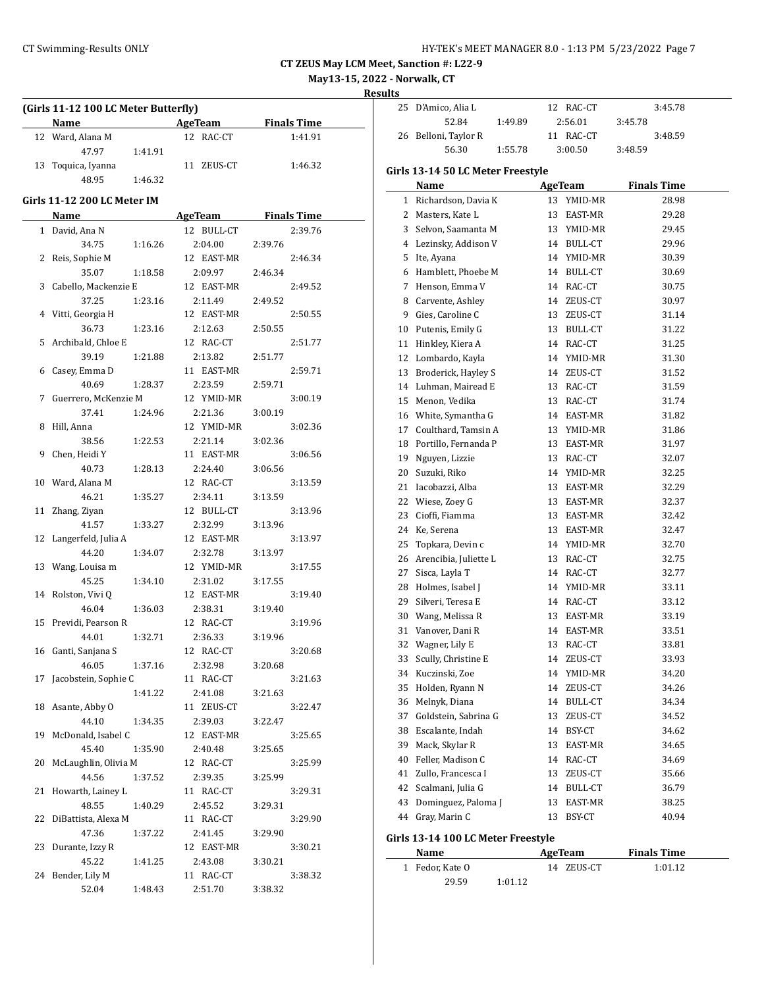**May13-15, 2022 - Norwalk, CT**

**Results**

| (Girls 11-12 100 LC Meter Butterfly) |  |  |  |
|--------------------------------------|--|--|--|
|--------------------------------------|--|--|--|

| <b>Name</b>        |         | AgeTeam    | <b>Finals Time</b> |  |
|--------------------|---------|------------|--------------------|--|
| 12 Ward, Alana M   |         | 12 RAC-CT  | 1:41.91            |  |
| 47.97              | 1:41.91 |            |                    |  |
| 13 Toquica, Iyanna |         | 11 ZEUS-CT | 1:46.32            |  |
| 48.95              | 1:46.32 |            |                    |  |

#### **Girls 11-12 200 LC Meter IM**

|              | <u>Name</u>             |         | <b>AgeTeam</b>       |         | <b>Finals Time</b> |
|--------------|-------------------------|---------|----------------------|---------|--------------------|
| $\mathbf{1}$ | David, Ana N            |         | 12 BULL-CT           |         | 2:39.76            |
|              | 34.75                   | 1:16.26 | 2:04.00              | 2:39.76 |                    |
|              | 2 Reis, Sophie M        |         | 12 EAST-MR           |         | 2:46.34            |
|              | 35.07                   | 1:18.58 | 2:09.97              | 2:46.34 |                    |
| 3            | Cabello, Mackenzie E    |         | 12 EAST-MR           |         | 2:49.52            |
|              | 37.25                   | 1:23.16 | 2:11.49              | 2:49.52 |                    |
|              | 4 Vitti, Georgia H      |         | 12 EAST-MR           |         | 2:50.55            |
|              | 36.73                   | 1:23.16 | 2:12.63              | 2:50.55 |                    |
| 5            | Archibald, Chloe E      |         | 12 RAC-CT            |         | 2:51.77            |
|              | 39.19                   | 1:21.88 | 2:13.82              | 2:51.77 |                    |
| 6            | Casey, Emma D           |         | 11 EAST-MR           |         | 2:59.71            |
|              | 40.69                   | 1:28.37 | 2:23.59              | 2:59.71 |                    |
| 7            | Guerrero, McKenzie M    |         | 12 YMID-MR           |         | 3:00.19            |
|              | 37.41                   | 1:24.96 | 2:21.36              | 3:00.19 |                    |
| 8            | Hill, Anna              |         | 12 YMID-MR           |         | 3:02.36            |
|              | 38.56                   | 1:22.53 | 2:21.14              | 3:02.36 |                    |
| 9            | Chen, Heidi Y           |         | 11 EAST-MR           |         | 3:06.56            |
|              | 40.73                   | 1:28.13 | 2:24.40              | 3:06.56 |                    |
|              | 10 Ward, Alana M        |         | 12 RAC-CT            |         | 3:13.59            |
|              | 46.21                   | 1:35.27 | 2:34.11              | 3:13.59 |                    |
|              | 11 Zhang, Ziyan         |         | 12 BULL-CT           |         | 3:13.96            |
|              | 41.57                   | 1:33.27 | 2:32.99              | 3:13.96 |                    |
|              | 12 Langerfeld, Julia A  |         | 12 EAST-MR           |         | 3:13.97            |
|              | 44.20                   | 1:34.07 | 2:32.78              | 3:13.97 |                    |
| 13           | Wang, Louisa m          |         | 12 YMID-MR           |         | 3:17.55            |
|              | 45.25                   | 1:34.10 | 2:31.02              | 3:17.55 |                    |
| 14           | Rolston, Vivi Q         |         | 12 EAST-MR           |         | 3:19.40            |
|              | 46.04                   | 1:36.03 | 2:38.31              | 3:19.40 |                    |
| 15           | Previdi, Pearson R      |         | 12 RAC-CT            |         | 3:19.96            |
|              | 44.01                   | 1:32.71 | 2:36.33              | 3:19.96 |                    |
|              | 16 Ganti, Sanjana S     |         | 12 RAC-CT            |         | 3:20.68            |
|              | 46.05                   | 1:37.16 | 2:32.98              | 3:20.68 |                    |
| 17           | Jacobstein, Sophie C    |         | 11 RAC-CT            |         | 3:21.63            |
|              |                         | 1:41.22 | 2:41.08              | 3:21.63 |                    |
|              | 18 Asante, Abby O       |         | 11 ZEUS-CT           |         | 3:22.47            |
|              | 44.10                   | 1:34.35 | 2:39.03              | 3:22.47 |                    |
| 19           | McDonald, Isabel C      |         | 12 EAST-MR           |         | 3:25.65            |
|              | 45.40                   | 1:35.90 | 2:40.48              | 3:25.65 |                    |
|              | 20 McLaughlin, Olivia M |         | 12 RAC-CT            |         | 3:25.99            |
|              | 44.56                   | 1:37.52 | 2:39.35              | 3:25.99 |                    |
| 21           | Howarth, Lainey L       |         | 11 RAC-CT            |         | 3:29.31            |
| 22           | 48.55                   | 1:40.29 | 2:45.52              | 3:29.31 |                    |
|              | DiBattista, Alexa M     |         | 11 RAC-CT            |         | 3:29.90            |
| 23           | 47.36                   | 1:37.22 | 2:41.45              | 3:29.90 |                    |
|              | Durante, Izzy R         |         | 12 EAST-MR           |         | 3:30.21            |
| 24           | 45.22<br>Bender, Lily M | 1:41.25 | 2:43.08<br>11 RAC-CT | 3:30.21 |                    |
|              | 52.04                   |         |                      |         | 3:38.32            |
|              |                         | 1:48.43 | 2:51.70              | 3:38.32 |                    |

| ults |                                   |    |                |         |                    |  |
|------|-----------------------------------|----|----------------|---------|--------------------|--|
| 25   | D'Amico, Alia L                   |    | 12 RAC-CT      |         | 3:45.78            |  |
|      | 52.84<br>1:49.89                  |    | 2:56.01        | 3:45.78 |                    |  |
|      | 26 Belloni, Taylor R              |    | 11 RAC-CT      |         | 3:48.59            |  |
|      | 56.30<br>1:55.78                  |    | 3:00.50        | 3:48.59 |                    |  |
|      | Girls 13-14 50 LC Meter Freestyle |    |                |         |                    |  |
|      | Name                              |    | <b>AgeTeam</b> |         | <b>Finals Time</b> |  |
|      | 1 Richardson, Davia K             |    | 13 YMID-MR     |         | 28.98              |  |
| 2    | Masters, Kate L                   |    | 13 EAST-MR     |         | 29.28              |  |
| 3    | Selvon, Saamanta M                |    | 13 YMID-MR     |         | 29.45              |  |
|      | 4 Lezinsky, Addison V             |    | 14 BULL-CT     |         | 29.96              |  |
| 5    | Ite, Ayana                        |    | 14 YMID-MR     |         | 30.39              |  |
|      | 6 Hamblett, Phoebe M              |    | 14 BULL-CT     |         | 30.69              |  |
|      | 7 Henson, Emma V                  |    | 14 RAC-CT      |         | 30.75              |  |
|      | 8 Carvente, Ashley                |    | 14 ZEUS-CT     |         | 30.97              |  |
|      | 9 Gies, Caroline C                |    | 13 ZEUS-CT     |         | 31.14              |  |
|      | 10 Putenis, Emily G               |    | 13 BULL-CT     |         | 31.22              |  |
| 11   | Hinkley, Kiera A                  |    | 14 RAC-CT      |         | 31.25              |  |
|      | 12 Lombardo, Kayla                |    | 14 YMID-MR     |         | 31.30              |  |
|      | 13 Broderick, Hayley S            |    | 14 ZEUS-CT     |         | 31.52              |  |
|      | 14 Luhman, Mairead E              |    | 13 RAC-CT      |         | 31.59              |  |
|      | 15 Menon, Vedika                  |    | 13 RAC-CT      |         | 31.74              |  |
|      | 16 White, Symantha G              |    | 14 EAST-MR     |         | 31.82              |  |
|      | 17 Coulthard, Tamsin A            |    | 13 YMID-MR     |         | 31.86              |  |
|      | 18 Portillo, Fernanda P           |    | 13 EAST-MR     |         | 31.97              |  |
| 19   | Nguyen, Lizzie                    |    | 13 RAC-CT      |         | 32.07              |  |
|      | 20 Suzuki, Riko                   |    | 14 YMID-MR     |         | 32.25              |  |
| 21   | Iacobazzi, Alba                   |    | 13 EAST-MR     |         | 32.29              |  |
| 22   | Wiese, Zoey G                     |    | 13 EAST-MR     |         | 32.37              |  |
| 23   | Cioffi, Fiamma                    |    | 13 EAST-MR     |         | 32.42              |  |
|      | 24 Ke, Serena                     |    | 13 EAST-MR     |         | 32.47              |  |
| 25   | Topkara, Devin c                  |    | 14 YMID-MR     |         | 32.70              |  |
|      | 26 Arencibia, Juliette L          |    | 13 RAC-CT      |         | 32.75              |  |
|      | 27 Sisca, Layla T                 |    | 14 RAC-CT      |         | 32.77              |  |
|      | 28 Holmes, Isabel J               |    | 14 YMID-MR     |         | 33.11              |  |
|      | 29 Silveri, Teresa E              |    | 14 RAC-CT      |         | 33.12              |  |
|      | 30 Wang, Melissa R                |    | 13 EAST-MR     |         | 33.19              |  |
| 31   | Vanover, Dani R                   |    | 14 EAST-MR     |         | 33.51              |  |
| 32   | Wagner, Lily E                    |    | 13 RAC-CT      |         | 33.81              |  |
| 33   | Scully, Christine E               | 14 | ZEUS-CT        |         | 33.93              |  |
| 34   | Kuczinski, Zoe                    | 14 | YMID-MR        |         | 34.20              |  |
| 35   | Holden, Ryann N                   | 14 | ZEUS-CT        |         | 34.26              |  |
| 36   | Melnyk, Diana                     | 14 | BULL-CT        |         | 34.34              |  |
| 37   | Goldstein, Sabrina G              | 13 | ZEUS-CT        |         | 34.52              |  |
| 38   | Escalante, Indah                  | 14 | BSY-CT         |         | 34.62              |  |
| 39   | Mack, Skylar R                    | 13 | EAST-MR        |         | 34.65              |  |
| 40   | Feller, Madison C                 | 14 | RAC-CT         |         | 34.69              |  |
| 41   | Zullo, Francesca I                | 13 | ZEUS-CT        |         | 35.66              |  |
| 42   | Scalmani, Julia G                 | 14 | BULL-CT        |         | 36.79              |  |
| 43   | Dominguez, Paloma J               | 13 | EAST-MR        |         | 38.25              |  |
| 44   | Gray, Marin C                     | 13 | BSY-CT         |         | 40.94              |  |
|      |                                   |    |                |         |                    |  |

#### **Girls 13-14 100 LC Meter Freestyle**

| <b>Name</b>     |         | AgeTeam    | <b>Finals Time</b> |  |
|-----------------|---------|------------|--------------------|--|
| 1 Fedor. Kate O |         | 14 ZEUS-CT | 1:01.12            |  |
| 29.59           | 1:01.12 |            |                    |  |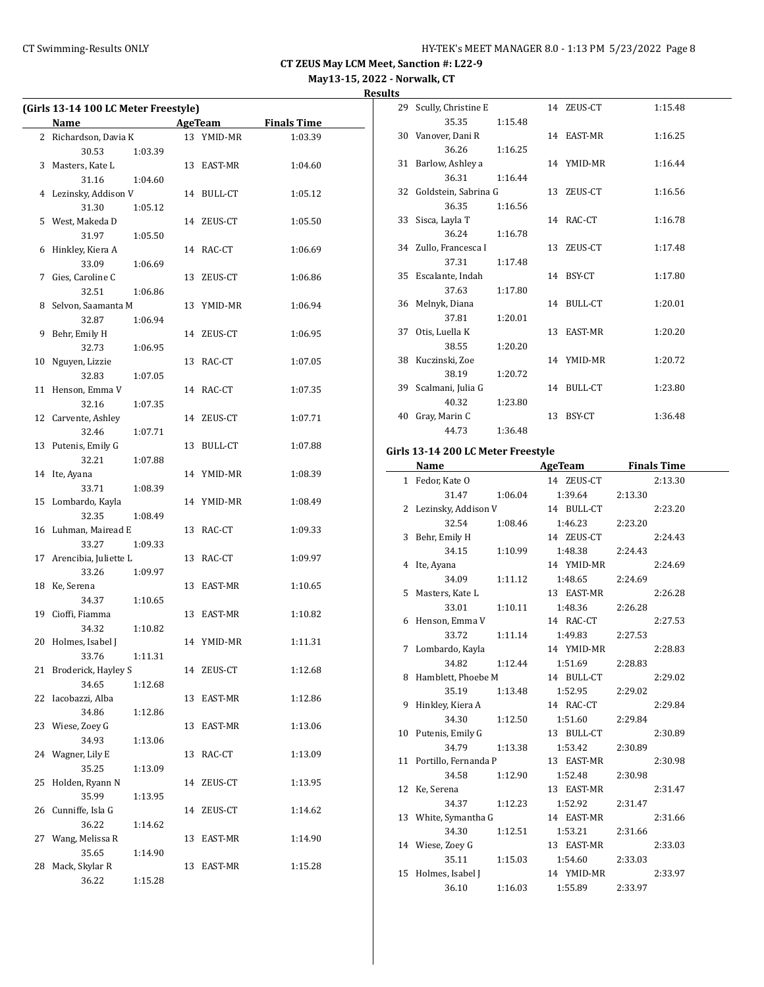**May13-15, 2022 - Norwalk, CT**

**Results**

| (Girls 13-14 100 LC Meter Freestyle) |                       |         |  |            |                    |  |
|--------------------------------------|-----------------------|---------|--|------------|--------------------|--|
|                                      | Name                  |         |  | AgeTeam    | <b>Finals Time</b> |  |
|                                      | 2 Richardson, Davia K |         |  | 13 YMID-MR | 1:03.39            |  |
|                                      | 30.53                 | 1:03.39 |  |            |                    |  |
| 3                                    | Masters, Kate L       |         |  | 13 EAST-MR | 1:04.60            |  |
|                                      | 31.16                 | 1:04.60 |  |            |                    |  |
| 4                                    | Lezinsky, Addison V   |         |  | 14 BULL-CT | 1:05.12            |  |
|                                      | 31.30                 | 1:05.12 |  |            |                    |  |
|                                      | 5 West, Makeda D      |         |  | 14 ZEUS-CT | 1:05.50            |  |
|                                      | 31.97                 | 1:05.50 |  |            |                    |  |
| 6                                    | Hinkley, Kiera A      |         |  | 14 RAC-CT  | 1:06.69            |  |
|                                      | 33.09                 | 1:06.69 |  |            |                    |  |
| 7                                    | Gies, Caroline C      |         |  | 13 ZEUS-CT | 1:06.86            |  |
|                                      | 32.51                 |         |  |            |                    |  |
|                                      |                       | 1:06.86 |  |            |                    |  |
| 8                                    | Selvon, Saamanta M    |         |  | 13 YMID-MR | 1:06.94            |  |
|                                      | 32.87                 | 1:06.94 |  |            |                    |  |
| 9                                    | Behr, Emily H         |         |  | 14 ZEUS-CT | 1:06.95            |  |
|                                      | 32.73                 | 1:06.95 |  |            |                    |  |
| 10                                   | Nguyen, Lizzie        |         |  | 13 RAC-CT  | 1:07.05            |  |
|                                      | 32.83                 | 1:07.05 |  |            |                    |  |
| 11                                   | Henson, Emma V        |         |  | 14 RAC-CT  | 1:07.35            |  |
|                                      | 32.16                 | 1:07.35 |  |            |                    |  |
|                                      | 12 Carvente, Ashley   |         |  | 14 ZEUS-CT | 1:07.71            |  |
|                                      | 32.46                 | 1:07.71 |  |            |                    |  |
|                                      | 13 Putenis, Emily G   |         |  | 13 BULL-CT | 1:07.88            |  |
|                                      | 32.21                 | 1:07.88 |  |            |                    |  |
|                                      | 14 Ite, Ayana         |         |  | 14 YMID-MR | 1:08.39            |  |
|                                      | 33.71                 | 1:08.39 |  |            |                    |  |
| 15                                   | Lombardo, Kayla       |         |  | 14 YMID-MR | 1:08.49            |  |
|                                      | 32.35                 | 1:08.49 |  |            |                    |  |
|                                      | 16 Luhman, Mairead E  |         |  | 13 RAC-CT  | 1:09.33            |  |
|                                      | 33.27                 | 1:09.33 |  |            |                    |  |
| 17                                   | Arencibia, Juliette L |         |  | 13 RAC-CT  | 1:09.97            |  |
|                                      | 33.26                 | 1:09.97 |  |            |                    |  |
| 18                                   | Ke, Serena            |         |  | 13 EAST-MR | 1:10.65            |  |
|                                      | 34.37                 | 1:10.65 |  |            |                    |  |
| 19                                   | Cioffi, Fiamma        |         |  | 13 EAST-MR | 1:10.82            |  |
|                                      | 34.32                 | 1:10.82 |  |            |                    |  |
| 20                                   | Holmes, Isabel J      |         |  | 14 YMID-MR | 1:11.31            |  |
|                                      | 33.76                 | 1:11.31 |  |            |                    |  |
| 21                                   | Broderick, Hayley S   |         |  | 14 ZEUS-CT | 1:12.68            |  |
|                                      | 34.65                 | 1:12.68 |  |            |                    |  |
| 22                                   | Iacobazzi, Alba       |         |  | 13 EAST-MR | 1:12.86            |  |
|                                      | 34.86                 | 1:12.86 |  |            |                    |  |
| 23                                   | Wiese, Zoey G         |         |  | 13 EAST-MR | 1:13.06            |  |
|                                      | 34.93                 | 1:13.06 |  |            |                    |  |
| 24                                   | Wagner, Lily E        |         |  | 13 RAC-CT  | 1:13.09            |  |
|                                      | 35.25                 | 1:13.09 |  |            |                    |  |
| 25                                   | Holden, Ryann N       |         |  | 14 ZEUS-CT | 1:13.95            |  |
|                                      | 35.99                 |         |  |            |                    |  |
|                                      |                       | 1:13.95 |  |            |                    |  |
| 26                                   | Cunniffe, Isla G      |         |  | 14 ZEUS-CT | 1:14.62            |  |
|                                      | 36.22                 | 1:14.62 |  |            |                    |  |
|                                      | 27 Wang, Melissa R    |         |  | 13 EAST-MR | 1:14.90            |  |
|                                      | 35.65                 | 1:14.90 |  |            |                    |  |
| 28                                   | Mack, Skylar R        |         |  | 13 EAST-MR | 1:15.28            |  |
|                                      | 36.22                 | 1:15.28 |  |            |                    |  |

| 29 | Scully, Christine E     |         |    | 14 ZEUS-CT | 1:15.48 |
|----|-------------------------|---------|----|------------|---------|
|    | 35.35                   | 1:15.48 |    |            |         |
|    | 30 Vanover, Dani R      |         |    | 14 EAST-MR | 1:16.25 |
|    | 36.26                   | 1:16.25 |    |            |         |
|    | 31 Barlow, Ashley a     |         |    | 14 YMID-MR | 1:16.44 |
|    | 36.31                   | 1:16.44 |    |            |         |
|    | 32 Goldstein, Sabrina G |         |    | 13 ZEUS-CT | 1:16.56 |
|    | 36.35                   | 1:16.56 |    |            |         |
|    | 33 Sisca, Layla T       |         |    | 14 RAC-CT  | 1:16.78 |
|    | 36.24                   | 1:16.78 |    |            |         |
|    | 34 Zullo, Francesca I   |         |    | 13 ZEUS-CT | 1:17.48 |
|    | 37.31                   | 1:17.48 |    |            |         |
|    | 35 Escalante, Indah     |         |    | 14 BSY-CT  | 1:17.80 |
|    | 37.63                   | 1:17.80 |    |            |         |
|    | 36 Melnyk, Diana        |         |    | 14 BULL-CT | 1:20.01 |
|    | 37.81                   | 1:20.01 |    |            |         |
| 37 | Otis, Luella K          |         |    | 13 EAST-MR | 1:20.20 |
|    | 38.55                   | 1:20.20 |    |            |         |
| 38 | Kuczinski, Zoe          |         |    | 14 YMID-MR | 1:20.72 |
|    | 38.19                   | 1:20.72 |    |            |         |
| 39 | Scalmani, Julia G       |         |    | 14 BULL-CT | 1:23.80 |
|    | 40.32                   | 1:23.80 |    |            |         |
| 40 | Gray, Marin C           |         | 13 | BSY-CT     | 1:36.48 |
|    | 44.73                   | 1:36.48 |    |            |         |

# **Girls 13-14 200 LC Meter Freestyle**

| Name                    | <b>AgeTeam</b> | <b>Finals Time</b> |
|-------------------------|----------------|--------------------|
| 1 Fedor, Kate O         | 14 ZEUS-CT     | 2:13.30            |
| 31.47<br>1:06.04        | 1:39.64        | 2:13.30            |
| 2 Lezinsky, Addison V   | 14 BULL-CT     | 2:23.20            |
| 32.54<br>1:08.46        | 1:46.23        | 2:23.20            |
| 3 Behr, Emily H         | 14 ZEUS-CT     | 2:24.43            |
| 34.15<br>1:10.99        | 1:48.38        | 2:24.43            |
| 4 Ite, Ayana            | 14 YMID-MR     | 2:24.69            |
| 34.09<br>1:11.12        | 1:48.65        | 2:24.69            |
| 5 Masters, Kate L       | 13 EAST-MR     | 2:26.28            |
| 33.01<br>1:10.11        | 1:48.36        | 2:26.28            |
| 6 Henson, Emma V        | 14 RAC-CT      | 2:27.53            |
| 1:11.14<br>33.72        | 1:49.83        | 2:27.53            |
| 7 Lombardo, Kayla       | 14 YMID-MR     | 2:28.83            |
| 34.82<br>1:12.44        | 1:51.69        | 2:28.83            |
| 8 Hamblett, Phoebe M    | 14 BULL-CT     | 2:29.02            |
| 35.19<br>1:13.48        | 1:52.95        | 2:29.02            |
| 9 Hinkley, Kiera A      | 14 RAC-CT      | 2:29.84            |
| 34.30 1:12.50           | 1:51.60        | 2:29.84            |
| 10 Putenis, Emily G     | 13 BULL-CT     | 2:30.89            |
| 34.79<br>1:13.38        | 1:53.42        | 2:30.89            |
| 11 Portillo, Fernanda P | 13 EAST-MR     | 2:30.98            |
| 34.58<br>1:12.90        | 1:52.48        | 2:30.98            |
| 12 Ke, Serena           | 13 EAST-MR     | 2:31.47            |
| 34.37 1:12.23           | 1:52.92        | 2:31.47            |
| 13 White, Symantha G    | 14 EAST-MR     | 2:31.66            |
| 1:12.51<br>34.30        | 1:53.21        | 2:31.66            |
| 14 Wiese, Zoey G        | 13 EAST-MR     | 2:33.03            |
| 35.11<br>1:15.03        | 1:54.60        | 2:33.03            |
| 15 Holmes, Isabel J     | 14 YMID-MR     | 2:33.97            |
| 36.10<br>1:16.03        | 1:55.89        | 2:33.97            |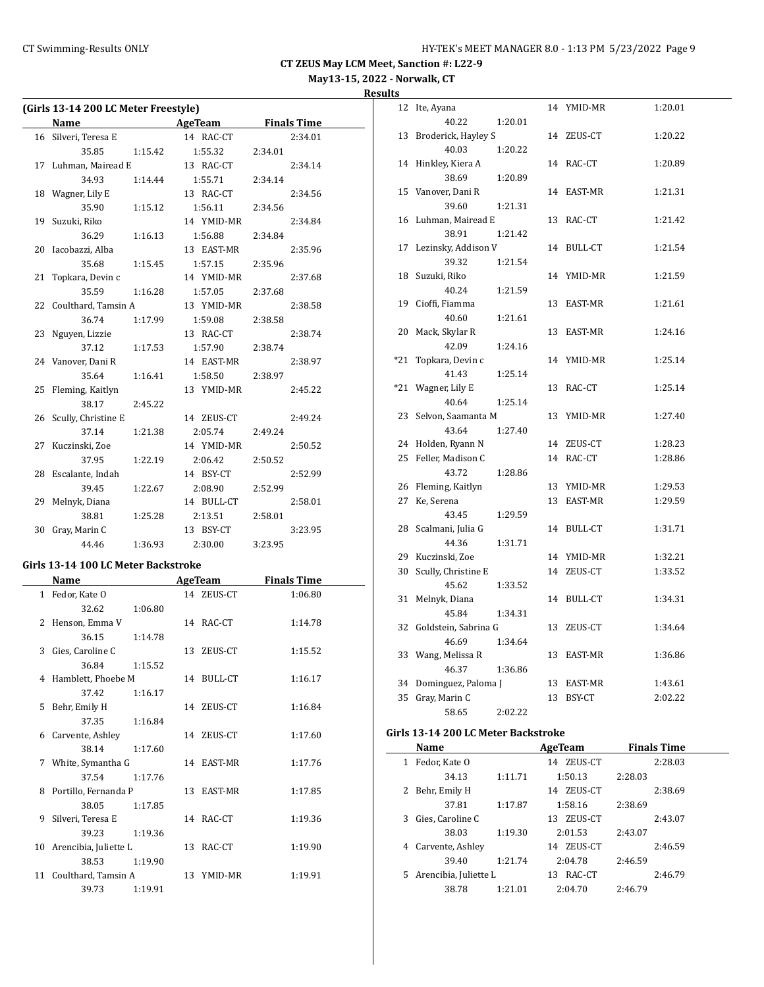**May13-15, 2022 - Norwalk, CT Results**

| <b>Name</b>            |         | AgeTeam Finals Time   |         |         |
|------------------------|---------|-----------------------|---------|---------|
| 16 Silveri, Teresa E   |         | 14 RAC-CT             |         | 2:34.01 |
|                        |         | 35.85 1:15.42 1:55.32 | 2:34.01 |         |
| 17 Luhman, Mairead E   |         | 13 RAC-CT             |         | 2:34.14 |
| 34.93                  | 1:14.44 | 1:55.71               | 2:34.14 |         |
| 18 Wagner, Lily E      |         | 13 RAC-CT             |         | 2:34.56 |
| 35.90                  |         | 1:15.12   1:56.11     | 2:34.56 |         |
| 19 Suzuki, Riko        |         | 14 YMID-MR            |         | 2:34.84 |
| 36.29                  |         | 1:16.13 1:56.88       | 2:34.84 |         |
| 20 Iacobazzi, Alba     |         | 13 EAST-MR            |         | 2:35.96 |
| 35.68                  |         | 1:15.45   1:57.15     | 2:35.96 |         |
| 21 Topkara, Devin c    |         | 14 YMID-MR            |         | 2:37.68 |
| 35.59                  |         | 1:16.28 1:57.05       | 2:37.68 |         |
| 22 Coulthard, Tamsin A |         | 13 YMID-MR            |         | 2:38.58 |
| 36.74                  |         | 1:17.99 1:59.08       | 2:38.58 |         |
| 23 Nguyen, Lizzie      |         | 13 RAC-CT             |         | 2:38.74 |
| 37.12                  |         | 1:17.53 1:57.90       | 2:38.74 |         |
| 24 Vanover, Dani R     |         | 14 EAST-MR            |         | 2:38.97 |
| 35.64                  |         | 1:16.41  1:58.50      | 2:38.97 |         |
| 25 Fleming, Kaitlyn    |         | 13 YMID-MR            |         | 2:45.22 |
| 38.17                  | 2:45.22 |                       |         |         |
| 26 Scully, Christine E |         | 14 ZEUS-CT            |         | 2:49.24 |
| 37.14                  |         | 1:21.38 2:05.74       | 2:49.24 |         |
| 27 Kuczinski, Zoe      |         | 14 YMID-MR            |         | 2:50.52 |
| 37.95                  | 1:22.19 | 2:06.42               | 2:50.52 |         |
| 28 Escalante, Indah    |         | 14 BSY-CT             |         | 2:52.99 |
| 39.45                  | 1:22.67 | 2:08.90               | 2:52.99 |         |
| 29 Melnyk, Diana       |         | 14 BULL-CT            |         | 2:58.01 |
| 38.81                  | 1:25.28 | 2:13.51               | 2:58.01 |         |
| 30 Gray, Marin C       |         | 13 BSY-CT             |         | 3:23.95 |
| 44.46                  |         | 1:36.93 2:30.00       | 3:23.95 |         |

#### **Girls 13-14 100 LC Meter Backstroke**

 $\overline{a}$ 

|    | Name                     |         | AgeTeam    | <b>Finals Time</b> |
|----|--------------------------|---------|------------|--------------------|
|    | 1 Fedor, Kate O          |         | 14 ZEUS-CT | 1:06.80            |
|    | 32.62                    | 1:06.80 |            |                    |
|    | 2 Henson, Emma V         |         | 14 RAC-CT  | 1:14.78            |
|    | 36.15                    | 1:14.78 |            |                    |
| 3  | Gies, Caroline C         |         | 13 ZEUS-CT | 1:15.52            |
|    | 36.84                    | 1:15.52 |            |                    |
|    | 4 Hamblett, Phoebe M     |         | 14 BULL-CT | 1:16.17            |
|    | 37.42                    | 1:16.17 |            |                    |
| 5. | Behr, Emily H            |         | 14 ZEUS-CT | 1:16.84            |
|    | 37.35                    | 1:16.84 |            |                    |
| 6  | Carvente, Ashley         |         | 14 ZEUS-CT | 1:17.60            |
|    | 38.14                    | 1:17.60 |            |                    |
|    | 7 White, Symantha G      |         | 14 EAST-MR | 1:17.76            |
|    | 37.54                    | 1:17.76 |            |                    |
|    | 8 Portillo, Fernanda P   |         | 13 EAST-MR | 1:17.85            |
|    | 38.05                    | 1:17.85 |            |                    |
| 9  | Silveri, Teresa E        |         | 14 RAC-CT  | 1:19.36            |
|    | 39.23                    | 1:19.36 |            |                    |
|    | 10 Arencibia, Juliette L |         | 13 RAC-CT  | 1:19.90            |
|    | 38.53                    | 1:19.90 |            |                    |
| 11 | Coulthard, Tamsin A      |         | 13 YMID-MR | 1:19.91            |
|    | 39.73                    | 1:19.91 |            |                    |
|    |                          |         |            |                    |

| 12    | Ite, Ayana                 |         |    | 14 YMID-MR               | 1:20.01            |
|-------|----------------------------|---------|----|--------------------------|--------------------|
|       | 40.22                      | 1:20.01 |    |                          |                    |
| 13    | Broderick, Hayley S        |         |    | 14 ZEUS-CT               | 1:20.22            |
|       | 40.03                      | 1:20.22 |    |                          |                    |
| 14    | Hinkley, Kiera A           |         |    | 14 RAC-CT                | 1:20.89            |
|       | 38.69                      | 1:20.89 |    |                          |                    |
| 15    | Vanover, Dani R            |         | 14 | EAST-MR                  | 1:21.31            |
|       | 39.60                      | 1:21.31 |    |                          |                    |
| 16    | Luhman, Mairead E          |         | 13 | RAC-CT                   | 1:21.42            |
|       | 38.91                      | 1:21.42 |    |                          |                    |
| 17    | Lezinsky, Addison V        |         | 14 | <b>BULL-CT</b>           | 1:21.54            |
|       | 39.32                      | 1:21.54 |    |                          |                    |
| 18    | Suzuki, Riko               |         |    | 14 YMID-MR               | 1:21.59            |
|       | 40.24                      | 1:21.59 |    |                          |                    |
|       | 19 Cioffi, Fiamma          |         |    | 13 EAST-MR               | 1:21.61            |
|       | 40.60                      | 1:21.61 |    |                          |                    |
| 20    | Mack, Skylar R             |         | 13 | EAST-MR                  | 1:24.16            |
|       | 42.09                      | 1:24.16 |    |                          |                    |
| $*21$ | Topkara, Devin c           |         | 14 | YMID-MR                  | 1:25.14            |
|       | 41.43                      | 1:25.14 |    |                          |                    |
| *21   | Wagner, Lily E             |         |    | 13 RAC-CT                | 1:25.14            |
|       | 40.64                      | 1:25.14 |    |                          |                    |
| 23    | Selvon, Saamanta M         |         |    | 13 YMID-MR               | 1:27.40            |
|       | 43.64                      | 1:27.40 |    |                          |                    |
|       | 24 Holden, Ryann N         |         |    | 14 ZEUS-CT               | 1:28.23            |
| 25    | Feller, Madison C          |         |    | 14 RAC-CT                | 1:28.86            |
|       | 43.72                      | 1:28.86 |    |                          |                    |
|       | 26 Fleming, Kaitlyn        |         |    | 13 YMID-MR               | 1:29.53            |
| 27    | Ke, Serena                 |         |    | 13 EAST-MR               | 1:29.59            |
|       | 43.45                      | 1:29.59 |    |                          |                    |
| 28    | Scalmani, Julia G<br>44.36 |         | 14 | <b>BULL-CT</b>           | 1:31.71            |
|       | 29 Kuczinski, Zoe          | 1:31.71 |    |                          |                    |
|       | 30 Scully, Christine E     |         |    | 14 YMID-MR<br>14 ZEUS-CT | 1:32.21<br>1:33.52 |
|       | 45.62                      | 1:33.52 |    |                          |                    |
| 31    | Melnyk, Diana              |         | 14 | <b>BULL-CT</b>           | 1:34.31            |
|       | 45.84                      | 1:34.31 |    |                          |                    |
| 32    | Goldstein, Sabrina G       |         | 13 | ZEUS-CT                  | 1:34.64            |
|       | 46.69                      | 1:34.64 |    |                          |                    |
| 33    | Wang, Melissa R            |         | 13 | EAST-MR                  | 1:36.86            |
|       | 46.37                      | 1:36.86 |    |                          |                    |
| 34    | Dominguez, Paloma J        |         |    | 13 EAST-MR               | 1:43.61            |
| 35    | Gray, Marin C              |         | 13 | <b>BSY-CT</b>            | 2:02.22            |
|       | 58.65                      | 2:02.22 |    |                          |                    |
|       |                            |         |    |                          |                    |

# **Girls 13-14 200 LC Meter Backstroke**

|    | Name                  |         | AgeTeam        | <b>Finals Time</b> |         |
|----|-----------------------|---------|----------------|--------------------|---------|
| 1  | Fedor, Kate O         |         | ZEUS-CT<br>14  |                    | 2:28.03 |
|    | 34.13                 | 1:11.71 | 1:50.13        | 2:28.03            |         |
| 2. | Behr, Emily H         |         | 14 ZEUS-CT     |                    | 2:38.69 |
|    | 37.81                 | 1:17.87 | 1:58.16        | 2:38.69            |         |
| 3. | Gies, Caroline C      |         | ZEUS-CT<br>13. |                    | 2:43.07 |
|    | 38.03                 | 1:19.30 | 2:01.53        | 2:43.07            |         |
| 4  | Carvente, Ashley      |         | ZEUS-CT<br>14  |                    | 2:46.59 |
|    | 39.40                 | 1:21.74 | 2:04.78        | 2:46.59            |         |
| 5. | Arencibia, Juliette L |         | RAC-CT<br>13   |                    | 2:46.79 |
|    | 38.78                 | 1:21.01 | 2:04.70        | 2:46.79            |         |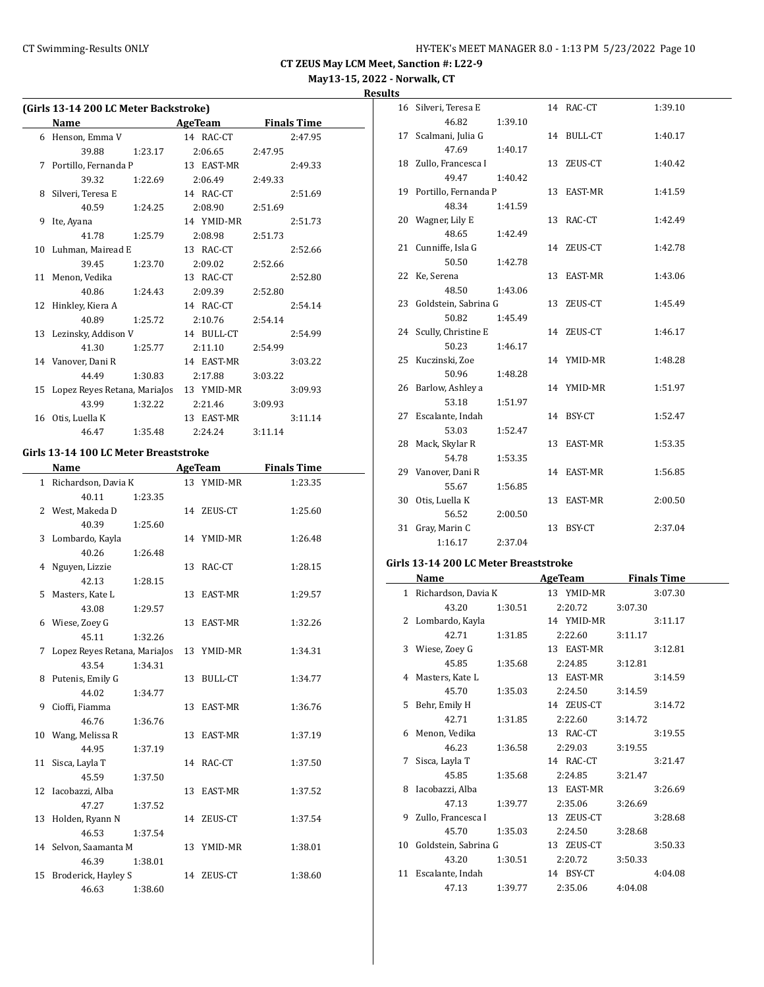**May13-15, 2022 - Norwalk, CT**

**Results**

|    | (Girls 13-14 200 LC Meter Backstroke)      |         |                           |                    |
|----|--------------------------------------------|---------|---------------------------|--------------------|
|    | Name                                       |         | <b>AgeTeam</b>            | <b>Finals Time</b> |
|    | 6 Henson, Emma V                           |         | 14 RAC-CT                 | 2:47.95            |
|    | 39.88                                      |         | 1:23.17 2:06.65           | 2:47.95            |
|    | 7 Portillo, Fernanda P                     |         | 13 EAST-MR                | 2:49.33            |
|    | 39.32                                      | 1:22.69 | 2:06.49                   | 2:49.33            |
|    | 8 Silveri, Teresa E                        |         | 14 RAC-CT                 | 2:51.69            |
|    | 40.59                                      | 1:24.25 | 2:08.90                   | 2:51.69            |
| 9  | Ite, Ayana                                 |         | 14 YMID-MR                | 2:51.73            |
|    | 41.78                                      | 1:25.79 | 2:08.98                   | 2:51.73            |
|    | 10 Luhman, Mairead E                       |         | 13 RAC-CT                 | 2:52.66            |
|    | 39.45                                      | 1:23.70 | 2:09.02                   | 2:52.66            |
|    | 11 Menon, Vedika                           |         | 13 RAC-CT                 | 2:52.80            |
|    | 40.86                                      | 1:24.43 | 2:09.39                   | 2:52.80            |
|    | 12 Hinkley, Kiera A                        |         | 14 RAC-CT                 | 2:54.14            |
|    | 40.89 1:25.72                              |         | 2:10.76                   | 2:54.14            |
|    | 13 Lezinsky, Addison V                     |         | 14 BULL-CT                | 2:54.99            |
|    | 41.30                                      | 1:25.77 | 2:11.10                   | 2:54.99            |
|    | 14 Vanover, Dani R                         |         | 14 EAST-MR                | 3:03.22            |
|    | 44.49                                      | 1:30.83 | 2:17.88                   | 3:03.22            |
|    | 15 Lopez Reyes Retana, MariaJos 13 YMID-MR |         |                           | 3:09.93            |
|    | 43.99                                      | 1:32.22 | 2:21.46                   | 3:09.93            |
| 16 | Otis, Luella K                             |         | 13 EAST-MR                | 3:11.14            |
|    | 46.47                                      | 1:35.48 | 2:24.24                   | 3:11.14            |
|    | Girls 13-14 100 LC Meter Breaststroke      |         |                           |                    |
|    | Name                                       |         | <b>Example 21 AgeTeam</b> | <b>Finals Time</b> |
|    | 1 Richardson, Davia K                      |         | 13 YMID-MR                | 1:23.35            |
|    | 40.11 1:23.35                              |         |                           |                    |

|    | 40.11                        | 1:23.35 |    |            |         |
|----|------------------------------|---------|----|------------|---------|
|    | 2 West, Makeda D             |         |    | 14 ZEUS-CT | 1:25.60 |
|    | 40.39                        | 1:25.60 |    |            |         |
| 3  | Lombardo, Kayla              |         |    | 14 YMID-MR | 1:26.48 |
|    | 40.26                        | 1:26.48 |    |            |         |
| 4  | Nguyen, Lizzie               |         |    | 13 RAC-CT  | 1:28.15 |
|    | 42.13                        | 1:28.15 |    |            |         |
| 5  | Masters, Kate L              |         |    | 13 EAST-MR | 1:29.57 |
|    | 43.08                        | 1:29.57 |    |            |         |
|    | 6 Wiese, Zoey G              |         |    | 13 EAST-MR | 1:32.26 |
|    | 45.11                        | 1:32.26 |    |            |         |
| 7  | Lopez Reyes Retana, MariaJos |         |    | 13 YMID-MR | 1:34.31 |
|    | 43.54                        | 1:34.31 |    |            |         |
| 8  | Putenis, Emily G             |         | 13 | BULL-CT    | 1:34.77 |
|    | 44.02                        | 1:34.77 |    |            |         |
| 9  | Cioffi, Fiamma               |         | 13 | EAST-MR    | 1:36.76 |
|    | 46.76                        | 1:36.76 |    |            |         |
| 10 | Wang, Melissa R              |         | 13 | EAST-MR    | 1:37.19 |
|    | 44.95                        | 1:37.19 |    |            |         |
| 11 | Sisca, Layla T               |         |    | 14 RAC-CT  | 1:37.50 |
|    | 45.59                        | 1:37.50 |    |            |         |
|    | 12 Iacobazzi, Alba           |         | 13 | EAST-MR    | 1:37.52 |
|    | 47.27                        | 1:37.52 |    |            |         |
|    | 13 Holden, Ryann N           |         |    | 14 ZEUS-CT | 1:37.54 |
|    | 46.53                        | 1:37.54 |    |            |         |
|    | 14 Selvon, Saamanta M        |         |    | 13 YMID-MR | 1:38.01 |
|    | 46.39                        | 1:38.01 |    |            |         |
| 15 | Broderick, Hayley S          |         | 14 | ZEUS-CT    | 1:38.60 |
|    | 46.63                        | 1:38.60 |    |            |         |

|    | 16 Silveri, Teresa E    |         |    | 14 RAC-CT      | 1:39.10 |
|----|-------------------------|---------|----|----------------|---------|
|    | 46.82                   | 1:39.10 |    |                |         |
| 17 | Scalmani, Julia G       |         | 14 | <b>BULL-CT</b> | 1:40.17 |
|    | 47.69                   | 1:40.17 |    |                |         |
|    | 18 Zullo, Francesca I   |         | 13 | ZEUS-CT        | 1:40.42 |
|    | 49.47                   | 1:40.42 |    |                |         |
|    | 19 Portillo, Fernanda P |         |    | 13 EAST-MR     | 1:41.59 |
|    | 48.34                   | 1:41.59 |    |                |         |
|    | 20 Wagner, Lily E       |         | 13 | RAC-CT         | 1:42.49 |
|    | 48.65                   | 1:42.49 |    |                |         |
|    | 21 Cunniffe, Isla G     |         |    | 14 ZEUS-CT     | 1:42.78 |
|    | 50.50                   | 1:42.78 |    |                |         |
|    | 22 Ke, Serena           |         |    | 13 EAST-MR     | 1:43.06 |
|    | 48.50                   | 1:43.06 |    |                |         |
|    | 23 Goldstein, Sabrina G |         | 13 | ZEUS-CT        | 1:45.49 |
|    | 50.82                   | 1:45.49 |    |                |         |
|    | 24 Scully, Christine E  |         |    | 14 ZEUS-CT     | 1:46.17 |
|    | 50.23                   | 1:46.17 |    |                |         |
|    | 25 Kuczinski, Zoe       |         |    | 14 YMID-MR     | 1:48.28 |
|    | 50.96                   | 1:48.28 |    |                |         |
|    | 26 Barlow, Ashley a     |         |    | 14 YMID-MR     | 1:51.97 |
|    | 53.18                   | 1:51.97 |    |                |         |
|    | 27 Escalante, Indah     |         |    | 14 BSY-CT      | 1:52.47 |
|    | 53.03                   | 1:52.47 |    |                |         |
|    | 28 Mack, Skylar R       |         | 13 | EAST-MR        | 1:53.35 |
|    | 54.78                   | 1:53.35 |    |                |         |
|    | 29 Vanover, Dani R      |         | 14 | EAST-MR        | 1:56.85 |
|    | 55.67                   | 1:56.85 |    |                |         |
| 30 | Otis, Luella K          |         | 13 | <b>EAST-MR</b> | 2:00.50 |
|    | 56.52                   | 2:00.50 |    |                |         |
| 31 | Gray, Marin C           |         | 13 | <b>BSY-CT</b>  | 2:37.04 |
|    | 1:16.17                 | 2:37.04 |    |                |         |
|    |                         |         |    |                |         |

## **Girls 13-14 200 LC Meter Breaststroke**

|   | Name                    |         | AgeTeam    | <b>Finals Time</b> |
|---|-------------------------|---------|------------|--------------------|
|   | 1 Richardson, Davia K   |         | 13 YMID-MR | 3:07.30            |
|   | 43.20                   | 1:30.51 | 2:20.72    | 3:07.30            |
|   | 2 Lombardo, Kayla       |         | 14 YMID-MR | 3:11.17            |
|   | 42.71                   | 1:31.85 | 2:22.60    | 3:11.17            |
|   | 3 Wiese, Zoey G         |         | 13 EAST-MR | 3:12.81            |
|   | 45.85                   | 1:35.68 | 2:24.85    | 3:12.81            |
|   | 4 Masters, Kate L       |         | 13 EAST-MR | 3:14.59            |
|   | 45.70                   | 1:35.03 | 2:24.50    | 3:14.59            |
|   | 5 Behr, Emily H         |         | 14 ZEUS-CT | 3:14.72            |
|   | 42.71                   | 1:31.85 | 2:22.60    | 3:14.72            |
|   | 6 Menon, Vedika         |         | 13 RAC-CT  | 3:19.55            |
|   | 46.23                   | 1:36.58 | 2:29.03    | 3:19.55            |
| 7 | Sisca, Layla T          |         | 14 RAC-CT  | 3:21.47            |
|   | 45.85                   | 1:35.68 | 2:24.85    | 3:21.47            |
|   | 8 Iacobazzi, Alba       |         | 13 EAST-MR | 3:26.69            |
|   | 47.13                   | 1:39.77 | 2:35.06    | 3:26.69            |
|   | 9 Zullo, Francesca I    |         | 13 ZEUS-CT | 3:28.68            |
|   | 45.70                   | 1:35.03 | 2:24.50    | 3:28.68            |
|   | 10 Goldstein, Sabrina G |         | 13 ZEUS-CT | 3:50.33            |
|   | 43.20                   | 1:30.51 | 2:20.72    | 3:50.33            |
|   | 11 Escalante, Indah     |         | 14 BSY-CT  | 4:04.08            |
|   | 47.13                   | 1:39.77 | 2:35.06    | 4:04.08            |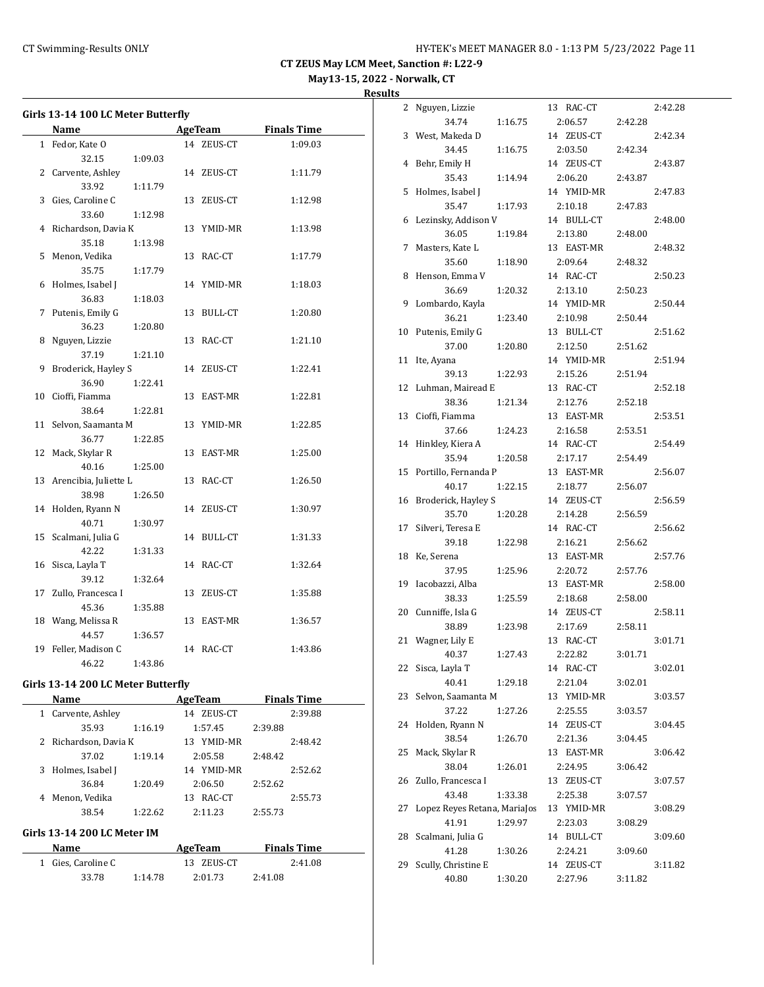**May13-15, 2022 - Norwalk, CT**

**Results**

|    | Girls 13-14 100 LC Meter Butterfly<br>Name |         |                       | <b>Finals Time</b> |
|----|--------------------------------------------|---------|-----------------------|--------------------|
|    | 1 Fedor, Kate O                            |         | AgeTeam<br>14 ZEUS-CT | 1:09.03            |
|    |                                            |         |                       |                    |
|    | 32.15                                      | 1:09.03 |                       |                    |
|    | 2 Carvente, Ashley<br>33.92                |         | 14 ZEUS-CT            | 1:11.79            |
| 3  | Gies, Caroline C                           | 1:11.79 | 13 ZEUS-CT            | 1:12.98            |
|    | 33.60                                      | 1:12.98 |                       |                    |
| 4  | Richardson, Davia K                        |         | 13 YMID-MR            | 1:13.98            |
|    | 35.18                                      | 1:13.98 |                       |                    |
|    | 5 Menon, Vedika                            |         | 13 RAC-CT             | 1:17.79            |
|    | 35.75                                      | 1:17.79 |                       |                    |
| 6  | Holmes, Isabel J                           |         | 14 YMID-MR            | 1:18.03            |
|    | 36.83                                      | 1:18.03 |                       |                    |
|    | 7 Putenis, Emily G                         |         | 13 BULL-CT            | 1:20.80            |
|    | 36.23                                      | 1:20.80 |                       |                    |
| 8  | Nguyen, Lizzie                             |         | 13 RAC-CT             | 1:21.10            |
|    | 37.19                                      | 1:21.10 |                       |                    |
| 9  | Broderick, Hayley S                        |         | 14 ZEUS-CT            | 1:22.41            |
|    | 36.90                                      | 1:22.41 |                       |                    |
| 10 | Cioffi, Fiamma                             |         | 13 EAST-MR            | 1:22.81            |
|    | 38.64                                      | 1:22.81 |                       |                    |
| 11 | Selvon, Saamanta M                         |         | 13 YMID-MR            | 1:22.85            |
|    | 36.77                                      | 1:22.85 |                       |                    |
| 12 | Mack, Skylar R                             |         | 13 EAST-MR            | 1:25.00            |
|    | 40.16                                      | 1:25.00 |                       |                    |
|    | 13 Arencibia, Juliette L                   |         | 13 RAC-CT             | 1:26.50            |
|    | 38.98                                      | 1:26.50 |                       |                    |
|    | 14 Holden, Ryann N                         |         | 14 ZEUS-CT            | 1:30.97            |
|    | 40.71                                      | 1:30.97 |                       |                    |
| 15 | Scalmani, Julia G                          |         | 14 BULL-CT            | 1:31.33            |
|    | 42.22                                      | 1:31.33 |                       |                    |
| 16 | Sisca, Layla T                             |         | 14 RAC-CT             | 1:32.64            |
|    | 39.12                                      | 1:32.64 |                       |                    |
| 17 | Zullo, Francesca I                         |         | 13 ZEUS-CT            | 1:35.88            |
|    | 45.36                                      | 1:35.88 |                       |                    |
|    | 18 Wang, Melissa R                         |         | 13 EAST-MR            | 1:36.57            |
|    | 44.57                                      | 1:36.57 |                       |                    |
|    | 19 Feller, Madison C                       |         | 14 RAC-CT             | 1:43.86            |
|    | 46.22                                      | 1:43.86 |                       |                    |

#### **Girls 13-14 200 LC Meter Butterfly**

|   | Name                  |         | AgeTeam       | <b>Finals Time</b> |  |
|---|-----------------------|---------|---------------|--------------------|--|
|   | 1 Carvente, Ashley    |         | ZEUS-CT<br>14 | 2:39.88            |  |
|   | 35.93                 | 1:16.19 | 1:57.45       | 2:39.88            |  |
|   | 2 Richardson, Davia K |         | YMID-MR<br>13 | 2:48.42            |  |
|   | 37.02                 | 1:19.14 | 2:05.58       | 2:48.42            |  |
|   | 3 Holmes, Isabel J    |         | 14 YMID-MR    | 2:52.62            |  |
|   | 36.84                 | 1:20.49 | 2:06.50       | 2:52.62            |  |
| 4 | Menon, Vedika         |         | RAC-CT<br>13. | 2:55.73            |  |
|   | 38.54                 | 1:22.62 | 2:11.23       | 2:55.73            |  |
|   |                       |         |               |                    |  |

#### **Girls 13-14 200 LC Meter IM**

| Name               |         | AgeTeam    | <b>Finals Time</b> |  |
|--------------------|---------|------------|--------------------|--|
| 1 Gies. Caroline C |         | 13 ZEUS-CT | 2:41.08            |  |
| 33.78              | 1:14.78 | 2:01.73    | 2:41.08            |  |

| 2  | Nguyen, Lizzie                          | 13 RAC-CT                        | 2:42.28 |
|----|-----------------------------------------|----------------------------------|---------|
|    | 34.74<br>1:16.75                        | 2:06.57<br>2:42.28               |         |
| 3  | West, Makeda D                          | 14 ZEUS-CT                       | 2:42.34 |
|    | 34.45<br>1:16.75                        | 2:03.50<br>2:42.34               |         |
| 4  | Behr, Emily H                           | 14 ZEUS-CT                       | 2:43.87 |
|    | 35.43<br>1:14.94                        | 2:06.20<br>2:43.87               |         |
| 5  | Holmes, Isabel J                        | 14 YMID-MR                       | 2:47.83 |
|    | 35.47<br>1:17.93                        | 2:10.18<br>2:47.83               |         |
| 6  | Lezinsky, Addison V                     | 14 BULL-CT                       | 2:48.00 |
|    | 36.05<br>1:19.84                        | 2:13.80<br>2:48.00               |         |
| 7  | Masters, Kate L                         | 13 EAST-MR                       | 2:48.32 |
|    | 35.60<br>1:18.90                        | 2:09.64<br>2:48.32               |         |
| 8  | Henson, Emma V                          | 14 RAC-CT                        | 2:50.23 |
|    | 36.69<br>1:20.32                        | 2:13.10<br>2:50.23               |         |
| 9  | Lombardo, Kayla                         | 14 YMID-MR                       | 2:50.44 |
|    | 36.21<br>1:23.40                        | 2:10.98<br>2:50.44               |         |
| 10 | Putenis, Emily G                        | 13 BULL-CT                       | 2:51.62 |
|    | 37.00<br>1:20.80                        | 2:12.50<br>2:51.62               |         |
| 11 | Ite, Ayana                              | 14 YMID-MR                       | 2:51.94 |
|    | 39.13<br>1:22.93                        | 2:15.26<br>2:51.94               |         |
| 12 | Luhman, Mairead E                       | 13 RAC-CT                        | 2:52.18 |
|    | 38.36<br>1:21.34                        | 2:12.76<br>2:52.18               |         |
| 13 | Cioffi, Fiamma                          | 13 EAST-MR                       | 2:53.51 |
|    | 37.66<br>1:24.23                        | 2:16.58<br>2:53.51               |         |
| 14 | Hinkley, Kiera A                        | 14 RAC-CT                        | 2:54.49 |
|    | 35.94<br>1:20.58                        | 2:17.17<br>2:54.49               |         |
| 15 | Portillo, Fernanda P                    | 13 EAST-MR                       | 2:56.07 |
|    | 40.17<br>1:22.15                        | 2:18.77<br>2:56.07               |         |
| 16 | Broderick, Hayley S                     | 14 ZEUS-CT                       | 2:56.59 |
|    | 35.70<br>1:20.28                        | 2:14.28<br>2:56.59               |         |
| 17 | Silveri, Teresa E                       | 14 RAC-CT                        | 2:56.62 |
|    | 39.18<br>1:22.98                        | 2:16.21<br>2:56.62               |         |
| 18 | Ke, Serena                              | 13 EAST-MR                       | 2:57.76 |
|    | 37.95<br>1:25.96                        | 2:20.72<br>2:57.76               |         |
| 19 | Iacobazzi, Alba                         | 13 EAST-MR                       | 2:58.00 |
|    | 38.33<br>1:25.59                        | 2:18.68<br>2:58.00               |         |
| 20 | Cunniffe, Isla G                        | 14 ZEUS-CT                       | 2:58.11 |
|    | 38.89<br>1:23.98                        | 2:17.69<br>2:58.11               |         |
| 21 | Wagner, Lily E                          | 13 RAC-CT                        | 3:01.71 |
|    | 40.37<br>1:27.43                        | 2:22.82<br>3:01.71               |         |
| 22 | Sisca, Layla T                          | 14 RAC-CT                        | 3:02.01 |
|    | 40.41<br>1:29.18                        | 2:21.04<br>3:02.01               |         |
| 23 | Selvon, Saamanta M                      | 13 YMID-MR                       | 3:03.57 |
|    | 37.22<br>1:27.26                        | 2:25.55<br>3:03.57               |         |
| 24 | Holden, Ryann N                         | 14 ZEUS-CT                       | 3:04.45 |
|    | 38.54<br>1:26.70                        | 2:21.36<br>3:04.45               |         |
| 25 | Mack, Skylar R                          | 13 EAST-MR                       | 3:06.42 |
|    | 38.04<br>1:26.01                        | 2:24.95<br>3:06.42               |         |
| 26 | Zullo, Francesca I                      | 13<br>ZEUS-CT                    | 3:07.57 |
|    | 43.48<br>1:33.38                        | 2:25.38<br>3:07.57               |         |
| 27 | Lopez Reyes Retana, MariaJos            | 13<br>YMID-MR                    | 3:08.29 |
|    | 41.91<br>1:29.97                        | 2:23.03<br>3:08.29<br>BULL-CT    |         |
| 28 | Scalmani, Julia G                       | 14                               | 3:09.60 |
| 29 | 41.28<br>1:30.26<br>Scully, Christine E | 2:24.21<br>3:09.60<br>14 ZEUS-CT | 3:11.82 |
|    | 40.80<br>1:30.20                        | 2:27.96<br>3:11.82               |         |
|    |                                         |                                  |         |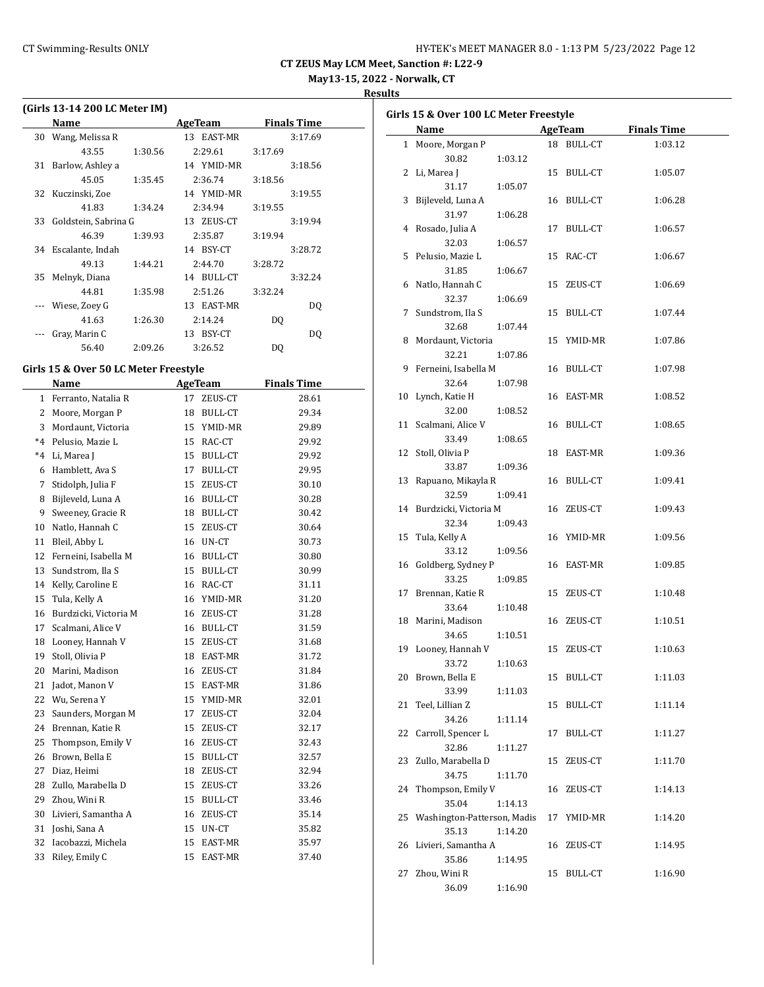**May13-15, 2022 - Norwalk, CT**

**Results**

|    | (Girls 13-14 200 LC Meter IM)         |         |            |                    |  |
|----|---------------------------------------|---------|------------|--------------------|--|
|    | Name                                  |         | AgeTeam    | <b>Finals Time</b> |  |
| 30 | Wang, Melissa R                       |         | 13 EAST-MR | 3:17.69            |  |
|    | 43.55                                 | 1:30.56 | 2:29.61    | 3:17.69            |  |
| 31 | Barlow, Ashley a                      |         | 14 YMID-MR | 3:18.56            |  |
|    | 45.05                                 | 1:35.45 | 2:36.74    | 3:18.56            |  |
| 32 | Kuczinski, Zoe                        |         | 14 YMID-MR | 3:19.55            |  |
|    | 41.83                                 | 1:34.24 | 2:34.94    | 3:19.55            |  |
| 33 | Goldstein, Sabrina G                  |         | 13 ZEUS-CT | 3:19.94            |  |
|    | 46.39                                 | 1:39.93 | 2:35.87    | 3:19.94            |  |
| 34 | Escalante, Indah                      |         | 14 BSY-CT  | 3:28.72            |  |
|    | 49.13                                 | 1:44.21 | 2:44.70    | 3:28.72            |  |
| 35 | Melnyk, Diana                         |         | 14 BULL-CT | 3:32.24            |  |
|    | 44.81                                 | 1:35.98 | 2:51.26    | 3:32.24            |  |
|    | Wiese, Zoey G                         |         | 13 EAST-MR | DQ                 |  |
|    | 41.63                                 | 1:26.30 | 2:14.24    | DQ                 |  |
|    | Gray, Marin C                         |         | 13 BSY-CT  | DQ                 |  |
|    | 56.40                                 | 2:09.26 | 3:26.52    | DQ                 |  |
|    | Girls 15 & Over 50 LC Meter Freestyle |         |            |                    |  |
|    | Name                                  |         | AgeTeam    | <b>Finals Time</b> |  |
|    |                                       |         |            |                    |  |

|       | Name                     |    | <b>Age ream</b> | rinais Time |
|-------|--------------------------|----|-----------------|-------------|
| 1     | Ferranto, Natalia R      | 17 | ZEUS-CT         | 28.61       |
| 2     | Moore, Morgan P          | 18 | BULL-CT         | 29.34       |
| 3     | Mordaunt, Victoria       | 15 | YMID-MR         | 29.89       |
| $^*4$ | Pelusio, Mazie L         | 15 | RAC-CT          | 29.92       |
| $^*4$ | Li, Marea J              | 15 | BULL-CT         | 29.92       |
| 6     | Hamblett, Ava S          | 17 | BULL-CT         | 29.95       |
| 7     | Stidolph, Julia F        | 15 | ZEUS-CT         | 30.10       |
| 8     | Bijleveld, Luna A        | 16 | BULL-CT         | 30.28       |
| 9     | Sweeney, Gracie R        | 18 | BULL-CT         | 30.42       |
| 10    | Natlo, Hannah C          | 15 | ZEUS-CT         | 30.64       |
| 11    | Bleil, Abby L            | 16 | UN-CT           | 30.73       |
| 12    | Ferneini, Isabella M     | 16 | BULL-CT         | 30.80       |
| 13    | Sundstrom, Ila S         | 15 | BULL-CT         | 30.99       |
| 14    | Kelly, Caroline E        | 16 | RAC-CT          | 31.11       |
| 15    | Tula, Kelly A            | 16 | YMID-MR         | 31.20       |
|       | 16 Burdzicki, Victoria M | 16 | ZEUS-CT         | 31.28       |
| 17    | Scalmani, Alice V        | 16 | BULL-CT         | 31.59       |
| 18    | Looney, Hannah V         | 15 | ZEUS-CT         | 31.68       |
| 19    | Stoll, Olivia P          | 18 | EAST-MR         | 31.72       |
| 20    | Marini, Madison          | 16 | ZEUS-CT         | 31.84       |
| 21    | Jadot, Manon V           | 15 | EAST-MR         | 31.86       |
|       | 22 Wu, Serena Y          | 15 | YMID-MR         | 32.01       |
| 23    | Saunders, Morgan M       | 17 | ZEUS-CT         | 32.04       |
| 24    | Brennan, Katie R         | 15 | ZEUS-CT         | 32.17       |
| 25    | Thompson, Emily V        | 16 | ZEUS-CT         | 32.43       |
| 26    | Brown, Bella E           | 15 | BULL-CT         | 32.57       |
| 27    | Diaz, Heimi              | 18 | ZEUS-CT         | 32.94       |
| 28    | Zullo, Marabella D       | 15 | ZEUS-CT         | 33.26       |
| 29    | Zhou, Wini R             | 15 | BULL-CT         | 33.46       |
| 30    | Livieri, Samantha A      | 16 | ZEUS-CT         | 35.14       |
| 31    | Joshi, Sana A            | 15 | UN-CT           | 35.82       |
| 32    | Iacobazzi, Michela       | 15 | EAST-MR         | 35.97       |
| 33    | Riley, Emily C           | 15 | EAST-MR         | 37.40       |
|       |                          |    |                 |             |

|    | Name                        |         |    | <b>AgeTeam</b> | <b>Finals Time</b> |
|----|-----------------------------|---------|----|----------------|--------------------|
|    | 1 Moore, Morgan P           |         |    | 18 BULL-CT     | 1:03.12            |
|    | 30.82                       | 1:03.12 |    |                |                    |
|    | 2 Li, Marea J               |         |    | 15 BULL-CT     | 1:05.07            |
|    | 31.17                       | 1:05.07 |    |                |                    |
| 3  | Bijleveld, Luna A           |         |    | 16 BULL-CT     | 1:06.28            |
|    | 31.97                       | 1:06.28 |    |                |                    |
| 4  | Rosado, Julia A             |         | 17 | BULL-CT        | 1:06.57            |
|    | 32.03                       | 1:06.57 |    |                |                    |
|    | 5 Pelusio, Mazie L          |         |    | 15 RAC-CT      | 1:06.67            |
|    | 31.85                       | 1:06.67 |    |                |                    |
|    | 6 Natlo, Hannah C           |         | 15 | ZEUS-CT        | 1:06.69            |
|    | 32.37                       | 1:06.69 |    |                |                    |
|    | 7 Sundstrom, Ila S          |         |    | 15 BULL-CT     | 1:07.44            |
|    | 32.68                       | 1:07.44 |    |                |                    |
|    | 8 Mordaunt, Victoria        |         |    | 15 YMID-MR     | 1:07.86            |
|    | 32.21                       | 1:07.86 |    |                |                    |
| 9. | Ferneini, Isabella M        |         |    | 16 BULL-CT     | 1:07.98            |
|    | 32.64                       | 1:07.98 |    |                |                    |
|    | 10 Lynch, Katie H           |         |    | 16 EAST-MR     | 1:08.52            |
|    | 32.00                       | 1:08.52 |    |                |                    |
|    | 11 Scalmani, Alice V        |         |    | 16 BULL-CT     | 1:08.65            |
|    | 33.49                       | 1:08.65 |    |                |                    |
|    | 12 Stoll, Olivia P          |         |    | 18 EAST-MR     | 1:09.36            |
|    | 33.87                       | 1:09.36 |    |                |                    |
| 13 | Rapuano, Mikayla R          |         |    | 16 BULL-CT     | 1:09.41            |
|    | 32.59                       | 1:09.41 |    |                |                    |
|    | 14 Burdzicki, Victoria M    |         |    | 16 ZEUS-CT     | 1:09.43            |
|    | 32.34                       | 1:09.43 |    |                |                    |
| 15 | Tula, Kelly A               |         |    | 16 YMID-MR     | 1:09.56            |
|    | 33.12                       | 1:09.56 |    |                |                    |
|    | 16 Goldberg, Sydney P       |         |    | 16 EAST-MR     | 1:09.85            |
|    | 33.25                       | 1:09.85 |    |                |                    |
|    | 17 Brennan, Katie R         |         |    | 15 ZEUS-CT     | 1:10.48            |
|    | 33.64                       | 1:10.48 |    |                |                    |
|    | 18 Marini, Madison          |         |    | 16 ZEUS-CT     | 1:10.51            |
|    | 34.65                       | 1:10.51 |    |                |                    |
| 19 | Looney, Hannah V            |         | 15 | ZEUS-CT        | 1:10.63            |
|    | 33.72<br>20 Brown, Bella E  | 1:10.63 |    | 15 BULL-CT     | 1:11.03            |
|    | 33.99                       | 1:11.03 |    |                |                    |
| 21 | Teel, Lillian Z             |         | 15 | <b>BULL-CT</b> | 1:11.14            |
|    | 34.26                       | 1:11.14 |    |                |                    |
| 22 | Carroll, Spencer L          |         | 17 | <b>BULL-CT</b> | 1:11.27            |
|    | 32.86                       | 1:11.27 |    |                |                    |
| 23 | Zullo, Marabella D          |         | 15 | ZEUS-CT        | 1:11.70            |
|    | 34.75                       | 1:11.70 |    |                |                    |
| 24 | Thompson, Emily V           |         | 16 | ZEUS-CT        | 1:14.13            |
|    | 35.04                       | 1:14.13 |    |                |                    |
| 25 | Washington-Patterson, Madis |         | 17 | YMID-MR        | 1:14.20            |
|    | 35.13                       | 1:14.20 |    |                |                    |
| 26 | Livieri, Samantha A         |         | 16 | ZEUS-CT        | 1:14.95            |
|    | 35.86                       | 1:14.95 |    |                |                    |
| 27 | Zhou, Wini R                |         | 15 | <b>BULL-CT</b> | 1:16.90            |
|    | 36.09                       | 1:16.90 |    |                |                    |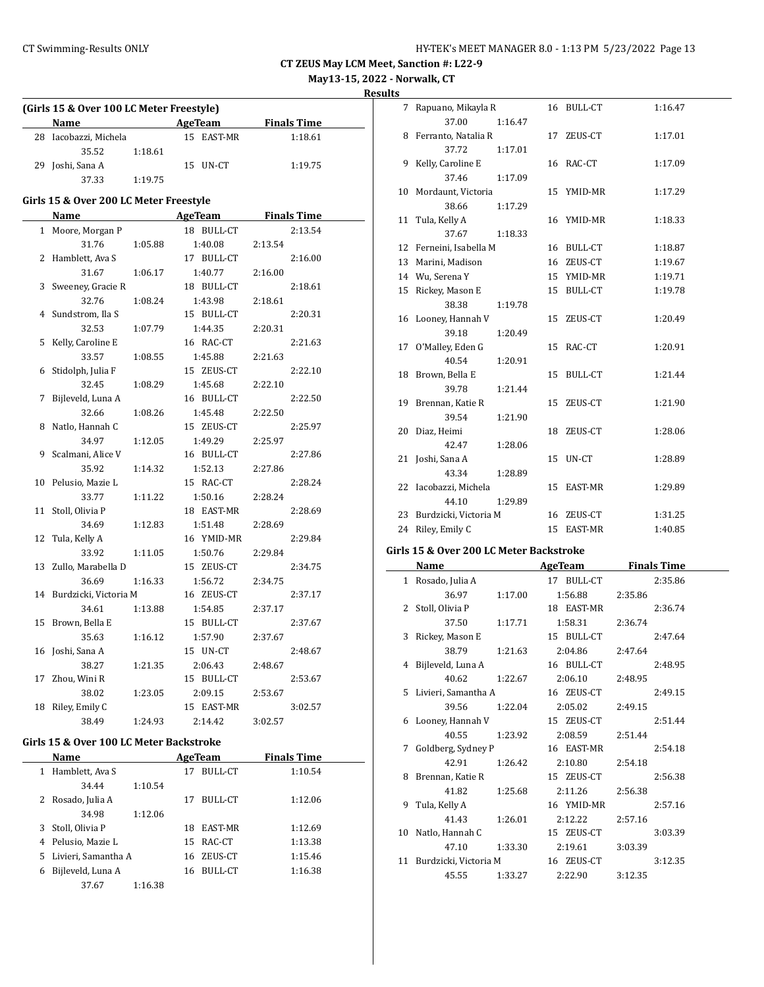**May13-15, 2022 - Norwalk, CT**

**Results**

 $\frac{1}{2}$ 

|              | (Girls 15 & Over 100 LC Meter Freestyle)<br>Name |         |    |                |         | <b>Finals Time</b> |
|--------------|--------------------------------------------------|---------|----|----------------|---------|--------------------|
| 28           |                                                  |         | 15 | AgeTeam        |         | 1:18.61            |
|              | Iacobazzi, Michela                               |         |    | <b>EAST-MR</b> |         |                    |
|              | 35.52                                            | 1:18.61 |    |                |         |                    |
| 29           | Joshi, Sana A                                    |         | 15 | UN-CT          |         | 1:19.75            |
|              | 37.33                                            | 1:19.75 |    |                |         |                    |
|              | Girls 15 & Over 200 LC Meter Freestyle           |         |    |                |         |                    |
|              | Name                                             |         |    | AgeTeam        |         | <b>Finals Time</b> |
| $\mathbf{1}$ | Moore, Morgan P                                  |         |    | 18 BULL-CT     |         | 2:13.54            |
|              | 31.76                                            | 1:05.88 |    | 1:40.08        | 2:13.54 |                    |
| 2            | Hamblett, Ava S                                  |         |    | 17 BULL-CT     |         | 2:16.00            |
|              | 31.67                                            | 1:06.17 |    | 1:40.77        | 2:16.00 |                    |
| 3            | Sweeney, Gracie R                                |         |    | 18 BULL-CT     |         | 2:18.61            |
|              | 32.76                                            | 1:08.24 |    | 1:43.98        | 2:18.61 |                    |
| 4            | Sundstrom, Ila S                                 |         |    | 15 BULL-CT     |         | 2:20.31            |
|              | 32.53                                            | 1:07.79 |    | 1:44.35        | 2:20.31 |                    |
| 5            | Kelly, Caroline E                                |         |    | 16 RAC-CT      |         | 2:21.63            |
|              | 33.57                                            | 1:08.55 |    | 1:45.88        | 2:21.63 |                    |
| 6            | Stidolph, Julia F                                |         |    | 15 ZEUS-CT     |         | 2:22.10            |
|              | 32.45                                            | 1:08.29 |    | 1:45.68        | 2:22.10 |                    |
| 7            | Bijleveld, Luna A                                |         |    | 16 BULL-CT     |         | 2:22.50            |
|              | 32.66                                            | 1:08.26 |    | 1:45.48        | 2:22.50 |                    |
| 8            | Natlo, Hannah C                                  |         |    | 15 ZEUS-CT     |         | 2:25.97            |
|              | 34.97                                            | 1:12.05 |    | 1:49.29        | 2:25.97 |                    |
| 9            | Scalmani, Alice V                                |         |    | 16 BULL-CT     |         | 2:27.86            |
|              | 35.92                                            | 1:14.32 |    | 1:52.13        | 2:27.86 |                    |
| 10           | Pelusio, Mazie L                                 |         |    | 15 RAC-CT      |         | 2:28.24            |
|              | 33.77                                            | 1:11.22 |    | 1:50.16        | 2:28.24 |                    |
| 11           | Stoll, Olivia P                                  |         |    | 18 EAST-MR     |         | 2:28.69            |
|              | 34.69                                            | 1:12.83 |    | 1:51.48        | 2:28.69 |                    |
| 12           | Tula, Kelly A                                    |         |    | 16 YMID-MR     |         | 2:29.84            |
|              | 33.92                                            | 1:11.05 |    | 1:50.76        | 2:29.84 |                    |
| 13           | Zullo, Marabella D                               |         |    | 15 ZEUS-CT     |         | 2:34.75            |
|              | 36.69                                            | 1:16.33 |    | 1:56.72        | 2:34.75 |                    |
| 14           | Burdzicki, Victoria M                            |         |    | 16 ZEUS-CT     |         | 2:37.17            |
|              | 34.61                                            | 1:13.88 |    | 1:54.85        | 2:37.17 |                    |
| 15           | Brown, Bella E                                   |         |    | 15 BULL-CT     |         | 2:37.67            |
|              | 35.63                                            | 1:16.12 |    | 1:57.90        | 2:37.67 |                    |
| 16           | Joshi, Sana A                                    |         |    | 15 UN-CT       |         | 2:48.67            |
|              | 38.27                                            | 1:21.35 |    | 2:06.43        | 2:48.67 |                    |
| 17           | Zhou, Wini R                                     |         |    | 15 BULL-CT     |         | 2:53.67            |
|              | 38.02                                            | 1:23.05 |    | 2:09.15        | 2:53.67 |                    |
| 18           | Riley, Emily C                                   |         |    | 15 EAST-MR     |         | 3:02.57            |
|              | 38.49                                            | 1:24.93 |    | 2:14.42        | 3:02.57 |                    |

## **Girls 15 & Over 100 LC Meter Backstroke**

|              | Name                  |         |    | AgeTeam        | <b>Finals Time</b> |  |
|--------------|-----------------------|---------|----|----------------|--------------------|--|
| $\mathbf{1}$ | Hamblett, Ava S       |         | 17 | BULL-CT        | 1:10.54            |  |
|              | 34.44                 | 1:10.54 |    |                |                    |  |
|              | 2 Rosado, Julia A     |         | 17 | BULL-CT        | 1:12.06            |  |
|              | 34.98                 | 1:12.06 |    |                |                    |  |
| 3            | Stoll, Olivia P       |         | 18 | EAST-MR        | 1:12.69            |  |
|              | 4 Pelusio, Mazie L    |         |    | 15 RAC-CT      | 1:13.38            |  |
|              | 5 Livieri, Samantha A |         | 16 | ZEUS-CT        | 1:15.46            |  |
| 6            | Bijleveld, Luna A     |         | 16 | <b>BULL-CT</b> | 1:16.38            |  |
|              | 37.67                 | 1:16.38 |    |                |                    |  |

| 7  | Rapuano, Mikayla R    |         |    | 16 BULL-CT | 1:16.47 |
|----|-----------------------|---------|----|------------|---------|
|    | 37.00                 | 1:16.47 |    |            |         |
| 8  | Ferranto, Natalia R   |         |    | 17 ZEUS-CT | 1:17.01 |
|    | 37.72                 | 1:17.01 |    |            |         |
| 9  | Kelly, Caroline E     |         |    | 16 RAC-CT  | 1:17.09 |
|    | 37.46                 | 1:17.09 |    |            |         |
| 10 | Mordaunt, Victoria    |         |    | 15 YMID-MR | 1:17.29 |
|    | 38.66                 | 1:17.29 |    |            |         |
| 11 | Tula, Kelly A         |         |    | 16 YMID-MR | 1:18.33 |
|    | 37.67                 | 1:18.33 |    |            |         |
| 12 | Ferneini, Isabella M  |         |    | 16 BULL-CT | 1:18.87 |
| 13 | Marini, Madison       |         |    | 16 ZEUS-CT | 1:19.67 |
| 14 | Wu, Serena Y          |         |    | 15 YMID-MR | 1:19.71 |
| 15 | Rickey, Mason E       |         |    | 15 BULL-CT | 1:19.78 |
|    | 38.38                 | 1:19.78 |    |            |         |
|    | 16 Looney, Hannah V   |         |    | 15 ZEUS-CT | 1:20.49 |
|    | 39.18                 | 1:20.49 |    |            |         |
| 17 | O'Malley, Eden G      |         |    | 15 RAC-CT  | 1:20.91 |
|    | 40.54                 | 1:20.91 |    |            |         |
| 18 | Brown, Bella E        |         |    | 15 BULL-CT | 1:21.44 |
|    | 39.78                 | 1:21.44 |    |            |         |
| 19 | Brennan, Katie R      |         |    | 15 ZEUS-CT | 1:21.90 |
|    | 39.54                 | 1:21.90 |    |            |         |
| 20 | Diaz, Heimi           |         |    | 18 ZEUS-CT | 1:28.06 |
|    | 42.47                 | 1:28.06 |    |            |         |
| 21 | Joshi, Sana A         |         | 15 | UN-CT      | 1:28.89 |
|    | 43.34                 | 1:28.89 |    |            |         |
| 22 | Iacobazzi, Michela    |         | 15 | EAST-MR    | 1:29.89 |
|    | 44.10                 | 1:29.89 |    |            |         |
| 23 | Burdzicki, Victoria M |         |    | 16 ZEUS-CT | 1:31.25 |
| 24 | Riley, Emily C        |         | 15 | EAST-MR    | 1:40.85 |

## **Girls 15 & Over 200 LC Meter Backstroke**

|              | Name                  |         | AgeTeam |            |         | <b>Finals Time</b> |
|--------------|-----------------------|---------|---------|------------|---------|--------------------|
| $\mathbf{1}$ | Rosado, Julia A       |         |         | 17 BULL-CT |         | 2:35.86            |
|              | 36.97                 | 1:17.00 |         | 1:56.88    | 2:35.86 |                    |
|              | 2 Stoll, Olivia P     |         |         | 18 EAST-MR |         | 2:36.74            |
|              | 37.50                 | 1:17.71 |         | 1:58.31    | 2:36.74 |                    |
| 3            | Rickey, Mason E       |         |         | 15 BULL-CT |         | 2:47.64            |
|              | 38.79                 | 1:21.63 |         | 2:04.86    | 2:47.64 |                    |
| 4            | Bijleveld, Luna A     |         |         | 16 BULL-CT |         | 2:48.95            |
|              | 40.62                 | 1:22.67 | 2:06.10 |            | 2:48.95 |                    |
|              | 5 Livieri, Samantha A |         |         | 16 ZEUS-CT |         | 2:49.15            |
|              | 39.56                 | 1:22.04 | 2:05.02 |            | 2:49.15 |                    |
| 6            | Looney, Hannah V      |         |         | 15 ZEUS-CT |         | 2:51.44            |
|              | 40.55                 | 1:23.92 |         | 2:08.59    | 2:51.44 |                    |
| 7            | Goldberg, Sydney P    |         |         | 16 EAST-MR |         | 2:54.18            |
|              | 42.91                 | 1:26.42 |         | 2:10.80    | 2:54.18 |                    |
| 8            | Brennan, Katie R      |         |         | 15 ZEUS-CT |         | 2:56.38            |
|              | 41.82                 | 1:25.68 |         | 2:11.26    | 2:56.38 |                    |
| 9            | Tula, Kelly A         |         |         | 16 YMID-MR |         | 2:57.16            |
|              | 41.43                 | 1:26.01 | 2:12.22 |            | 2:57.16 |                    |
| 10           | Natlo, Hannah C       |         |         | 15 ZEUS-CT |         | 3:03.39            |
|              | 47.10                 | 1:33.30 |         | 2:19.61    | 3:03.39 |                    |
| 11           | Burdzicki, Victoria M |         |         | 16 ZEUS-CT |         | 3:12.35            |
|              | 45.55                 | 1:33.27 | 2:22.90 |            | 3:12.35 |                    |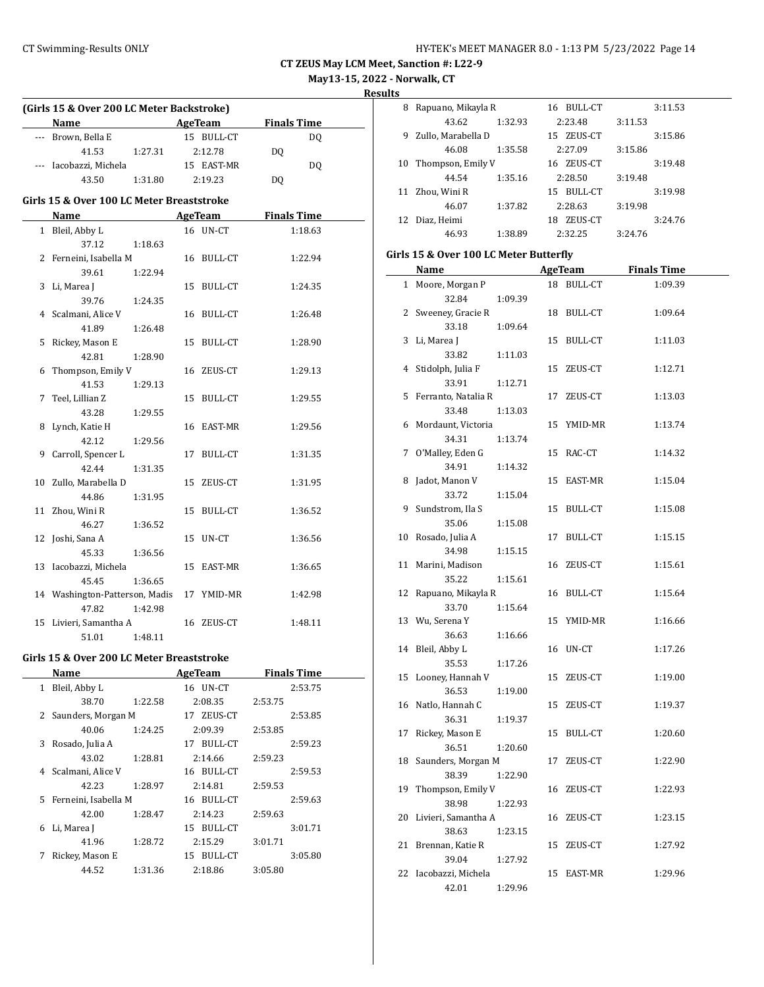8 Rapuano, Mikayla R 16 BULL-CT 3:11.53 43.62 1:32.93 2:23.48 3:11.53 9 Zullo, Marabella D 15 ZEUS-CT 3:15.86 46.08 1:35.58 2:27.09 3:15.86

**CT ZEUS May LCM Meet, Sanction #: L22-9**

**May13-15, 2022 - Norwalk, CT**

**Results**

|                | (Girls 15 & Over 200 LC Meter Backstroke) |         |    |                |                    |  |  |
|----------------|-------------------------------------------|---------|----|----------------|--------------------|--|--|
|                | Name AgeTeam                              |         |    |                | <b>Finals Time</b> |  |  |
| $\overline{a}$ | Brown, Bella E                            |         |    | 15 BULL-CT     | DQ                 |  |  |
|                | 41.53                                     | 1:27.31 |    | 2:12.78        | DQ                 |  |  |
|                | --- Iacobazzi, Michela                    |         |    | 15 EAST-MR     | DQ                 |  |  |
|                | 43.50                                     | 1:31.80 |    | 2:19.23        | DQ                 |  |  |
|                | Girls 15 & Over 100 LC Meter Breaststroke |         |    |                |                    |  |  |
|                | Name                                      |         |    | <b>AgeTeam</b> | <b>Finals Time</b> |  |  |
|                | 1 Bleil, Abby L                           |         |    | 16 UN-CT       | 1:18.63            |  |  |
|                | 37.12                                     | 1:18.63 |    |                |                    |  |  |
| 2              | Ferneini, Isabella M                      |         |    | 16 BULL-CT     | 1:22.94            |  |  |
|                | 39.61                                     | 1:22.94 |    |                |                    |  |  |
|                | 3 Li, Marea J                             |         | 15 | BULL-CT        | 1:24.35            |  |  |
|                | 39.76                                     | 1:24.35 |    |                |                    |  |  |
| 4              | Scalmani, Alice V                         |         | 16 | BULL-CT        | 1:26.48            |  |  |
|                | 41.89                                     | 1:26.48 |    |                |                    |  |  |
| 5              | Rickey, Mason E                           |         | 15 | BULL-CT        | 1:28.90            |  |  |
|                | 42.81                                     | 1:28.90 |    |                |                    |  |  |
| 6              | Thompson, Emily V                         |         | 16 | ZEUS-CT        | 1:29.13            |  |  |
|                | 41.53                                     | 1:29.13 |    |                |                    |  |  |
| 7              | Teel, Lillian Z                           |         | 15 | BULL-CT        | 1:29.55            |  |  |
|                | 43.28                                     | 1:29.55 |    |                |                    |  |  |
| 8              | Lynch, Katie H                            |         | 16 | EAST-MR        | 1:29.56            |  |  |
|                | 42.12                                     | 1:29.56 |    |                |                    |  |  |
| 9              | Carroll, Spencer L                        |         | 17 | BULL-CT        | 1:31.35            |  |  |
|                | 42.44                                     | 1:31.35 |    |                |                    |  |  |
| 10             | Zullo, Marabella D                        |         | 15 | ZEUS-CT        | 1:31.95            |  |  |
|                | 44.86                                     | 1:31.95 |    |                |                    |  |  |
| 11             | Zhou, Wini R                              |         | 15 | <b>BULL-CT</b> | 1:36.52            |  |  |
|                | 46.27                                     | 1:36.52 |    |                |                    |  |  |
| 12             | Joshi, Sana A                             |         | 15 | UN-CT          | 1:36.56            |  |  |
|                | 45.33                                     | 1:36.56 |    |                |                    |  |  |
| 13             | Iacobazzi, Michela                        |         | 15 | EAST-MR        | 1:36.65            |  |  |
|                | 45.45                                     | 1:36.65 |    |                |                    |  |  |
|                | 14 Washington-Patterson, Madis            |         |    | 17 YMID-MR     | 1:42.98            |  |  |
|                | 47.82                                     | 1:42.98 |    |                |                    |  |  |
|                | 15 Livieri, Samantha A                    |         |    | 16 ZEUS-CT     | 1:48.11            |  |  |
|                | 51.01                                     | 1:48.11 |    |                |                    |  |  |
|                | Girls 15 & Over 200 LC Meter Breaststroke |         |    |                |                    |  |  |
|                | <b>Name</b>                               |         |    | AgeTeam        | <b>Finals Time</b> |  |  |
|                | 1 Bleil, Abby L                           |         |    | 16 UN-CT       | 2:53.75            |  |  |
|                | 38.70                                     | 1:22.58 |    | 2:08.35        | 2:53.75            |  |  |
|                | 2 Saunders, Morgan M                      |         |    | 17 ZEUS-CT     | 2:53.85            |  |  |

40.06 1:24.25 2:09.39 2:53.85 3 Rosado, Julia A 17 BULL-CT 2:59.23 43.02 1:28.81 2:14.66 2:59.23 4 Scalmani, Alice V 16 BULL-CT 2:59.53 42.23 1:28.97 2:14.81 2:59.53 5 Ferneini, Isabella M 16 BULL-CT 2:59.63 42.00 1:28.47 2:14.23 2:59.63 6 Li, Marea J 15 BULL-CT 3:01.71 41.96 1:28.72 2:15.29 3:01.71 7 Rickey, Mason E 15 BULL-CT 3:05.80 44.52 1:31.36 2:18.86 3:05.80

| 10                                     | Thompson, Emily V   |         |    | 16 ZEUS-CT     |         | 3:19.48            |  |  |  |
|----------------------------------------|---------------------|---------|----|----------------|---------|--------------------|--|--|--|
|                                        | 44.54               | 1:35.16 |    | 2:28.50        | 3:19.48 |                    |  |  |  |
| 11                                     | Zhou, Wini R        |         |    | 15 BULL-CT     |         | 3:19.98            |  |  |  |
|                                        | 46.07               | 1:37.82 |    | 2:28.63        | 3:19.98 |                    |  |  |  |
| 12                                     | Diaz, Heimi         |         |    | 18 ZEUS-CT     |         | 3:24.76            |  |  |  |
|                                        | 46.93               | 1:38.89 |    | 2:32.25        | 3:24.76 |                    |  |  |  |
|                                        |                     |         |    |                |         |                    |  |  |  |
| Girls 15 & Over 100 LC Meter Butterfly |                     |         |    |                |         |                    |  |  |  |
|                                        | Name                |         |    | AgeTeam        |         | <b>Finals Time</b> |  |  |  |
|                                        | 1 Moore, Morgan P   |         |    | 18 BULL-CT     |         | 1:09.39            |  |  |  |
|                                        | 32.84               | 1:09.39 |    |                |         |                    |  |  |  |
|                                        | 2 Sweeney, Gracie R |         |    | 18 BULL-CT     |         | 1:09.64            |  |  |  |
|                                        | 33.18               | 1:09.64 |    |                |         |                    |  |  |  |
| 3                                      | Li, Marea J         |         | 15 | <b>BULL-CT</b> |         | 1:11.03            |  |  |  |
|                                        | 33.82               | 1:11.03 |    |                |         |                    |  |  |  |
|                                        | 4 Stidolph, Julia F |         | 15 | ZEUS-CT        |         | 1:12.71            |  |  |  |
|                                        | 33.91               | 1:12.71 |    |                |         |                    |  |  |  |
| 5                                      | Ferranto, Natalia R |         | 17 | ZEUS-CT        |         | 1:13.03            |  |  |  |
|                                        | 33.48               | 1:13.03 |    |                |         |                    |  |  |  |
| 6                                      | Mordaunt, Victoria  |         | 15 | YMID-MR        |         | 1:13.74            |  |  |  |
|                                        | 34.31               | 1:13.74 |    |                |         |                    |  |  |  |
|                                        | 7 O'Malley, Eden G  |         |    | 15 RAC-CT      |         | 1:14.32            |  |  |  |
|                                        | 34.91               | 1:14.32 |    |                |         |                    |  |  |  |
| 8                                      | Jadot, Manon V      |         | 15 | EAST-MR        |         | 1:15.04            |  |  |  |
|                                        | 33.72               | 1:15.04 |    |                |         |                    |  |  |  |
| 9                                      | Sundstrom, Ila S    |         | 15 | <b>BULL-CT</b> |         | 1:15.08            |  |  |  |
|                                        | 35.06               | 1:15.08 |    |                |         |                    |  |  |  |
| 10                                     | Rosado, Julia A     |         |    | 17 BULL-CT     |         | 1:15.15            |  |  |  |
|                                        | 34.98               | 1:15.15 |    |                |         |                    |  |  |  |
| 11                                     | Marini, Madison     |         |    | 16 ZEUS-CT     |         | 1:15.61            |  |  |  |
|                                        | 35.22               | 1:15.61 |    |                |         |                    |  |  |  |
| 12                                     | Rapuano, Mikayla R  |         |    | 16 BULL-CT     |         | 1:15.64            |  |  |  |
|                                        |                     |         |    |                |         |                    |  |  |  |
|                                        | 33.70               | 1:15.64 |    |                |         |                    |  |  |  |
|                                        | 13 Wu, Serena Y     |         | 15 | YMID-MR        |         | 1:16.66            |  |  |  |
|                                        | 36.63               | 1:16.66 |    |                |         |                    |  |  |  |
| 14                                     | Bleil, Abby L       |         |    | 16 UN-CT       |         | 1:17.26            |  |  |  |
|                                        | 35.53               | 1:17.26 |    |                |         |                    |  |  |  |
| 15                                     | Looney, Hannah V    |         | 15 | ZEUS-CT        |         | 1:19.00            |  |  |  |
|                                        | 36.53               | 1:19.00 |    |                |         |                    |  |  |  |
|                                        | 16 Natlo, Hannah C  |         | 15 | ZEUS-CT        |         | 1:19.37            |  |  |  |
|                                        | 36.31               | 1:19.37 |    |                |         |                    |  |  |  |
| 17                                     | Rickey, Mason E     |         |    | 15 BULL-CT     |         | 1:20.60            |  |  |  |
|                                        | 36.51               | 1:20.60 |    |                |         |                    |  |  |  |
| 18                                     | Saunders, Morgan M  |         | 17 | ZEUS-CT        |         | 1:22.90            |  |  |  |
|                                        | 38.39               | 1:22.90 |    |                |         |                    |  |  |  |
| 19                                     | Thompson, Emily V   |         | 16 | ZEUS-CT        |         | 1:22.93            |  |  |  |
|                                        | 38.98               | 1:22.93 |    |                |         |                    |  |  |  |
| 20                                     | Livieri, Samantha A |         | 16 | ZEUS-CT        |         | 1:23.15            |  |  |  |
|                                        | 38.63               | 1:23.15 |    |                |         |                    |  |  |  |
| 21                                     | Brennan, Katie R    |         | 15 | ZEUS-CT        |         | 1:27.92            |  |  |  |
|                                        | 39.04               | 1:27.92 |    |                |         |                    |  |  |  |
| 22                                     | Iacobazzi, Michela  |         | 15 | EAST-MR        |         | 1:29.96            |  |  |  |
|                                        | 42.01               | 1:29.96 |    |                |         |                    |  |  |  |
|                                        |                     |         |    |                |         |                    |  |  |  |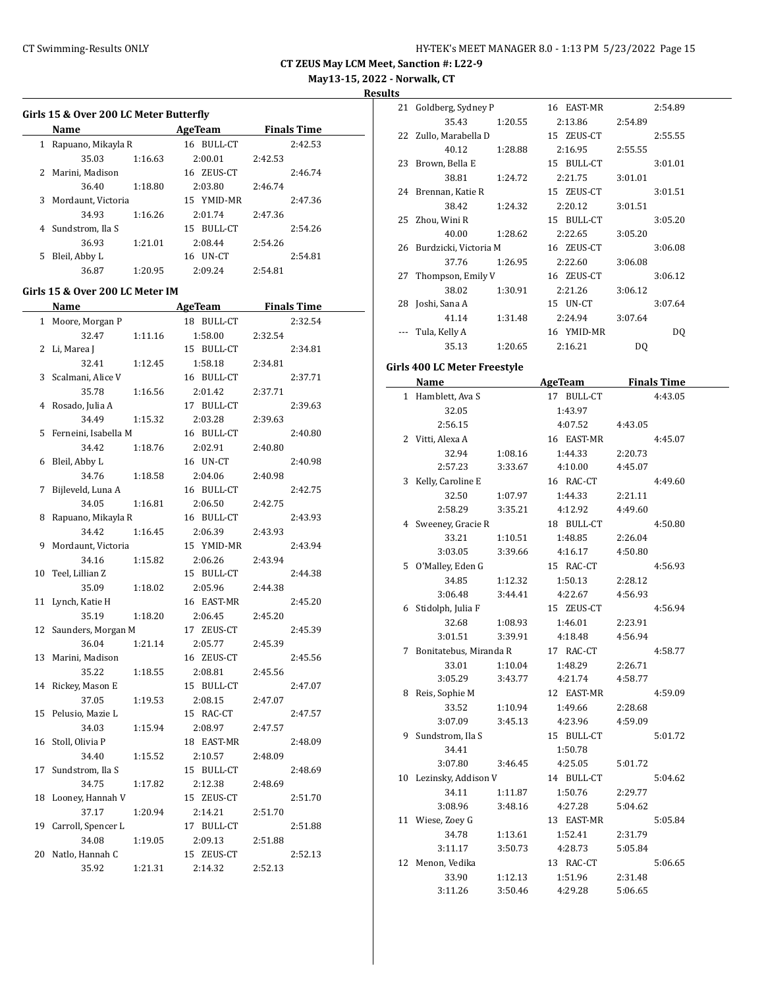**May13-15, 2022 - Norwalk, CT**

**Results**

|   | Girls 15 & Over 200 LC Meter Butterfly |         |                |         |                    |  |  |  |  |
|---|----------------------------------------|---------|----------------|---------|--------------------|--|--|--|--|
|   | Name                                   |         | AgeTeam        |         | <b>Finals Time</b> |  |  |  |  |
| 1 | Rapuano, Mikayla R                     |         | BULL-CT<br>16  |         | 2:42.53            |  |  |  |  |
|   | 35.03                                  | 1:16.63 | 2:00.01        | 2:42.53 |                    |  |  |  |  |
| 2 | Marini, Madison                        |         | 16 ZEUS-CT     |         | 2:46.74            |  |  |  |  |
|   | 36.40                                  | 1:18.80 | 2:03.80        | 2:46.74 |                    |  |  |  |  |
| 3 | Mordaunt, Victoria                     |         | 15 YMID-MR     |         | 2:47.36            |  |  |  |  |
|   | 34.93                                  | 1:16.26 | 2:01.74        | 2:47.36 |                    |  |  |  |  |
| 4 | Sundstrom, Ila S                       |         | BULL-CT<br>15. |         | 2:54.26            |  |  |  |  |
|   | 36.93                                  | 1:21.01 | 2:08.44        | 2:54.26 |                    |  |  |  |  |
| 5 | Bleil, Abby L                          |         | UN-CT<br>16    |         | 2:54.81            |  |  |  |  |
|   | 36.87                                  | 1:20.95 | 2:09.24        | 2:54.81 |                    |  |  |  |  |

# **Girls 15 & Over 200 LC Meter IM**

|    | <b>Name</b>          | <b>AgeTeam</b> | <b>Finals Time</b> |
|----|----------------------|----------------|--------------------|
|    | 1 Moore, Morgan P    | 18 BULL-CT     | 2:32.54            |
|    | 32.47<br>1:11.16     | 1:58.00        | 2:32.54            |
| 2  | Li, Marea J          | 15 BULL-CT     | 2:34.81            |
|    | 32.41<br>1:12.45     | 1:58.18        | 2:34.81            |
| 3  | Scalmani, Alice V    | 16 BULL-CT     | 2:37.71            |
|    | 35.78<br>1:16.56     | 2:01.42        | 2:37.71            |
| 4  | Rosado, Julia A      | 17 BULL-CT     | 2:39.63            |
|    | 34.49<br>1:15.32     | 2:03.28        | 2:39.63            |
| 5  | Ferneini, Isabella M | 16 BULL-CT     | 2:40.80            |
|    | 34.42<br>1:18.76     | 2:02.91        | 2:40.80            |
| 6  | Bleil, Abby L        | 16 UN-CT       | 2:40.98            |
|    | 34.76<br>1:18.58     | 2:04.06        | 2:40.98            |
| 7  | Bijleveld, Luna A    | 16 BULL-CT     | 2:42.75            |
|    | 34.05<br>1:16.81     | 2:06.50        | 2:42.75            |
| 8  | Rapuano, Mikayla R   | 16 BULL-CT     | 2:43.93            |
|    | 34.42<br>1:16.45     | 2:06.39        | 2:43.93            |
| 9  | Mordaunt, Victoria   | 15 YMID-MR     | 2:43.94            |
|    | 34.16<br>1:15.82     | 2:06.26        | 2:43.94            |
| 10 | Teel, Lillian Z      | 15 BULL-CT     | 2:44.38            |
|    | 35.09<br>1:18.02     | 2:05.96        | 2:44.38            |
| 11 | Lynch, Katie H       | 16 EAST-MR     | 2:45.20            |
|    | 35.19<br>1:18.20     | 2:06.45        | 2:45.20            |
| 12 | Saunders, Morgan M   | 17 ZEUS-CT     | 2:45.39            |
|    | 36.04<br>1:21.14     | 2:05.77        | 2:45.39            |
| 13 | Marini, Madison      | 16 ZEUS-CT     | 2:45.56            |
|    | 35.22<br>1:18.55     | 2:08.81        | 2:45.56            |
| 14 | Rickey, Mason E      | 15 BULL-CT     | 2:47.07            |
|    | 37.05<br>1:19.53     | 2:08.15        | 2:47.07            |
| 15 | Pelusio, Mazie L     | 15 RAC-CT      | 2:47.57            |
|    | 34.03<br>1:15.94     | 2:08.97        | 2:47.57            |
| 16 | Stoll, Olivia P      | 18 EAST-MR     | 2:48.09            |
|    | 34.40<br>1:15.52     | 2:10.57        | 2:48.09            |
| 17 | Sundstrom, Ila S     | 15 BULL-CT     | 2:48.69            |
|    | 34.75<br>1:17.82     | 2:12.38        | 2:48.69            |
| 18 | Looney, Hannah V     | 15 ZEUS-CT     | 2:51.70            |
|    | 37.17<br>1:20.94     | 2:14.21        | 2:51.70            |
| 19 | Carroll, Spencer L   | 17 BULL-CT     | 2:51.88            |
|    | 34.08<br>1:19.05     | 2:09.13        | 2:51.88            |
| 20 | Natlo, Hannah C      | 15<br>ZEUS-CT  | 2:52.13            |
|    | 35.92<br>1:21.31     | 2:14.32        | 2:52.13            |

| 21 | Goldberg, Sydney P    |         | 16 EAST-MR |         | 2:54.89 |
|----|-----------------------|---------|------------|---------|---------|
|    | 35.43                 | 1:20.55 | 2:13.86    | 2:54.89 |         |
| 22 | Zullo, Marabella D    |         | 15 ZEUS-CT |         | 2:55.55 |
|    | 40.12                 | 1:28.88 | 2:16.95    | 2:55.55 |         |
| 23 | Brown, Bella E        |         | 15 BULL-CT |         | 3:01.01 |
|    | 38.81                 | 1:24.72 | 2:21.75    | 3:01.01 |         |
| 24 | Brennan, Katie R      |         | 15 ZEUS-CT |         | 3:01.51 |
|    | 38.42                 | 1:24.32 | 2:20.12    | 3:01.51 |         |
| 25 | Zhou, Wini R          |         | 15 BULL-CT |         | 3:05.20 |
|    | 40.00                 | 1:28.62 | 2:22.65    | 3:05.20 |         |
| 26 | Burdzicki, Victoria M |         | 16 ZEUS-CT |         | 3:06.08 |
|    | 37.76                 | 1:26.95 | 2:22.60    | 3:06.08 |         |
| 27 | Thompson, Emily V     |         | 16 ZEUS-CT |         | 3:06.12 |
|    | 38.02                 | 1:30.91 | 2:21.26    | 3:06.12 |         |
| 28 | Joshi, Sana A         |         | 15 UN-CT   |         | 3:07.64 |
|    | 41.14                 | 1:31.48 | 2:24.94    | 3:07.64 |         |
|    | Tula, Kelly A         |         | 16 YMID-MR |         | DQ      |
|    | 35.13                 | 1:20.65 | 2:16.21    | DQ      |         |
|    |                       |         |            |         |         |

## **Girls 400 LC Meter Freestyle**

| <b>Name</b>              |         | <b>AgeTeam</b> | <b>Finals Time</b> |  |
|--------------------------|---------|----------------|--------------------|--|
| 1 Hamblett, Ava S        |         | 17 BULL-CT     | 4:43.05            |  |
| 32.05                    |         | 1:43.97        |                    |  |
| 2:56.15                  |         | 4:07.52        | 4:43.05            |  |
| 2 Vitti, Alexa A         |         | 16 EAST-MR     | 4:45.07            |  |
| 32.94                    | 1:08.16 | 1:44.33        | 2:20.73            |  |
| 2:57.23                  | 3:33.67 | 4:10.00        | 4:45.07            |  |
| 3 Kelly, Caroline E      |         | 16 RAC-CT      | 4:49.60            |  |
| 32.50                    | 1:07.97 | 1:44.33        | 2:21.11            |  |
| 2:58.29                  | 3:35.21 | 4:12.92        | 4:49.60            |  |
| 4 Sweeney, Gracie R      |         | 18 BULL-CT     | 4:50.80            |  |
| 33.21                    | 1:10.51 | 1:48.85        | 2:26.04            |  |
| 3:03.05                  | 3:39.66 | 4:16.17        | 4:50.80            |  |
| 5 O'Malley, Eden G       |         | 15 RAC-CT      | 4:56.93            |  |
| 34.85                    | 1:12.32 | 1:50.13        | 2:28.12            |  |
| 3:06.48                  | 3:44.41 | 4:22.67        | 4:56.93            |  |
| 6 Stidolph, Julia F      |         | 15 ZEUS-CT     | 4:56.94            |  |
| 32.68                    | 1:08.93 | 1:46.01        | 2:23.91            |  |
| 3:01.51                  | 3:39.91 | 4:18.48        | 4:56.94            |  |
| 7 Bonitatebus, Miranda R |         | 17 RAC-CT      | 4:58.77            |  |
| 33.01                    | 1:10.04 | 1:48.29        | 2:26.71            |  |
| 3:05.29                  | 3:43.77 | 4:21.74        | 4:58.77            |  |
| 8 Reis, Sophie M         |         | 12 EAST-MR     | 4:59.09            |  |
| 33.52                    | 1:10.94 | 1:49.66        | 2:28.68            |  |
| 3:07.09                  | 3:45.13 | 4:23.96        | 4:59.09            |  |
| 9 Sundstrom, Ila S       |         | 15 BULL-CT     | 5:01.72            |  |
| 34.41                    |         | 1:50.78        |                    |  |
| 3:07.80                  | 3:46.45 | 4:25.05        | 5:01.72            |  |
| 10 Lezinsky, Addison V   |         | 14 BULL-CT     | 5:04.62            |  |
| 34.11                    | 1:11.87 | 1:50.76        | 2:29.77            |  |
| 3:08.96                  | 3:48.16 | 4:27.28        | 5:04.62            |  |
| 11 Wiese, Zoey G         |         | 13 EAST-MR     | 5:05.84            |  |
| 34.78                    | 1:13.61 | 1:52.41        | 2:31.79            |  |
| 3:11.17                  | 3:50.73 | 4:28.73        | 5:05.84            |  |
| 12 Menon, Vedika         |         | 13 RAC-CT      | 5:06.65            |  |
| 33.90                    | 1:12.13 | 1:51.96        | 2:31.48            |  |
| 3:11.26                  | 3:50.46 | 4:29.28        | 5:06.65            |  |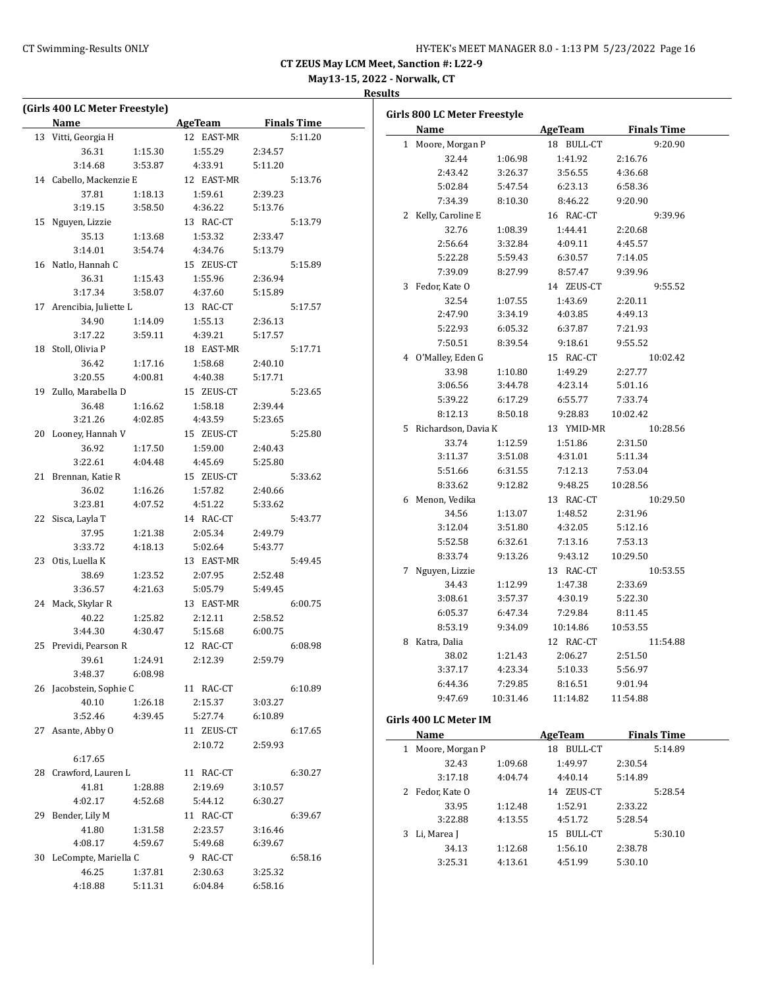#### CT Swimming-Results ONLY HY-TEK's MEET MANAGER 8.0 - 1:13 PM 5/23/2022 Page 16

**CT ZEUS May LCM Meet, Sanction #: L22-9**

**May13-15, 2022 - Norwalk, CT**

#### **Results**

|    | (Girls 400 LC Meter Freestyle) |         |                |         |                    |
|----|--------------------------------|---------|----------------|---------|--------------------|
|    | <b>Name</b>                    |         | <b>AgeTeam</b> |         | <b>Finals Time</b> |
| 13 | Vitti, Georgia H               |         | 12 EAST-MR     |         | 5:11.20            |
|    | 36.31                          | 1:15.30 | 1:55.29        | 2:34.57 |                    |
|    | 3:14.68                        | 3:53.87 | 4:33.91        | 5:11.20 |                    |
|    | 14 Cabello, Mackenzie E        |         | 12 EAST-MR     |         | 5:13.76            |
|    | 37.81                          | 1:18.13 | 1:59.61        | 2:39.23 |                    |
|    | 3:19.15                        | 3:58.50 | 4:36.22        | 5:13.76 |                    |
| 15 | Nguyen, Lizzie                 |         | 13 RAC-CT      |         | 5:13.79            |
|    | 35.13                          | 1:13.68 | 1:53.32        | 2:33.47 |                    |
|    | 3:14.01                        | 3:54.74 | 4:34.76        | 5:13.79 |                    |
| 16 | Natlo, Hannah C                |         | 15 ZEUS-CT     |         | 5:15.89            |
|    | 36.31                          | 1:15.43 | 1:55.96        | 2:36.94 |                    |
|    | 3:17.34                        | 3:58.07 | 4:37.60        | 5:15.89 |                    |
|    | 17 Arencibia, Juliette L       |         | 13 RAC-CT      |         | 5:17.57            |
|    | 34.90                          | 1:14.09 | 1:55.13        | 2:36.13 |                    |
|    | 3:17.22                        | 3:59.11 | 4:39.21        | 5:17.57 |                    |
| 18 | Stoll, Olivia P                |         | 18 EAST-MR     |         | 5:17.71            |
|    | 36.42                          | 1:17.16 | 1:58.68        | 2:40.10 |                    |
|    | 3:20.55                        | 4:00.81 | 4:40.38        | 5:17.71 |                    |
| 19 | Zullo, Marabella D             |         | 15 ZEUS-CT     |         | 5:23.65            |
|    | 36.48                          | 1:16.62 | 1:58.18        | 2:39.44 |                    |
|    | 3:21.26                        | 4:02.85 | 4:43.59        | 5:23.65 |                    |
| 20 | Looney, Hannah V               |         | 15 ZEUS-CT     |         | 5:25.80            |
|    | 36.92                          | 1:17.50 | 1:59.00        | 2:40.43 |                    |
|    | 3:22.61                        | 4:04.48 | 4:45.69        | 5:25.80 |                    |
| 21 | Brennan, Katie R               |         | 15 ZEUS-CT     |         | 5:33.62            |
|    | 36.02                          | 1:16.26 | 1:57.82        | 2:40.66 |                    |
|    | 3:23.81                        | 4:07.52 | 4:51.22        | 5:33.62 |                    |
| 22 | Sisca, Layla T                 |         | 14 RAC-CT      |         | 5:43.77            |
|    | 37.95                          | 1:21.38 | 2:05.34        | 2:49.79 |                    |
|    | 3:33.72                        | 4:18.13 | 5:02.64        | 5:43.77 |                    |
| 23 | Otis, Luella K                 |         | 13 EAST-MR     |         | 5:49.45            |
|    | 38.69                          | 1:23.52 | 2:07.95        | 2:52.48 |                    |
|    | 3:36.57                        | 4:21.63 | 5:05.79        | 5:49.45 |                    |
| 24 | Mack, Skylar R                 |         | 13 EAST-MR     |         | 6:00.75            |
|    | 40.22                          | 1:25.82 | 2:12.11        | 2:58.52 |                    |
|    | 3:44.30                        | 4:30.47 | 5:15.68        | 6:00.75 |                    |
| 25 | Previdi, Pearson R             |         | 12 RAC-CT      |         | 6:08.98            |
|    | 39.61                          | 1:24.91 | 2:12.39        | 2:59.79 |                    |
|    | 3:48.37                        | 6:08.98 |                |         |                    |
| 26 | Jacobstein, Sophie C           |         | 11 RAC-CT      |         | 6:10.89            |
|    | 40.10                          | 1:26.18 | 2:15.37        | 3:03.27 |                    |
|    | 3:52.46                        | 4:39.45 | 5:27.74        | 6:10.89 |                    |
| 27 | Asante, Abby O                 |         | 11 ZEUS-CT     |         | 6:17.65            |
|    |                                |         | 2:10.72        | 2:59.93 |                    |
|    | 6:17.65                        |         |                |         |                    |
| 28 | Crawford, Lauren L             |         | 11 RAC-CT      |         | 6:30.27            |
|    | 41.81                          | 1:28.88 | 2:19.69        | 3:10.57 |                    |
|    | 4:02.17                        | 4:52.68 | 5:44.12        | 6:30.27 |                    |
| 29 | Bender, Lily M                 |         | 11 RAC-CT      |         | 6:39.67            |
|    | 41.80                          | 1:31.58 | 2:23.57        | 3:16.46 |                    |
|    | 4:08.17                        | 4:59.67 | 5:49.68        | 6:39.67 |                    |
| 30 | LeCompte, Mariella C           |         | 9 RAC-CT       |         | 6:58.16            |
|    | 46.25                          | 1:37.81 | 2:30.63        | 3:25.32 |                    |
|    | 4:18.88                        | 5:11.31 | 6:04.84        | 6:58.16 |                    |

| Moore, Morgan P<br>18 BULL-CT<br>9:20.90<br>$\mathbf{1}$<br>32.44<br>1:41.92<br>2:16.76<br>1:06.98 |  |
|----------------------------------------------------------------------------------------------------|--|
|                                                                                                    |  |
|                                                                                                    |  |
| 3:56.55<br>2:43.42<br>3:26.37<br>4:36.68                                                           |  |
| 5:02.84<br>5:47.54<br>6:23.13<br>6:58.36                                                           |  |
| 7:34.39<br>8:10.30<br>8:46.22<br>9:20.90                                                           |  |
| 2 Kelly, Caroline E<br>16 RAC-CT<br>9:39.96                                                        |  |
| 32.76<br>1:08.39<br>1:44.41<br>2:20.68                                                             |  |
| 2:56.64<br>3:32.84<br>4:09.11<br>4:45.57                                                           |  |
| 5:22.28<br>5:59.43<br>6:30.57<br>7:14.05                                                           |  |
| 7:39.09<br>8:27.99<br>8:57.47<br>9:39.96                                                           |  |
| Fedor, Kate O<br>14 ZEUS-CT<br>9:55.52<br>3                                                        |  |
| 1:43.69<br>32.54<br>1:07.55<br>2:20.11                                                             |  |
| 2:47.90<br>3:34.19<br>4:03.85<br>4:49.13                                                           |  |
| 5:22.93<br>6:05.32<br>6:37.87<br>7:21.93                                                           |  |
| 7:50.51<br>8:39.54<br>9:18.61<br>9:55.52                                                           |  |
| 4 O'Malley, Eden G<br>15 RAC-CT<br>10:02.42                                                        |  |
| 1:49.29<br>33.98<br>1:10.80<br>2:27.77                                                             |  |
| 3:06.56<br>4:23.14<br>3:44.78<br>5:01.16                                                           |  |
| 7:33.74<br>5:39.22<br>6:17.29<br>6:55.77                                                           |  |
| 8:12.13<br>8:50.18<br>9:28.83<br>10:02.42                                                          |  |
| 5 Richardson, Davia K<br>13 YMID-MR<br>10:28.56                                                    |  |
| 33.74<br>1:12.59<br>1:51.86<br>2:31.50                                                             |  |
| 4:31.01<br>3:11.37<br>3:51.08<br>5:11.34                                                           |  |
| 5:51.66<br>7:12.13<br>7:53.04<br>6:31.55                                                           |  |
| 8:33.62<br>9:12.82<br>9:48.25<br>10:28.56                                                          |  |
| Menon, Vedika<br>13 RAC-CT<br>10:29.50<br>6                                                        |  |
| 34.56<br>1:48.52<br>1:13.07<br>2:31.96                                                             |  |
| 3:12.04<br>3:51.80<br>4:32.05<br>5:12.16                                                           |  |
| 5:52.58<br>6:32.61<br>7:13.16<br>7:53.13                                                           |  |
| 8:33.74<br>9:13.26<br>9:43.12<br>10:29.50                                                          |  |
| Nguyen, Lizzie<br>13 RAC-CT<br>10:53.55<br>7                                                       |  |
| 34.43<br>1:12.99<br>1:47.38<br>2:33.69                                                             |  |
| 3:57.37<br>4:30.19<br>5:22.30<br>3:08.61                                                           |  |
| 6:05.37<br>7:29.84<br>6:47.34<br>8:11.45                                                           |  |
| 8:53.19<br>9:34.09<br>10:14.86<br>10:53.55                                                         |  |
| 8 Katra, Dalia<br>12 RAC-CT<br>11:54.88                                                            |  |
| 2:06.27<br>2:51.50<br>38.02<br>1:21.43                                                             |  |
| 5:10.33<br>3:37.17<br>4:23.34<br>5:56.97                                                           |  |
| 6:44.36<br>7:29.85<br>8:16.51<br>9:01.94                                                           |  |
| 9:47.69<br>10:31.46<br>11:14.82<br>11:54.88                                                        |  |
|                                                                                                    |  |

## **Name AgeTeam Finals Time** 1 Moore, Morgan P 18 BULL-CT 5:14.89 32.43 1:09.68 1:49.97 2:30.54 3:17.18 4:04.74 4:40.14 5:14.89 2 Fedor, Kate O 14 ZEUS-CT 5:28.54 33.95 1:12.48 1:52.91 2:33.22 3:22.88 4:13.55 4:51.72 5:28.54 3 Li, Marea J 15 BULL-CT 5:30.10 34.13 1:12.68 1:56.10 2:38.78 3:25.31 4:13.61 4:51.99 5:30.10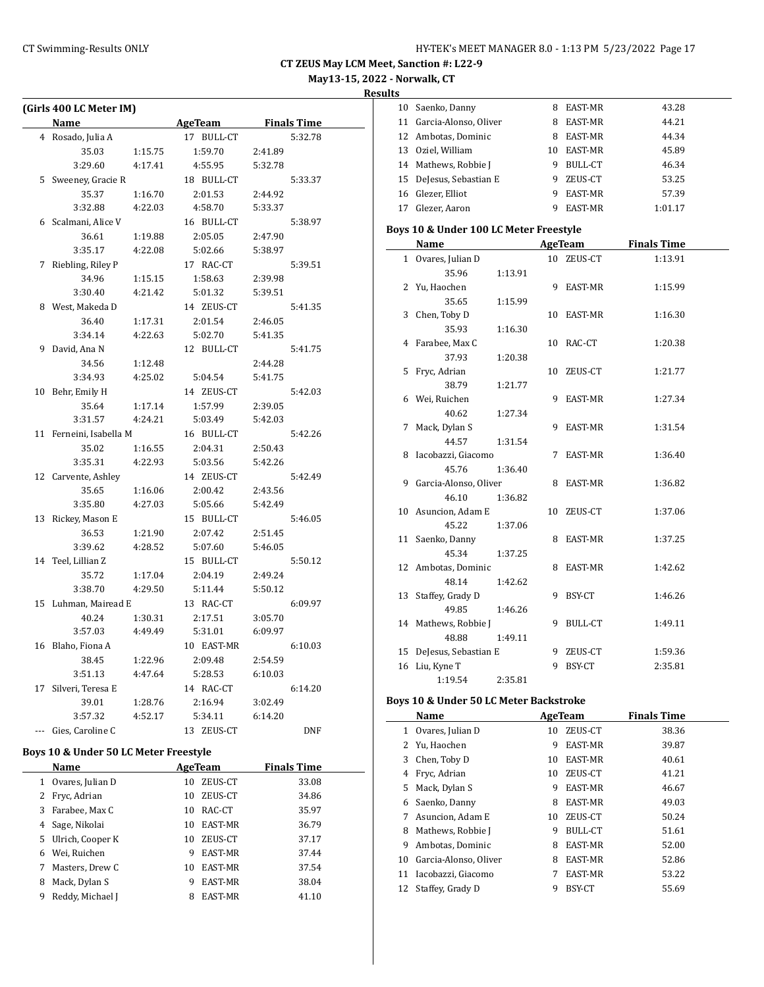#### **May13-15, 2022 - Norwalk, CT**

**Results**

| (Girls 400 LC Meter IM) |                                       |         |                |                    |  |  |  |  |
|-------------------------|---------------------------------------|---------|----------------|--------------------|--|--|--|--|
|                         | Name                                  |         | <b>AgeTeam</b> | <b>Finals Time</b> |  |  |  |  |
|                         | 4 Rosado, Julia A                     |         | 17 BULL-CT     | 5:32.78            |  |  |  |  |
|                         | 35.03                                 | 1:15.75 | 1:59.70        | 2:41.89            |  |  |  |  |
|                         | 3:29.60                               | 4:17.41 | 4:55.95        | 5:32.78            |  |  |  |  |
|                         | 5 Sweeney, Gracie R                   |         | 18 BULL-CT     | 5:33.37            |  |  |  |  |
|                         | 35.37                                 | 1:16.70 | 2:01.53        | 2:44.92            |  |  |  |  |
|                         | 3:32.88                               | 4:22.03 | 4:58.70        | 5:33.37            |  |  |  |  |
|                         | 6 Scalmani, Alice V                   |         | 16 BULL-CT     | 5:38.97            |  |  |  |  |
|                         | 36.61                                 | 1:19.88 | 2:05.05        | 2:47.90            |  |  |  |  |
|                         | 3:35.17                               | 4:22.08 | 5:02.66        | 5:38.97            |  |  |  |  |
|                         | 7 Riebling, Riley P                   |         | 17 RAC-CT      | 5:39.51            |  |  |  |  |
|                         | 34.96                                 | 1:15.15 | 1:58.63        | 2:39.98            |  |  |  |  |
|                         | 3:30.40                               | 4:21.42 | 5:01.32        | 5:39.51            |  |  |  |  |
|                         | 8 West, Makeda D                      |         | 14 ZEUS-CT     | 5:41.35            |  |  |  |  |
|                         | 36.40                                 | 1:17.31 | 2:01.54        | 2:46.05            |  |  |  |  |
|                         | 3:34.14                               | 4:22.63 | 5:02.70        | 5:41.35            |  |  |  |  |
|                         | 9 David, Ana N                        |         | 12 BULL-CT     | 5:41.75            |  |  |  |  |
|                         | 34.56                                 | 1:12.48 |                | 2:44.28            |  |  |  |  |
|                         | 3:34.93                               | 4:25.02 | 5:04.54        | 5:41.75            |  |  |  |  |
|                         | 10 Behr, Emily H                      |         | 14 ZEUS-CT     | 5:42.03            |  |  |  |  |
|                         | 35.64                                 | 1:17.14 | 1:57.99        | 2:39.05            |  |  |  |  |
|                         | 3:31.57                               | 4:24.21 | 5:03.49        | 5:42.03            |  |  |  |  |
|                         | 11 Ferneini, Isabella M               |         | 16 BULL-CT     | 5:42.26            |  |  |  |  |
|                         | 35.02                                 | 1:16.55 | 2:04.31        | 2:50.43            |  |  |  |  |
|                         | 3:35.31                               | 4:22.93 | 5:03.56        | 5:42.26            |  |  |  |  |
|                         | 12 Carvente, Ashley                   |         | 14 ZEUS-CT     | 5:42.49            |  |  |  |  |
|                         | 35.65                                 | 1:16.06 | 2:00.42        | 2:43.56            |  |  |  |  |
|                         | 3:35.80                               | 4:27.03 | 5:05.66        | 5:42.49            |  |  |  |  |
|                         | 13 Rickey, Mason E                    |         | 15 BULL-CT     | 5:46.05            |  |  |  |  |
|                         | 36.53                                 | 1:21.90 | 2:07.42        | 2:51.45            |  |  |  |  |
|                         | 3:39.62                               | 4:28.52 | 5:07.60        | 5:46.05            |  |  |  |  |
|                         | 14 Teel, Lillian Z                    |         | 15 BULL-CT     | 5:50.12            |  |  |  |  |
|                         | 35.72                                 | 1:17.04 | 2:04.19        | 2:49.24            |  |  |  |  |
|                         | 3:38.70                               | 4:29.50 | 5:11.44        | 5:50.12            |  |  |  |  |
|                         | 15 Luhman, Mairead E                  |         | 13 RAC-CT      | 6:09.97            |  |  |  |  |
|                         | 40.24                                 | 1:30.31 | 2:17.51        | 3:05.70            |  |  |  |  |
|                         | 3:57.03                               | 4:49.49 | 5:31.01        | 6:09.97            |  |  |  |  |
|                         | 16 Blaho, Fiona A                     |         | 10 EAST-MR     | 6:10.03            |  |  |  |  |
|                         | 38.45                                 | 1:22.96 | 2:09.48        | 2:54.59            |  |  |  |  |
|                         | 3:51.13                               | 4:47.64 | 5:28.53        | 6:10.03            |  |  |  |  |
| 17                      | Silveri, Teresa E                     |         | 14 RAC-CT      | 6:14.20            |  |  |  |  |
|                         | 39.01                                 | 1:28.76 | 2:16.94        | 3:02.49            |  |  |  |  |
|                         | 3:57.32                               | 4:52.17 | 5:34.11        | 6:14.20            |  |  |  |  |
| ---                     | Gies, Caroline C                      |         | 13 ZEUS-CT     | DNF                |  |  |  |  |
|                         | Boys 10 & Under 50 LC Meter Freestyle |         |                |                    |  |  |  |  |
|                         | Name                                  |         | AgeTeam        | <b>Finals Time</b> |  |  |  |  |
| 1                       | Ovares, Julian D                      |         | ZEUS-CT<br>10  | 33.08              |  |  |  |  |
| 2                       | Fryc, Adrian                          |         | 10<br>ZEUS-CT  | 34.86              |  |  |  |  |
| 3                       | Farabee, Max C                        |         | RAC-CT<br>10   | 35.97              |  |  |  |  |

4 Sage, Nikolai 10 EAST-MR 36.79 5 Ulrich, Cooper K 10 ZEUS-CT 37.17 6 Wei, Ruichen 9 EAST-MR 37.44 7 Masters, Drew C 10 EAST-MR 37.54 8 Mack, Dylan S 9 EAST-MR 38.04 9 Reddy, Michael J 8 EAST-MR 41.10

| . . |                          |    |                |         |
|-----|--------------------------|----|----------------|---------|
|     | 10 Saenko, Danny         | 8  | EAST-MR        | 43.28   |
|     | 11 Garcia-Alonso, Oliver | 8  | EAST-MR        | 44.21   |
|     | 12 Ambotas, Dominic      | 8  | EAST-MR        | 44.34   |
|     | 13 Oziel, William        | 10 | EAST-MR        | 45.89   |
|     | 14 Mathews, Robbie J     | 9  | BULL-CT        | 46.34   |
|     | 15 DeJesus, Sebastian E  | 9  | ZEUS-CT        | 53.25   |
|     | 16 Glezer, Elliot        | 9  | <b>EAST-MR</b> | 57.39   |
| 17  | Glezer, Aaron            |    | EAST-MR        | 1:01.17 |

#### **Boys 10 & Under 100 LC Meter Freestyle**

|    | Name                          |         |   | AgeTeam    | <b>Finals Time</b> |
|----|-------------------------------|---------|---|------------|--------------------|
|    | 1 Ovares, Julian D            |         |   | 10 ZEUS-CT | 1:13.91            |
|    | 35.96                         | 1:13.91 |   |            |                    |
|    | 2 Yu, Haochen                 |         |   | 9 EAST-MR  | 1:15.99            |
|    | 35.65                         | 1:15.99 |   |            |                    |
|    | 3 Chen, Toby D                |         |   | 10 EAST-MR | 1:16.30            |
|    | 35.93                         | 1:16.30 |   |            |                    |
|    | 4 Farabee, Max C              |         |   | 10 RAC-CT  | 1:20.38            |
|    | 37.93                         | 1:20.38 |   |            |                    |
|    | 5 Fryc, Adrian                |         |   | 10 ZEUS-CT | 1:21.77            |
|    | 38.79                         | 1:21.77 |   |            |                    |
|    | 6 Wei, Ruichen                |         |   | 9 EAST-MR  | 1:27.34            |
|    | 40.62                         | 1:27.34 |   |            |                    |
| 7  | Mack, Dylan S                 |         |   | 9 EAST-MR  | 1:31.54            |
|    | 44.57                         | 1:31.54 |   |            |                    |
|    | 8 Iacobazzi, Giacomo          |         |   | 7 EAST-MR  | 1:36.40            |
|    | 45.76                         | 1:36.40 |   |            |                    |
|    | 9 Garcia-Alonso, Oliver       |         |   | 8 EAST-MR  | 1:36.82            |
|    | 46.10                         | 1:36.82 |   |            |                    |
|    | 10 Asuncion, Adam E           |         |   | 10 ZEUS-CT | 1:37.06            |
|    | 45.22                         | 1:37.06 |   |            |                    |
|    | 11 Saenko, Danny              |         |   | 8 EAST-MR  | 1:37.25            |
|    | 45.34                         | 1:37.25 |   |            |                    |
|    | 12 Ambotas, Dominic           |         |   | 8 EAST-MR  | 1:42.62            |
|    | 48.14                         | 1:42.62 |   |            |                    |
|    | 13 Staffey, Grady D           |         | 9 | BSY-CT     | 1:46.26            |
|    | 49.85<br>14 Mathews, Robbie J | 1:46.26 |   | 9 BULL-CT  | 1:49.11            |
|    | 48.88                         | 1:49.11 |   |            |                    |
|    | 15 DeJesus, Sebastian E       |         |   | 9 ZEUS-CT  | 1:59.36            |
| 16 | Liu, Kyne T                   |         | 9 | BSY-CT     | 2:35.81            |
|    | 1:19.54                       | 2:35.81 |   |            |                    |

#### **Boys 10 & Under 50 LC Meter Backstroke**

|    | Name                  |    | AgeTeam | <b>Finals Time</b> |  |
|----|-----------------------|----|---------|--------------------|--|
| 1  | Ovares, Julian D      | 10 | ZEUS-CT | 38.36              |  |
|    | Yu, Haochen           | 9  | EAST-MR | 39.87              |  |
| 3  | Chen, Toby D          | 10 | EAST-MR | 40.61              |  |
| 4  | Fryc, Adrian          | 10 | ZEUS-CT | 41.21              |  |
| 5. | Mack, Dylan S         | 9  | EAST-MR | 46.67              |  |
| 6  | Saenko, Danny         | 8  | EAST-MR | 49.03              |  |
| 7  | Asuncion, Adam E      | 10 | ZEUS-CT | 50.24              |  |
| 8  | Mathews, Robbie J     | 9  | BULL-CT | 51.61              |  |
| 9  | Ambotas, Dominic      | 8  | EAST-MR | 52.00              |  |
| 10 | Garcia-Alonso, Oliver | 8  | EAST-MR | 52.86              |  |
| 11 | Iacobazzi, Giacomo    | 7  | EAST-MR | 53.22              |  |
| 12 | Staffey, Grady D      | 9  | BSY-CT  | 55.69              |  |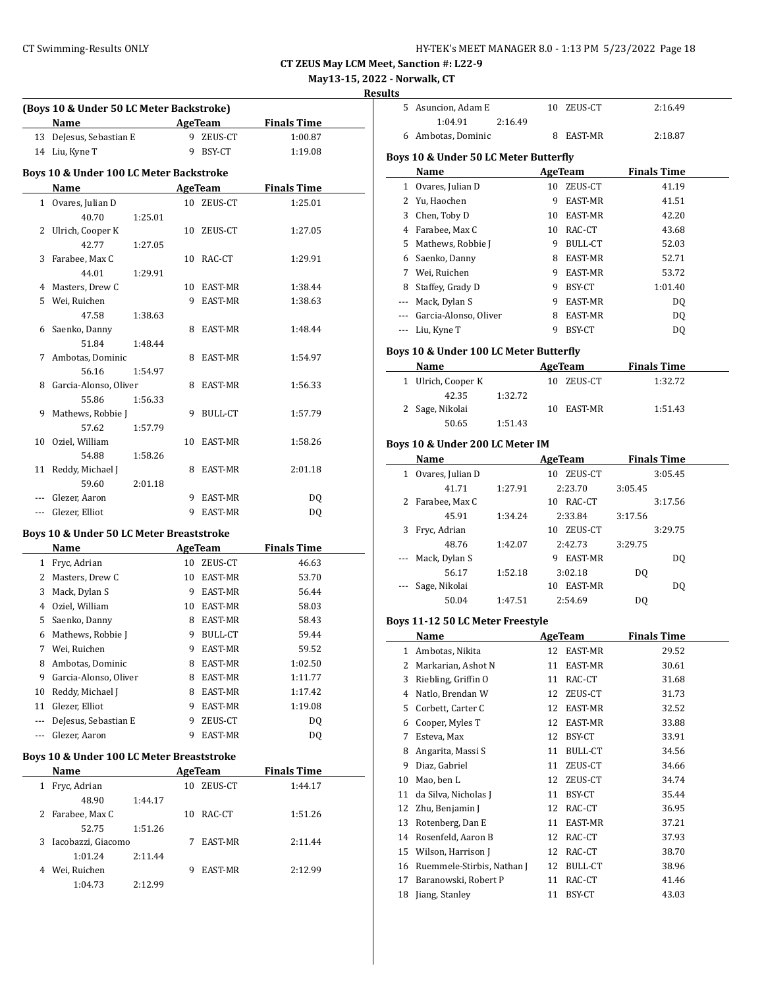5 Asuncion, Adam E 10 ZEUS-CT 2:16.49

**CT ZEUS May LCM Meet, Sanction #: L22-9**

# **May13-15, 2022 - Norwalk, CT**

**Results**

|              | (Boys 10 & Under 50 LC Meter Backstroke)  |    |                |                    | Resu |
|--------------|-------------------------------------------|----|----------------|--------------------|------|
|              | Name                                      |    |                | <b>Finals Time</b> |      |
|              |                                           |    | AgeTeam        |                    |      |
|              | 13 DeJesus, Sebastian E                   |    | 9 ZEUS-CT      | 1:00.87            |      |
|              | 14 Liu, Kyne T                            |    | 9 BSY-CT       | 1:19.08            |      |
|              | Boys 10 & Under 100 LC Meter Backstroke   |    |                |                    |      |
|              | Name                                      |    | <b>AgeTeam</b> | <b>Finals Time</b> |      |
|              | 1 Ovares, Julian D                        |    | 10 ZEUS-CT     | 1:25.01            |      |
|              | 40.70<br>1:25.01                          |    |                |                    |      |
| 2            | Ulrich, Cooper K                          |    | 10 ZEUS-CT     | 1:27.05            |      |
|              | 42.77<br>1:27.05                          |    |                |                    |      |
| 3            | Farabee, Max C                            | 10 | RAC-CT         | 1:29.91            |      |
|              | 44.01<br>1:29.91                          |    |                |                    |      |
|              | 4 Masters, Drew C                         |    | 10 EAST-MR     | 1:38.44            |      |
|              | 5 Wei, Ruichen                            |    | 9 EAST-MR      | 1:38.63            |      |
|              | 47.58<br>1:38.63                          |    |                |                    |      |
| 6            | Saenko, Danny                             | 8  | EAST-MR        | 1:48.44            |      |
|              | 51.84<br>1:48.44                          |    |                |                    |      |
| 7            | Ambotas, Dominic                          | 8  | EAST-MR        | 1:54.97            |      |
|              |                                           |    |                |                    |      |
| 8            | 56.16<br>1:54.97<br>Garcia-Alonso, Oliver | 8  | EAST-MR        | 1:56.33            |      |
|              |                                           |    |                |                    |      |
|              | 55.86<br>1:56.33                          |    |                |                    |      |
| 9            | Mathews, Robbie J                         | 9  | BULL-CT        | 1:57.79            |      |
|              | 57.62<br>1:57.79                          |    |                |                    |      |
|              | 10 Oziel, William                         |    | 10 EAST-MR     | 1:58.26            |      |
|              | 54.88<br>1:58.26                          |    |                |                    |      |
|              | 11 Reddy, Michael J                       | 8  | EAST-MR        | 2:01.18            |      |
|              | 59.60<br>2:01.18                          |    |                |                    |      |
|              | Glezer, Aaron                             |    | 9 EAST-MR      | DQ                 |      |
|              | Glezer, Elliot                            |    | 9 EAST-MR      | DQ                 |      |
|              | Boys 10 & Under 50 LC Meter Breaststroke  |    |                |                    |      |
|              | Name                                      |    | AgeTeam        | <b>Finals Time</b> |      |
|              | 1 Fryc, Adrian                            |    | 10 ZEUS-CT     | 46.63              |      |
|              | 2 Masters, Drew C                         |    | 10 EAST-MR     | 53.70              |      |
| 3            | Mack, Dylan S                             |    | 9 EAST-MR      | 56.44              |      |
|              | 4 Oziel, William                          |    | 10 EAST-MR     | 58.03              |      |
|              | 5 Saenko, Danny                           |    | 8 EAST-MR      | 58.43              |      |
|              | 6 Mathews, Robbie J                       |    | 9 BULL-CT      | 59.44              |      |
|              |                                           |    |                |                    |      |
|              |                                           |    |                |                    |      |
| 7            | Wei, Ruichen                              | 9. | EAST-MR        | 59.52              |      |
| 8            | Ambotas, Dominic                          |    | 8 EAST-MR      | 1:02.50            |      |
|              | 9 Garcia-Alonso, Oliver                   |    | 8 EAST-MR      | 1:11.77            |      |
|              | 10 Reddy, Michael J                       |    | 8 EAST-MR      | 1:17.42            |      |
|              | 11 Glezer, Elliot                         |    | 9 EAST-MR      | 1:19.08            |      |
|              | --- DeJesus, Sebastian E                  |    | 9 ZEUS-CT      | DQ                 |      |
|              | --- Glezer, Aaron                         |    | 9 EAST-MR      | DQ                 |      |
|              |                                           |    |                |                    |      |
|              | Boys 10 & Under 100 LC Meter Breaststroke |    |                |                    |      |
|              | Name                                      |    | <b>AgeTeam</b> | <b>Finals Time</b> |      |
| $\mathbf{1}$ | Fryc, Adrian                              | 10 | ZEUS-CT        | 1:44.17            |      |
|              | 48.90<br>1:44.17                          |    |                |                    |      |
| 2            | Farabee, Max C                            | 10 | RAC-CT         | 1:51.26            |      |
|              | 52.75<br>1:51.26                          |    |                |                    |      |
| 3            | Iacobazzi, Giacomo                        | 7  | EAST-MR        | 2:11.44            |      |
|              | 1:01.24<br>2:11.44                        |    |                |                    |      |
| 4            | Wei, Ruichen                              | 9  | EAST-MR        | 2:12.99            |      |

|    | 1:04.91                                | 2:16.49 |    |                      |         |                    |  |
|----|----------------------------------------|---------|----|----------------------|---------|--------------------|--|
|    | 6 Ambotas, Dominic                     |         |    | 8 EAST-MR            |         | 2:18.87            |  |
|    |                                        |         |    |                      |         |                    |  |
|    | Boys 10 & Under 50 LC Meter Butterfly  |         |    |                      |         |                    |  |
|    | Name                                   |         |    | <b>AgeTeam</b>       |         | <b>Finals Time</b> |  |
|    | 1 Ovares, Julian D                     |         |    | 10 ZEUS-CT           |         | 41.19              |  |
|    | 2 Yu, Haochen                          |         | 9  | EAST-MR              |         | 41.51              |  |
|    | 3 Chen, Toby D                         |         | 10 | EAST-MR              |         | 42.20              |  |
|    | 4 Farabee, Max C                       |         | 10 | RAC-CT               |         | 43.68              |  |
|    | 5 Mathews, Robbie J                    |         | 9  | <b>BULL-CT</b>       |         | 52.03              |  |
|    | 6 Saenko, Danny                        |         | 8  | EAST-MR              |         | 52.71              |  |
|    | 7 Wei, Ruichen                         |         | 9  | <b>EAST-MR</b>       |         | 53.72              |  |
|    | 8 Staffey, Grady D                     |         | 9  | BSY-CT               |         | 1:01.40            |  |
|    | --- Mack, Dylan S                      |         | 9  | EAST-MR              |         | DQ                 |  |
|    | --- Garcia-Alonso, Oliver              |         |    | 8 EAST-MR            |         | DQ                 |  |
|    | --- Liu, Kyne T                        |         | 9  | BSY-CT               |         | DQ                 |  |
|    |                                        |         |    |                      |         |                    |  |
|    | Boys 10 & Under 100 LC Meter Butterfly |         |    |                      |         |                    |  |
|    | Name                                   |         |    | AgeTeam              |         | <b>Finals Time</b> |  |
|    | 1 Ulrich, Cooper K                     |         |    | 10 ZEUS-CT           |         | 1:32.72            |  |
|    | 42.35                                  | 1:32.72 |    |                      |         |                    |  |
| 2  | Sage, Nikolai                          |         | 10 | EAST-MR              |         | 1:51.43            |  |
|    | 50.65                                  | 1:51.43 |    |                      |         |                    |  |
|    | Boys 10 & Under 200 LC Meter IM        |         |    |                      |         |                    |  |
|    | Name                                   |         |    | <b>AgeTeam</b>       |         | <b>Finals Time</b> |  |
|    |                                        |         |    | 10 ZEUS-CT           |         | 3:05.45            |  |
|    | 1 Ovares, Julian D                     |         |    |                      |         |                    |  |
| 2  | 41.71<br>Farabee, Max C                | 1:27.91 |    | 2:23.70<br>10 RAC-CT | 3:05.45 | 3:17.56            |  |
|    |                                        |         |    |                      |         |                    |  |
|    | 45.91                                  | 1:34.24 |    | 2:33.84              | 3:17.56 |                    |  |
| 3  | Fryc, Adrian                           |         |    | 10 ZEUS-CT           |         | 3:29.75            |  |
|    | 48.76                                  | 1:42.07 |    | 2:42.73              | 3:29.75 |                    |  |
|    | Mack, Dylan S                          |         |    | 9 EAST-MR            |         | DQ                 |  |
|    | 56.17                                  | 1:52.18 |    | 3:02.18              | DQ      |                    |  |
|    | Sage, Nikolai                          |         |    | 10 EAST-MR           |         | DQ                 |  |
|    | 50.04                                  | 1:47.51 |    | 2:54.69              | DQ      |                    |  |
|    | Boys 11-12 50 LC Meter Freestyle       |         |    |                      |         |                    |  |
|    | Name                                   |         |    | AgeTeam              |         | <b>Finals Time</b> |  |
|    | 1 Ambotas, Nikita                      |         | 12 | EAST-MR              |         | 29.52              |  |
|    | 2 Markarian, Ashot N                   |         |    | 11 EAST-MR           |         | 30.61              |  |
| 3  | Riebling, Griffin O                    |         | 11 | RAC-CT               |         | 31.68              |  |
| 4  | Natlo, Brendan W                       |         | 12 | ZEUS-CT              |         | 31.73              |  |
| 5  | Corbett, Carter C                      |         | 12 | EAST-MR              |         | 32.52              |  |
| 6  | Cooper, Myles T                        |         | 12 | EAST-MR              |         | 33.88              |  |
| 7  | Esteva, Max                            |         | 12 | BSY-CT               |         | 33.91              |  |
| 8  | Angarita, Massi S                      |         | 11 | BULL-CT              |         | 34.56              |  |
| 9  | Diaz, Gabriel                          |         | 11 | ZEUS-CT              |         | 34.66              |  |
|    | Mao, ben L                             |         | 12 |                      |         |                    |  |
| 10 |                                        |         |    | ZEUS-CT              |         | 34.74              |  |
| 11 | da Silva, Nicholas J                   |         | 11 | BSY-CT               |         | 35.44              |  |
| 12 | Zhu, Benjamin J                        |         | 12 | RAC-CT               |         | 36.95              |  |
| 13 | Rotenberg, Dan E                       |         | 11 | EAST-MR              |         | 37.21              |  |
| 14 | Rosenfeld, Aaron B                     |         | 12 | RAC-CT               |         | 37.93              |  |
| 15 | Wilson, Harrison J                     |         | 12 | RAC-CT               |         | 38.70              |  |
| 16 | Ruemmele-Stirbis, Nathan J             |         | 12 | BULL-CT              |         | 38.96              |  |
| 17 | Baranowski, Robert P                   |         | 11 | RAC-CT               |         | 41.46              |  |
|    | 18 Jiang, Stanley                      |         | 11 | BSY-CT               |         | 43.03              |  |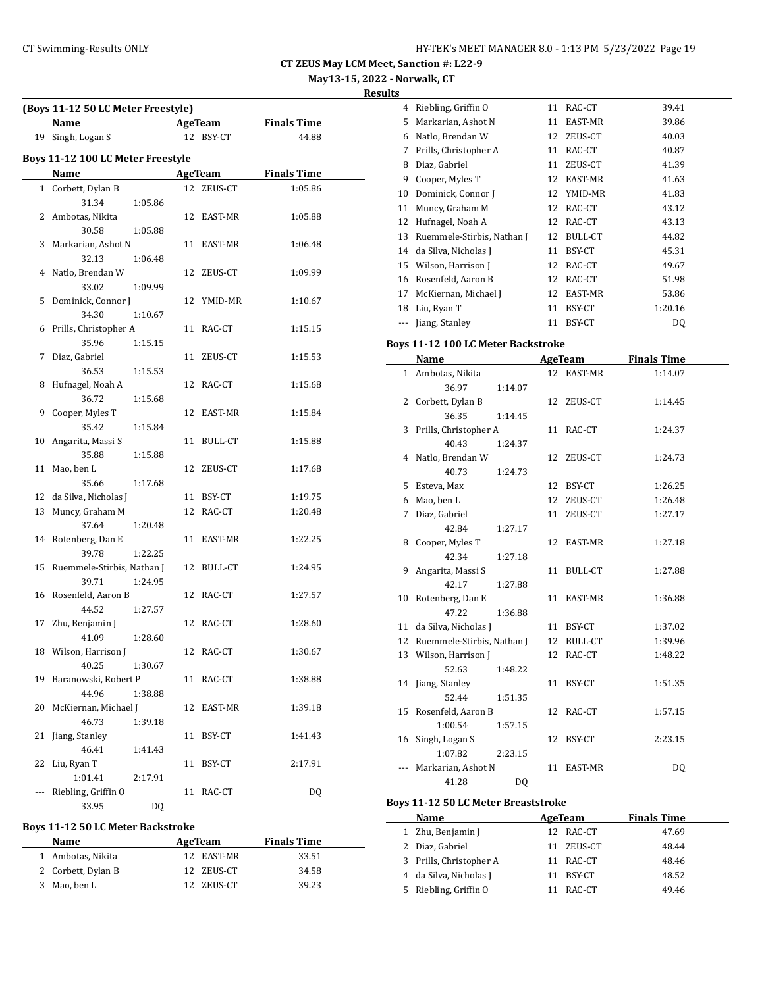**May13-15, 2022 - Norwalk, CT**

**Result** 

|     | (Boys 11-12 50 LC Meter Freestyle) |         |    |                             |                    |  |
|-----|------------------------------------|---------|----|-----------------------------|--------------------|--|
|     | Name                               |         |    | <b>Example 2018</b> AgeTeam | <b>Finals Time</b> |  |
|     | 19 Singh, Logan S                  |         |    | 12 BSY-CT                   | 44.88              |  |
|     | Boys 11-12 100 LC Meter Freestyle  |         |    |                             |                    |  |
|     | Name                               |         |    | AgeTeam                     | <b>Finals Time</b> |  |
|     | 1 Corbett, Dylan B                 |         |    | 12 ZEUS-CT                  | 1:05.86            |  |
|     | 31.34                              | 1:05.86 |    |                             |                    |  |
|     | 2 Ambotas, Nikita                  |         |    | 12 EAST-MR                  | 1:05.88            |  |
|     | 30.58                              | 1:05.88 |    |                             |                    |  |
|     | 3 Markarian, Ashot N               |         |    | 11 EAST-MR                  | 1:06.48            |  |
|     | 32.13                              | 1:06.48 |    |                             |                    |  |
| 4   | Natlo, Brendan W                   |         |    | 12 ZEUS-CT                  | 1:09.99            |  |
|     | 33.02                              | 1:09.99 |    |                             |                    |  |
| 5   | Dominick, Connor J                 |         |    | 12 YMID-MR                  | 1:10.67            |  |
|     | 34.30                              | 1:10.67 |    |                             |                    |  |
|     | Prills, Christopher A              |         |    | 11 RAC-CT                   | 1:15.15            |  |
| 6   | 35.96                              | 1:15.15 |    |                             |                    |  |
| 7   | Diaz, Gabriel                      |         | 11 |                             | 1:15.53            |  |
|     | 36.53                              | 1:15.53 |    | ZEUS-CT                     |                    |  |
|     | Hufnagel, Noah A                   |         |    |                             |                    |  |
| 8   | 36.72                              | 1:15.68 |    | 12 RAC-CT                   | 1:15.68            |  |
|     | Cooper, Myles T                    |         |    |                             |                    |  |
| 9   | 35.42                              |         |    | 12 EAST-MR                  | 1:15.84            |  |
|     | Angarita, Massi S                  | 1:15.84 |    |                             |                    |  |
| 10  | 35.88                              |         |    | 11 BULL-CT                  | 1:15.88            |  |
|     |                                    | 1:15.88 |    |                             |                    |  |
| 11  | Mao, ben L<br>35.66                |         | 12 | ZEUS-CT                     | 1:17.68            |  |
|     |                                    | 1:17.68 |    |                             |                    |  |
| 12  | da Silva, Nicholas J               |         |    | 11 BSY-CT                   | 1:19.75            |  |
| 13  | Muncy, Graham M                    |         |    | 12 RAC-CT                   | 1:20.48            |  |
|     | 37.64                              | 1:20.48 |    |                             |                    |  |
|     | 14 Rotenberg, Dan E                |         |    | 11 EAST-MR                  | 1:22.25            |  |
|     | 39.78                              | 1:22.25 |    |                             |                    |  |
| 15  | Ruemmele-Stirbis, Nathan J         |         |    | 12 BULL-CT                  | 1:24.95            |  |
|     | 39.71                              | 1:24.95 |    |                             |                    |  |
|     | 16 Rosenfeld, Aaron B              |         |    | 12 RAC-CT                   | 1:27.57            |  |
|     | 44.52                              | 1:27.57 |    |                             |                    |  |
| 17  | Zhu, Benjamin J                    |         |    | 12 RAC-CT                   | 1:28.60            |  |
|     | 41.09                              | 1:28.60 |    |                             |                    |  |
|     | 18 Wilson, Harrison J              |         |    | 12 RAC-CT                   | 1:30.67            |  |
|     | 40.25                              | 1:30.67 |    |                             |                    |  |
|     | 19 Baranowski, Robert P            |         |    | 11 RAC-CT                   | 1:38.88            |  |
|     | 44.96                              | 1:38.88 |    |                             |                    |  |
| 20  | McKiernan, Michael J               |         |    | 12 EAST-MR                  | 1:39.18            |  |
|     | 46.73                              | 1:39.18 |    |                             |                    |  |
| 21  | Jiang, Stanley                     |         |    | 11 BSY-CT                   | 1:41.43            |  |
|     | 46.41                              | 1:41.43 |    |                             |                    |  |
| 22  | Liu, Ryan T                        |         |    | 11 BSY-CT                   | 2:17.91            |  |
|     | 1:01.41                            | 2:17.91 |    |                             |                    |  |
| --- | Riebling, Griffin O                |         |    | 11 RAC-CT                   | DQ                 |  |
|     | 33.95                              | DQ      |    |                             |                    |  |

#### **Boys 11-12 50 LC Meter Backstroke**

| Name               | AgeTeam    | <b>Finals Time</b> |  |  |
|--------------------|------------|--------------------|--|--|
| 1 Ambotas, Nikita  | 12 EAST-MR | 33.51              |  |  |
| 2 Corbett, Dylan B | 12 ZEUS-CT | 34.58              |  |  |
| 3 Mao, ben L       | 12 ZEUS-CT | 39.23              |  |  |

| ts       |                            |    |         |         |
|----------|----------------------------|----|---------|---------|
| 4        | Riebling, Griffin O        | 11 | RAC-CT  | 39.41   |
| 5        | Markarian, Ashot N         | 11 | EAST-MR | 39.86   |
| 6        | Natlo, Brendan W           | 12 | ZEUS-CT | 40.03   |
| 7        | Prills, Christopher A      | 11 | RAC-CT  | 40.87   |
| 8        | Diaz, Gabriel              | 11 | ZEUS-CT | 41.39   |
| 9        | Cooper, Myles T            | 12 | EAST-MR | 41.63   |
| 10       | Dominick, Connor J         | 12 | YMID-MR | 41.83   |
| 11       | Muncy, Graham M            | 12 | RAC-CT  | 43.12   |
| 12       | Hufnagel, Noah A           | 12 | RAC-CT  | 43.13   |
| 13       | Ruemmele-Stirbis, Nathan J | 12 | BULL-CT | 44.82   |
| 14       | da Silva, Nicholas J       | 11 | BSY-CT  | 45.31   |
| 15       | Wilson, Harrison J         | 12 | RAC-CT  | 49.67   |
| 16       | Rosenfeld, Aaron B         | 12 | RAC-CT  | 51.98   |
| 17       | McKiernan, Michael J       | 12 | EAST-MR | 53.86   |
| 18       | Liu, Ryan T                | 11 | BSY-CT  | 1:20.16 |
| $\cdots$ | Jiang, Stanley             | 11 | BSY-CT  | DQ      |

## **Boys 11-12 100 LC Meter Backstroke**

|   | Name                          |    | AgeTeam    | <b>Finals Time</b> |
|---|-------------------------------|----|------------|--------------------|
|   | 1 Ambotas, Nikita             |    | 12 EAST-MR | 1:14.07            |
|   | 36.97<br>1:14.07              |    |            |                    |
|   | 2 Corbett, Dylan B            |    | 12 ZEUS-CT | 1:14.45            |
|   | 36.35<br>1:14.45              |    |            |                    |
|   | 3 Prills, Christopher A       |    | 11 RAC-CT  | 1:24.37            |
|   | 40.43<br>1:24.37              |    |            |                    |
|   | 4 Natlo, Brendan W            |    | 12 ZEUS-CT | 1:24.73            |
|   | 40.73<br>1:24.73              |    |            |                    |
|   | 5 Esteva, Max                 |    | 12 BSY-CT  | 1:26.25            |
|   | 6 Mao, ben L                  | 12 | ZEUS-CT    | 1:26.48            |
| 7 | Diaz, Gabriel                 | 11 | ZEUS-CT    | 1:27.17            |
|   | 42.84<br>1:27.17              |    |            |                    |
|   | 8 Cooper, Myles T             |    | 12 EAST-MR | 1:27.18            |
|   | 42.34<br>1:27.18              |    |            |                    |
| 9 | Angarita, Massi S             |    | 11 BULL-CT | 1:27.88            |
|   | 42.17<br>1:27.88              |    |            |                    |
|   | 10 Rotenberg, Dan E           |    | 11 EAST-MR | 1:36.88            |
|   | 47.22<br>1:36.88              |    |            |                    |
|   | 11 da Silva, Nicholas J       |    | 11 BSY-CT  | 1:37.02            |
|   | 12 Ruemmele-Stirbis, Nathan J |    | 12 BULL-CT | 1:39.96            |
|   | 13 Wilson, Harrison J         |    | 12 RAC-CT  | 1:48.22            |
|   | 52.63<br>1:48.22              |    |            |                    |
|   | 14 Jiang, Stanley             |    | 11 BSY-CT  | 1:51.35            |
|   | 52.44<br>1:51.35              |    |            |                    |
|   | 15 Rosenfeld, Aaron B         |    | 12 RAC-CT  | 1:57.15            |
|   | 1:00.54<br>1:57.15            |    |            |                    |
|   | 16 Singh, Logan S             |    | 12 BSY-CT  | 2:23.15            |
|   | 1:07.82<br>2:23.15            |    |            |                    |
|   | Markarian, Ashot N            |    | 11 EAST-MR | DQ                 |
|   | 41.28<br>D <sub>O</sub>       |    |            |                    |

## **Boys 11-12 50 LC Meter Breaststroke**

| <b>Name</b>             | AgeTeam |            | <b>Finals Time</b> |  |
|-------------------------|---------|------------|--------------------|--|
| 1 Zhu, Benjamin J       |         | 12 RAC-CT  | 47.69              |  |
| 2 Diaz, Gabriel         |         | 11 ZEUS-CT | 48.44              |  |
| 3 Prills, Christopher A |         | 11 RAC-CT  | 48.46              |  |
| 4 da Silva, Nicholas J  |         | 11 BSY-CT  | 48.52              |  |
| 5 Riebling, Griffin O   |         | 11 RAC-CT  | 49.46              |  |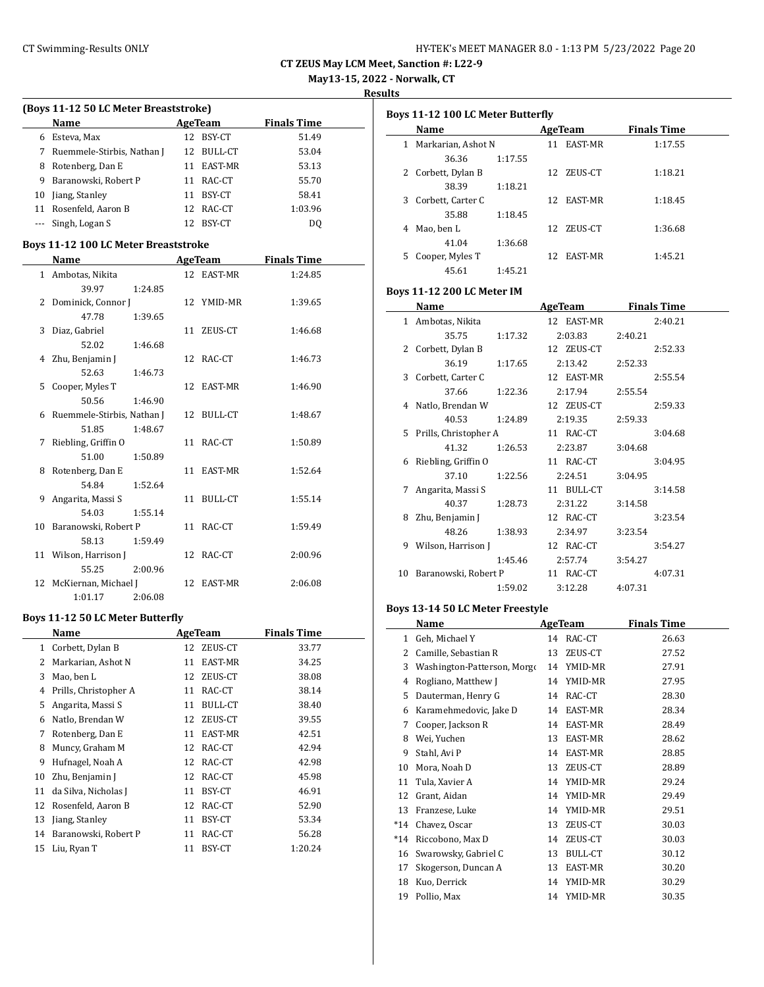| HY-TEK's MEET MANAGER 8.0 - 1:13 PM 5/23/2022 Page 20 |  |  |  |
|-------------------------------------------------------|--|--|--|
|-------------------------------------------------------|--|--|--|

**May13-15, 2022 - Norwalk, CT**

**Results**

|        | (Boys 11-12 50 LC Meter Breaststroke) |    |                |                    |
|--------|---------------------------------------|----|----------------|--------------------|
|        | Name                                  |    | <b>AgeTeam</b> | <b>Finals Time</b> |
|        | 6 Esteva, Max                         |    | 12 BSY-CT      | 51.49              |
|        | 7 Ruemmele-Stirbis, Nathan J          |    | 12 BULL-CT     | 53.04              |
|        | 8 Rotenberg, Dan E                    |    | 11 EAST-MR     | 53.13              |
|        | 9 Baranowski, Robert P                |    | 11 RAC-CT      | 55.70              |
|        | 10 Jiang, Stanley                     |    | 11 BSY-CT      | 58.41              |
|        | 11 Rosenfeld, Aaron B                 |    | 12 RAC-CT      | 1:03.96            |
| $\sim$ | Singh, Logan S                        |    | 12 BSY-CT      | DQ                 |
|        | Boys 11-12 100 LC Meter Breaststroke  |    |                |                    |
|        | <b>Name</b>                           |    | <b>AgeTeam</b> | <b>Finals Time</b> |
|        | 1 Ambotas, Nikita                     |    | 12 EAST-MR     | 1:24.85            |
|        | 39.97<br>1:24.85                      |    |                |                    |
|        | 2 Dominick, Connor J                  |    | 12 YMID-MR     | 1:39.65            |
|        | 47.78<br>1:39.65                      |    |                |                    |
| 3      | Diaz, Gabriel                         |    | 11 ZEUS-CT     | 1:46.68            |
|        | 52.02<br>1:46.68                      |    |                |                    |
| 4      | Zhu, Benjamin J                       |    | 12 RAC-CT      | 1:46.73            |
|        | 52.63<br>1:46.73                      |    |                |                    |
| 5      | Cooper, Myles T                       |    | 12 EAST-MR     | 1:46.90            |
|        | 50.56<br>1:46.90                      |    |                |                    |
| 6      | Ruemmele-Stirbis, Nathan J            |    | 12 BULL-CT     | 1:48.67            |
|        | 51.85<br>1:48.67                      |    |                |                    |
| 7      | Riebling, Griffin O                   |    | 11 RAC-CT      | 1:50.89            |
|        | 51.00<br>1:50.89                      |    |                |                    |
| 8      | Rotenberg, Dan E                      |    | 11 EAST-MR     | 1:52.64            |
|        | 54.84<br>1:52.64                      |    |                |                    |
| 9      | Angarita, Massi S                     |    | 11 BULL-CT     | 1:55.14            |
|        | 54.03<br>1:55.14                      |    |                |                    |
| 10     | Baranowski, Robert P                  |    | 11 RAC-CT      | 1:59.49            |
|        | 58.13<br>1:59.49                      |    |                |                    |
|        | 11 Wilson, Harrison J                 |    | 12 RAC-CT      | 2:00.96            |
|        | 55.25<br>2:00.96                      |    |                |                    |
| 12     | McKiernan, Michael J                  |    | 12 EAST-MR     | 2:06.08            |
|        | 1:01.17<br>2:06.08                    |    |                |                    |
|        | Boys 11-12 50 LC Meter Butterfly      |    |                |                    |
|        | Name                                  |    | <b>AgeTeam</b> | <b>Finals Time</b> |
|        | 1 Corbett, Dylan B                    |    | 12 ZEUS-CT     | 33.77              |
|        | 2 Markarian, Ashot N                  |    | 11 EAST-MR     | 34.25              |
| 3      | Mao, ben L                            | 12 | ZEUS-CT        | 38.08              |
| 4      | Prills, Christopher A                 | 11 | RAC-CT         | 38.14              |
| 5      | Angarita, Massi S                     | 11 | BULL-CT        | 38.40              |
| 6      | Natlo, Brendan W                      | 12 | ZEUS-CT        | 39.55              |
| 7      | Rotenberg, Dan E                      | 11 |                |                    |
|        |                                       |    | EAST-MR        | 42.51              |
| 8      | Muncy, Graham M                       | 12 | RAC-CT         | 42.94              |
| 9      | Hufnagel, Noah A                      | 12 | RAC-CT         | 42.98              |
| 10     | Zhu, Benjamin J                       | 12 | RAC-CT         | 45.98              |
| 11     | da Silva, Nicholas J                  | 11 | BSY-CT         | 46.91              |
| 12     | Rosenfeld, Aaron B                    | 12 | RAC-CT         | 52.90              |
| 13     | Jiang, Stanley                        | 11 | BSY-CT         | 53.34              |
| 14     | Baranowski, Robert P                  | 11 | RAC-CT         | 56.28              |
| 15     | Liu, Ryan T                           | 11 | BSY-CT         | 1:20.24            |

|     | Name                                     |         |    | AgeTeam             |         | <b>Finals Time</b> |  |
|-----|------------------------------------------|---------|----|---------------------|---------|--------------------|--|
|     | 1 Markarian, Ashot N                     |         |    | 11 EAST-MR          |         | 1:17.55            |  |
|     | 36.36                                    | 1:17.55 |    |                     |         |                    |  |
|     | 2 Corbett, Dylan B                       |         |    | 12 ZEUS-CT          |         | 1:18.21            |  |
|     | 38.39                                    | 1:18.21 |    |                     |         |                    |  |
|     | 3 Corbett, Carter C                      |         |    | 12 EAST-MR          |         | 1:18.45            |  |
|     | 35.88                                    | 1:18.45 |    |                     |         |                    |  |
|     | 4 Mao, ben L                             |         |    | 12 ZEUS-CT          |         | 1:36.68            |  |
|     | 41.04                                    | 1:36.68 |    |                     |         |                    |  |
|     | 5 Cooper, Myles T                        |         |    | 12 EAST-MR          |         | 1:45.21            |  |
|     | 45.61                                    | 1:45.21 |    |                     |         |                    |  |
|     |                                          |         |    |                     |         |                    |  |
|     | <b>Boys 11-12 200 LC Meter IM</b>        |         |    |                     |         |                    |  |
|     | Name                                     |         |    | AgeTeam Finals Time |         |                    |  |
|     | 1 Ambotas, Nikita                        |         |    | 12 EAST-MR          |         | 2:40.21            |  |
|     | 35.75                                    | 1:17.32 |    | 2:03.83             | 2:40.21 |                    |  |
|     | 2 Corbett, Dylan B                       |         |    | 12 ZEUS-CT          |         | 2:52.33            |  |
|     | 36.19                                    | 1:17.65 |    | 2:13.42             | 2:52.33 |                    |  |
|     | 3 Corbett, Carter C                      |         |    | 12 EAST-MR          |         | 2:55.54            |  |
|     | 37.66                                    | 1:22.36 |    | 2:17.94             | 2:55.54 |                    |  |
|     | 4 Natlo, Brendan W                       |         |    | 12 ZEUS-CT          |         | 2:59.33            |  |
|     | 40.53                                    | 1:24.89 |    | 2:19.35             | 2:59.33 |                    |  |
|     | 5 Prills, Christopher A                  |         |    | 11 RAC-CT           |         | 3:04.68            |  |
|     | 41.32                                    | 1:26.53 |    | 2:23.87             | 3:04.68 |                    |  |
|     | 6 Riebling, Griffin O                    |         |    | 11 RAC-CT           |         | 3:04.95            |  |
|     | 37.10                                    | 1:22.56 |    | 2:24.51             | 3:04.95 |                    |  |
| 7   | Angarita, Massi S                        |         |    | 11 BULL-CT          |         | 3:14.58            |  |
|     | 40.37                                    | 1:28.73 |    | 2:31.22             | 3:14.58 |                    |  |
|     | 8 Zhu, Benjamin J                        |         |    | 12 RAC-CT           |         | 3:23.54            |  |
|     | 48.26                                    | 1:38.93 |    | 2:34.97             | 3:23.54 |                    |  |
|     | 9 Wilson, Harrison J                     |         |    | 12 RAC-CT           |         | 3:54.27            |  |
|     |                                          | 1:45.46 |    | 2:57.74             | 3:54.27 |                    |  |
|     | 10 Baranowski, Robert P                  |         |    | 11 RAC-CT           |         | 4:07.31            |  |
|     |                                          | 1:59.02 |    | 3:12.28             | 4:07.31 |                    |  |
|     |                                          |         |    |                     |         |                    |  |
|     | Boys 13-14 50 LC Meter Freestyle         |         |    |                     |         |                    |  |
|     | Name                                     |         |    | AgeTeam             |         | <b>Finals Time</b> |  |
|     | 1 Geh, Michael Y                         |         |    | 14 RAC-CT           |         | 26.63              |  |
|     | 2 Camille, Sebastian R                   |         |    | 13 ZEUS-CT          |         | 27.52              |  |
|     | 3 Washington-Patterson, Morgo 14 YMID-MR |         |    |                     |         | 27.91              |  |
| 4   | Rogliano, Matthew J                      |         | 14 | YMID-MR             |         | 27.95              |  |
| 5   | Dauterman, Henry G                       |         | 14 | RAC-CT              |         | 28.30              |  |
| 6   | Karamehmedovic, Jake D                   |         | 14 | EAST-MR             |         | 28.34              |  |
| 7   | Cooper, Jackson R                        |         | 14 | EAST-MR             |         | 28.49              |  |
| 8   | Wei, Yuchen                              |         | 13 | EAST-MR             |         | 28.62              |  |
| 9   | Stahl, Avi P                             |         | 14 | EAST-MR             |         | 28.85              |  |
| 10  | Mora, Noah D                             |         | 13 | ZEUS-CT             |         | 28.89              |  |
|     |                                          |         |    |                     |         |                    |  |
| 11  | Tula, Xavier A                           |         | 14 | YMID-MR             |         | 29.24              |  |
| 12  | Grant, Aidan                             |         | 14 | YMID-MR             |         | 29.49              |  |
| 13  | Franzese, Luke                           |         | 14 | YMID-MR             |         | 29.51              |  |
| *14 | Chavez, Oscar                            |         | 13 | ZEUS-CT             |         | 30.03              |  |
| *14 | Riccobono, Max D                         |         | 14 | ZEUS-CT             |         | 30.03              |  |
| 16  | Swarowsky, Gabriel C                     |         | 13 | BULL-CT             |         | 30.12              |  |
| 17  | Skogerson, Duncan A                      |         | 13 | EAST-MR             |         | 30.20              |  |
| 18  | Kuo, Derrick                             |         | 14 | YMID-MR             |         | 30.29              |  |
| 19  | Pollio, Max                              |         | 14 | YMID-MR             |         | 30.35              |  |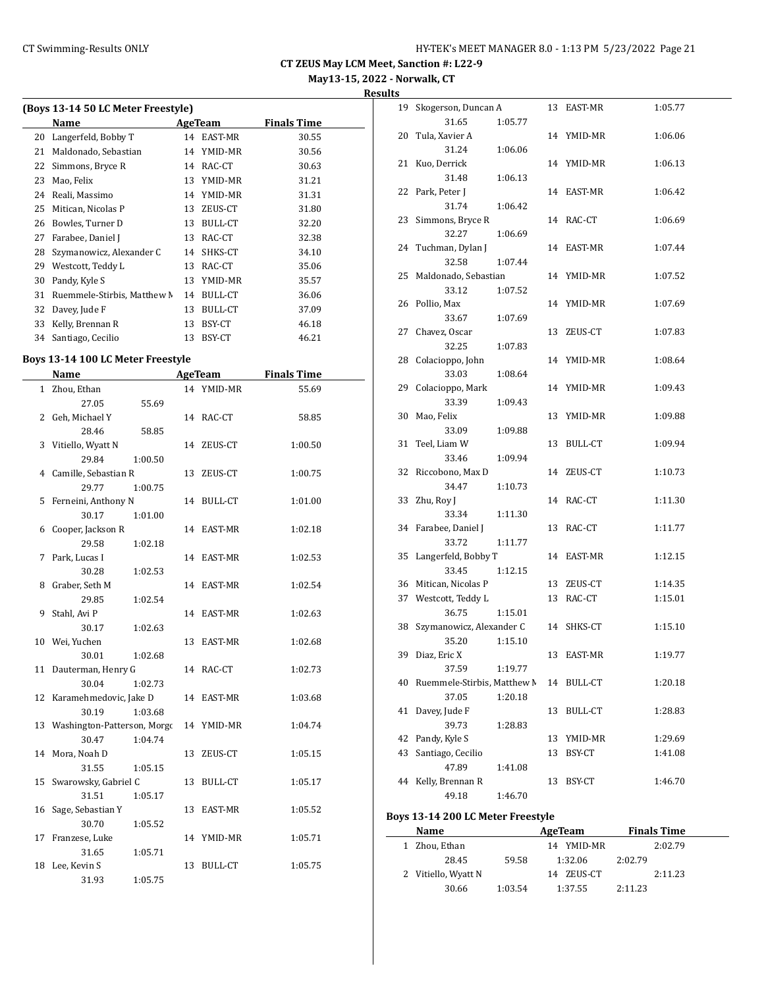**May13-15, 2022 - Norwalk, CT**

**Results**

| (Boys 13-14 50 LC Meter Freestyle) |                             |    |                |                    |  |  |  |  |  |
|------------------------------------|-----------------------------|----|----------------|--------------------|--|--|--|--|--|
|                                    | Name                        |    | AgeTeam        | <b>Finals Time</b> |  |  |  |  |  |
| 20                                 | Langerfeld, Bobby T         | 14 | EAST-MR        | 30.55              |  |  |  |  |  |
| 21                                 | Maldonado, Sebastian        |    | 14 YMID-MR     | 30.56              |  |  |  |  |  |
| 22                                 | Simmons, Bryce R            | 14 | RAC-CT         | 30.63              |  |  |  |  |  |
| 23                                 | Mao, Felix                  | 13 | YMID-MR        | 31.21              |  |  |  |  |  |
| 24                                 | Reali, Massimo              | 14 | YMID-MR        | 31.31              |  |  |  |  |  |
| 25                                 | Mitican, Nicolas P          | 13 | ZEUS-CT        | 31.80              |  |  |  |  |  |
| 26                                 | Bowles, Turner D            | 13 | BULL-CT        | 32.20              |  |  |  |  |  |
| 27                                 | Farabee, Daniel J           | 13 | RAC-CT         | 32.38              |  |  |  |  |  |
| 28                                 | Szymanowicz, Alexander C    | 14 | SHKS-CT        | 34.10              |  |  |  |  |  |
| 29                                 | Westcott, Teddy L           | 13 | RAC-CT         | 35.06              |  |  |  |  |  |
| 30                                 | Pandy, Kyle S               | 13 | YMID-MR        | 35.57              |  |  |  |  |  |
| 31                                 | Ruemmele-Stirbis, Matthew M | 14 | <b>BULL-CT</b> | 36.06              |  |  |  |  |  |
| 32                                 | Davey, Jude F               | 13 | BULL-CT        | 37.09              |  |  |  |  |  |
| 33                                 | Kelly, Brennan R            | 13 | BSY-CT         | 46.18              |  |  |  |  |  |
| 34                                 | Santiago, Cecilio           | 13 | BSY-CT         | 46.21              |  |  |  |  |  |

#### **Boys 13-14 100 LC Meter Freestyle**

|    | <b>Name</b>                    |         | <b>AgeTeam</b> |                | <b>Finals Time</b> |  |
|----|--------------------------------|---------|----------------|----------------|--------------------|--|
|    | 1 Zhou, Ethan                  |         |                | 14 YMID-MR     | 55.69              |  |
|    | 27.05                          | 55.69   |                |                |                    |  |
|    | 2 Geh, Michael Y               |         |                | 14 RAC-CT      | 58.85              |  |
|    | 28.46                          | 58.85   |                |                |                    |  |
| 3  | Vitiello, Wyatt N              |         |                | 14 ZEUS-CT     | 1:00.50            |  |
|    | 29.84                          | 1:00.50 |                |                |                    |  |
|    | 4 Camille, Sebastian R         |         |                | 13 ZEUS-CT     | 1:00.75            |  |
|    | 29.77                          | 1:00.75 |                |                |                    |  |
| 5  | Ferneini, Anthony N            |         |                | 14 BULL-CT     | 1:01.00            |  |
|    | 30.17                          | 1:01.00 |                |                |                    |  |
|    | 6 Cooper, Jackson R            |         |                | 14 EAST-MR     | 1:02.18            |  |
|    | 29.58                          | 1:02.18 |                |                |                    |  |
| 7  | Park, Lucas I                  |         |                | 14 EAST-MR     | 1:02.53            |  |
|    | 30.28                          | 1:02.53 |                |                |                    |  |
|    | 8 Graber, Seth M               |         |                | 14 EAST-MR     | 1:02.54            |  |
|    | 29.85                          | 1:02.54 |                |                |                    |  |
|    | 9 Stahl, Avi P                 |         |                | 14 EAST-MR     | 1:02.63            |  |
|    | 30.17                          | 1:02.63 |                |                |                    |  |
|    | 10 Wei, Yuchen                 |         |                | 13 EAST-MR     | 1:02.68            |  |
|    | 30.01                          | 1:02.68 |                |                |                    |  |
|    | 11 Dauterman, Henry G          |         |                | 14 RAC-CT      | 1:02.73            |  |
|    | 30.04                          | 1:02.73 |                |                |                    |  |
|    | 12 Karamehmedovic, Jake D      |         |                | 14 EAST-MR     | 1:03.68            |  |
|    | 30.19                          | 1:03.68 |                |                |                    |  |
|    | 13 Washington-Patterson, Morgo |         |                | 14 YMID-MR     | 1:04.74            |  |
|    | 30.47                          | 1:04.74 |                |                |                    |  |
|    | 14 Mora, Noah D                |         |                | 13 ZEUS-CT     | 1:05.15            |  |
|    | 31.55                          | 1:05.15 |                |                |                    |  |
|    | 15 Swarowsky, Gabriel C        |         |                | 13 BULL-CT     | 1:05.17            |  |
|    | 31.51                          | 1:05.17 |                |                |                    |  |
| 16 | Sage, Sebastian Y              |         |                | 13 EAST-MR     | 1:05.52            |  |
|    | 30.70                          | 1:05.52 |                |                |                    |  |
| 17 | Franzese, Luke                 |         |                | 14 YMID-MR     | 1:05.71            |  |
|    | 31.65                          | 1:05.71 | 13             | <b>BULL-CT</b> |                    |  |
|    | 18 Lee, Kevin S                |         |                |                | 1:05.75            |  |
|    | 31.93                          | 1:05.75 |                |                |                    |  |

| 19 | Skogerson, Duncan A         |    | 13 EAST-MR     | 1:05.77 |
|----|-----------------------------|----|----------------|---------|
|    | 31.65<br>1:05.77            |    |                |         |
| 20 | Tula, Xavier A              |    | 14 YMID-MR     | 1:06.06 |
|    | 31.24<br>1:06.06            |    |                |         |
| 21 | Kuo, Derrick                |    | 14 YMID-MR     | 1:06.13 |
|    | 31.48<br>1:06.13            |    |                |         |
| 22 | Park, Peter J               |    | 14 EAST-MR     | 1:06.42 |
|    | 31.74<br>1:06.42            |    |                |         |
| 23 | Simmons, Bryce R            |    | 14 RAC-CT      | 1:06.69 |
|    | 32.27<br>1:06.69            |    |                |         |
|    | 24 Tuchman, Dylan J         |    | 14 EAST-MR     | 1:07.44 |
|    | 32.58<br>1:07.44            |    |                |         |
| 25 | Maldonado, Sebastian        |    | 14 YMID-MR     | 1:07.52 |
|    | 33.12<br>1:07.52            |    |                |         |
| 26 | Pollio, Max                 |    | 14 YMID-MR     | 1:07.69 |
|    | 33.67<br>1:07.69            |    |                |         |
| 27 | Chavez, Oscar               |    | 13 ZEUS-CT     | 1:07.83 |
|    | 32.25<br>1:07.83            |    |                |         |
| 28 | Colacioppo, John            |    | 14 YMID-MR     | 1:08.64 |
|    | 33.03<br>1:08.64            |    |                |         |
| 29 | Colacioppo, Mark            |    | 14 YMID-MR     | 1:09.43 |
|    | 33.39<br>1:09.43            |    |                |         |
| 30 | Mao, Felix                  |    | 13 YMID-MR     | 1:09.88 |
|    | 33.09<br>1:09.88            |    |                |         |
| 31 | Teel, Liam W                | 13 | BULL-CT        | 1:09.94 |
|    | 33.46<br>1:09.94            |    |                |         |
| 32 | Riccobono, Max D            |    | 14 ZEUS-CT     | 1:10.73 |
|    | 34.47<br>1:10.73            |    |                |         |
| 33 | Zhu, Roy J                  |    | 14 RAC-CT      | 1:11.30 |
|    | 33.34<br>1:11.30            |    |                |         |
| 34 | Farabee, Daniel J           | 13 | RAC-CT         | 1:11.77 |
|    | 33.72<br>1:11.77            |    |                |         |
| 35 | Langerfeld, Bobby T         |    | 14 EAST-MR     | 1:12.15 |
|    | 33.45<br>1:12.15            |    |                |         |
|    | 36 Mitican, Nicolas P       |    | 13 ZEUS-CT     | 1:14.35 |
|    | 37 Westcott, Teddy L        |    | 13 RAC-CT      | 1:15.01 |
|    | 36.75<br>1:15.01            |    |                |         |
| 38 | Szymanowicz, Alexander C    | 14 | SHKS-CT        | 1:15.10 |
|    | 35.20<br>1:15.10            |    |                |         |
| 39 | Diaz, Eric X                | 13 | EAST-MR        | 1:19.77 |
|    | 37.59<br>1:19.77            |    |                |         |
| 40 | Ruemmele-Stirbis, Matthew N |    | 14 BULL-CT     | 1:20.18 |
|    | 37.05<br>1:20.18            |    |                |         |
| 41 | Davey, Jude F               | 13 | <b>BULL-CT</b> | 1:28.83 |
|    | 39.73<br>1:28.83            |    |                |         |
| 42 | Pandy, Kyle S               | 13 | YMID-MR        | 1:29.69 |
| 43 | Santiago, Cecilio           | 13 | BSY-CT         | 1:41.08 |
|    | 47.89<br>1:41.08            |    |                |         |
| 44 | Kelly, Brennan R            | 13 | BSY-CT         | 1:46.70 |
|    | 49.18<br>1:46.70            |    |                |         |
|    |                             |    |                |         |

# **Boys 13-14 200 LC Meter Freestyle**

| Name                | AgeTeam |            | <b>Finals Time</b> |  |
|---------------------|---------|------------|--------------------|--|
| 1 Zhou, Ethan       |         | 14 YMID-MR | 2:02.79            |  |
| 28.45               | 59.58   | 1:32.06    | 2:02.79            |  |
| 2 Vitiello, Wyatt N |         | 14 ZEUS-CT | 2:11.23            |  |
| 30.66               | 1:03.54 | 1:37.55    | 2:11.23            |  |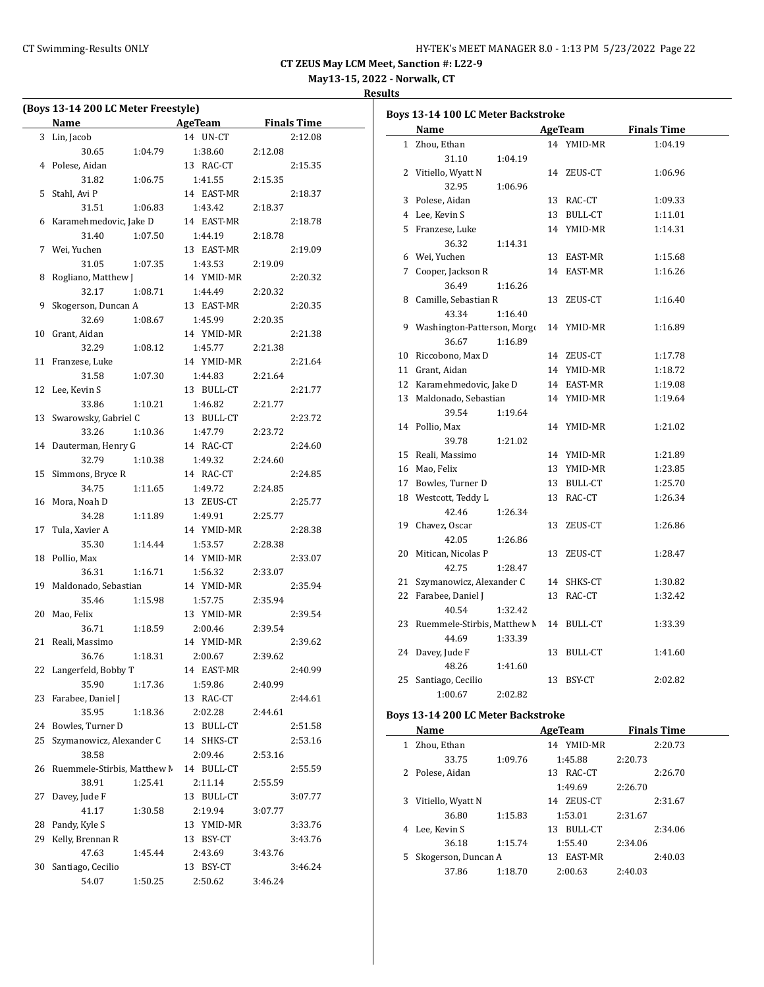**May13-15, 2022 - Norwalk, CT**

#### **Results**

|    | (Boys 13-14 200 LC Meter Freestyle) |         |                      |         |                    |
|----|-------------------------------------|---------|----------------------|---------|--------------------|
|    | Name                                |         | <b>AgeTeam</b>       |         | <b>Finals Time</b> |
| 3  | Lin, Jacob                          |         | 14 UN-CT             |         | 2:12.08            |
|    | 30.65                               | 1:04.79 | 1:38.60              | 2:12.08 |                    |
| 4  | Polese, Aidan                       |         | 13 RAC-CT            |         | 2:15.35            |
|    | 31.82                               | 1:06.75 | 1:41.55              | 2:15.35 |                    |
| 5  | Stahl, Avi P                        |         | 14 EAST-MR           |         | 2:18.37            |
|    | 31.51                               | 1:06.83 | 1:43.42              | 2:18.37 |                    |
| 6  | Karamehmedovic, Jake D              |         | 14 EAST-MR           |         | 2:18.78            |
|    | 31.40                               | 1:07.50 | 1:44.19              | 2:18.78 |                    |
| 7  | Wei, Yuchen                         |         | 13 EAST-MR           |         | 2:19.09            |
|    | 31.05                               | 1:07.35 | 1:43.53              | 2:19.09 |                    |
| 8  | Rogliano, Matthew J                 |         | 14 YMID-MR           |         | 2:20.32            |
|    | 32.17                               | 1:08.71 | 1:44.49              | 2:20.32 |                    |
| 9  | Skogerson, Duncan A                 |         | 13 EAST-MR           |         | 2:20.35            |
|    | 32.69                               | 1:08.67 | 1:45.99              | 2:20.35 |                    |
| 10 | Grant, Aidan                        |         | 14 YMID-MR           |         | 2:21.38            |
|    | 32.29                               | 1:08.12 | 1:45.77              | 2:21.38 |                    |
| 11 | Franzese, Luke                      |         | 14 YMID-MR           |         | 2:21.64            |
|    | 31.58                               | 1:07.30 | 1:44.83              | 2:21.64 |                    |
| 12 | Lee, Kevin S                        |         | 13 BULL-CT           |         | 2:21.77            |
|    | 33.86                               | 1:10.21 | 1:46.82              | 2:21.77 |                    |
| 13 | Swarowsky, Gabriel C                |         | 13 BULL-CT           |         | 2:23.72            |
|    | 33.26                               | 1:10.36 | 1:47.79              | 2:23.72 |                    |
| 14 | Dauterman, Henry G                  |         | 14 RAC-CT            |         | 2:24.60            |
|    | 32.79                               | 1:10.38 | 1:49.32              | 2:24.60 |                    |
| 15 | Simmons, Bryce R                    |         | 14 RAC-CT            |         | 2:24.85            |
|    |                                     |         |                      |         |                    |
|    | 34.75                               | 1:11.65 | 1:49.72              | 2:24.85 |                    |
| 16 | Mora, Noah D                        |         | 13 ZEUS-CT           |         | 2:25.77            |
|    | 34.28                               | 1:11.89 | 1:49.91              | 2:25.77 |                    |
| 17 | Tula, Xavier A                      |         | 14 YMID-MR           |         | 2:28.38            |
|    | 35.30                               | 1:14.44 | 1:53.57              | 2:28.38 |                    |
| 18 | Pollio, Max                         |         | 14 YMID-MR           |         | 2:33.07            |
|    | 36.31                               | 1:16.71 | 1:56.32              | 2:33.07 |                    |
| 19 | Maldonado, Sebastian                |         | 14 YMID-MR           |         | 2:35.94            |
|    | 35.46                               | 1:15.98 | 1:57.75              | 2:35.94 |                    |
| 20 | Mao, Felix                          |         | 13 YMID-MR           |         | 2:39.54            |
|    | 36.71                               | 1:18.59 | 2:00.46              | 2:39.54 |                    |
| 21 | Reali, Massimo                      |         | 14 YMID-MR           |         | 2:39.62            |
|    | 36.76                               | 1:18.31 | 2:00.67              | 2:39.62 |                    |
| 22 | Langerfeld, Bobby T                 |         | 14 EAST-MR           |         | 2:40.99            |
|    | 35.90                               | 1:17.36 | 1:59.86              | 2:40.99 |                    |
| 23 | Farabee, Daniel J                   |         | 13<br>RAC-CT         |         | 2:44.61            |
|    | 35.95                               | 1:18.36 | 2:02.28              | 2:44.61 |                    |
| 24 | Bowles, Turner D                    |         | <b>BULL-CT</b><br>13 |         | 2:51.58            |
| 25 | Szymanowicz, Alexander C            |         | SHKS-CT<br>14        |         | 2:53.16            |
|    | 38.58                               |         | 2:09.46              | 2:53.16 |                    |
| 26 | Ruemmele-Stirbis, Matthew N         |         | 14 BULL-CT           |         | 2:55.59            |
|    | 38.91                               | 1:25.41 | 2:11.14              | 2:55.59 |                    |
| 27 | Davey, Jude F                       |         | 13 BULL-CT           |         | 3:07.77            |
|    | 41.17                               | 1:30.58 | 2:19.94              | 3:07.77 |                    |
| 28 | Pandy, Kyle S                       |         | 13 YMID-MR           |         | 3:33.76            |
| 29 | Kelly, Brennan R                    |         | 13 BSY-CT            |         | 3:43.76            |
|    | 47.63                               | 1:45.44 | 2:43.69              | 3:43.76 |                    |
| 30 | Santiago, Cecilio                   |         | 13 BSY-CT            |         | 3:46.24            |
|    | 54.07                               | 1:50.25 | 2:50.62              | 3:46.24 |                    |
|    |                                     |         |                      |         |                    |

|    | Boys 13-14 100 LC Meter Backstroke |    |            |                    |
|----|------------------------------------|----|------------|--------------------|
|    | Name                               |    | AgeTeam    | <b>Finals Time</b> |
|    | 1 Zhou, Ethan                      |    | 14 YMID-MR | 1:04.19            |
|    | 31.10<br>1:04.19                   |    |            |                    |
|    | 2 Vitiello, Wyatt N                |    | 14 ZEUS-CT | 1:06.96            |
|    | 32.95<br>1:06.96                   |    |            |                    |
|    | 3 Polese, Aidan                    | 13 | RAC-CT     | 1:09.33            |
|    | 4 Lee, Kevin S                     | 13 | BULL-CT    | 1:11.01            |
|    | 5 Franzese, Luke                   |    | 14 YMID-MR | 1:14.31            |
|    | 36.32<br>1:14.31                   |    |            |                    |
|    | 6 Wei, Yuchen                      |    | 13 EAST-MR | 1:15.68            |
|    | 7 Cooper, Jackson R                |    | 14 EAST-MR | 1:16.26            |
|    | 36.49<br>1:16.26                   |    |            |                    |
| 8  | Camille, Sebastian R               | 13 | ZEUS-CT    | 1:16.40            |
|    | 43.34<br>1:16.40                   |    |            |                    |
|    | 9 Washington-Patterson, Morgo      |    | 14 YMID-MR | 1:16.89            |
|    | 36.67<br>1:16.89                   |    |            |                    |
|    | 10 Riccobono, Max D                |    | 14 ZEUS-CT | 1:17.78            |
|    | 11 Grant, Aidan                    |    | 14 YMID-MR | 1:18.72            |
|    | 12 Karamehmedovic, Jake D          |    | 14 EAST-MR | 1:19.08            |
|    | 13 Maldonado, Sebastian            |    | 14 YMID-MR | 1:19.64            |
|    | 39.54<br>1:19.64                   |    |            |                    |
|    | 14 Pollio, Max                     |    | 14 YMID-MR | 1:21.02            |
|    | 39.78<br>1:21.02                   |    |            |                    |
|    | 15 Reali, Massimo                  |    | 14 YMID-MR | 1:21.89            |
|    | 16 Mao, Felix                      |    | 13 YMID-MR | 1:23.85            |
|    | 17 Bowles, Turner D                |    | 13 BULL-CT | 1:25.70            |
|    | 18 Westcott, Teddy L               |    | 13 RAC-CT  | 1:26.34            |
|    | 42.46<br>1:26.34                   |    |            |                    |
|    | 19 Chavez, Oscar                   | 13 | ZEUS-CT    | 1:26.86            |
|    | 42.05<br>1:26.86                   |    |            |                    |
|    | 20 Mitican, Nicolas P              | 13 | ZEUS-CT    | 1:28.47            |
|    | 42.75<br>1:28.47                   |    |            |                    |
| 21 | Szymanowicz, Alexander C           |    | 14 SHKS-CT | 1:30.82            |
|    | 22 Farabee, Daniel J               | 13 | RAC-CT     | 1:32.42            |
|    | 40.54<br>1:32.42                   |    |            |                    |
| 23 | Ruemmele-Stirbis, Matthew N        | 14 | BULL-CT    | 1:33.39            |
|    | 44.69<br>1:33.39                   |    |            |                    |
| 24 | Davey, Jude F                      | 13 | BULL-CT    | 1:41.60            |
|    | 48.26<br>1:41.60                   |    |            |                    |
| 25 | Santiago, Cecilio                  | 13 | BSY-CT     | 2:02.82            |
|    | 1:00.67<br>2:02.82                 |    |            |                    |
|    |                                    |    |            |                    |

# **Boys 13-14 200 LC Meter Backstroke**

|   | Name                |         | AgeTeam              |         | <b>Finals Time</b> |
|---|---------------------|---------|----------------------|---------|--------------------|
| 1 | Zhou, Ethan         |         | 14 YMID-MR           |         | 2:20.73            |
|   | 33.75               | 1:09.76 | 1:45.88              | 2:20.73 |                    |
|   | 2 Polese, Aidan     |         | 13 RAC-CT            |         | 2:26.70            |
|   |                     |         | 1:49.69              | 2:26.70 |                    |
| 3 | Vitiello, Wyatt N   |         | 14 ZEUS-CT           |         | 2:31.67            |
|   | 36.80               | 1:15.83 | 1:53.01              | 2:31.67 |                    |
| 4 | Lee, Kevin S        |         | BULL-CT<br>13.       |         | 2:34.06            |
|   | 36.18               | 1:15.74 | 1:55.40              | 2:34.06 |                    |
| 5 | Skogerson, Duncan A |         | <b>EAST-MR</b><br>13 |         | 2:40.03            |
|   | 37.86               | 1:18.70 | 2:00.63              | 2:40.03 |                    |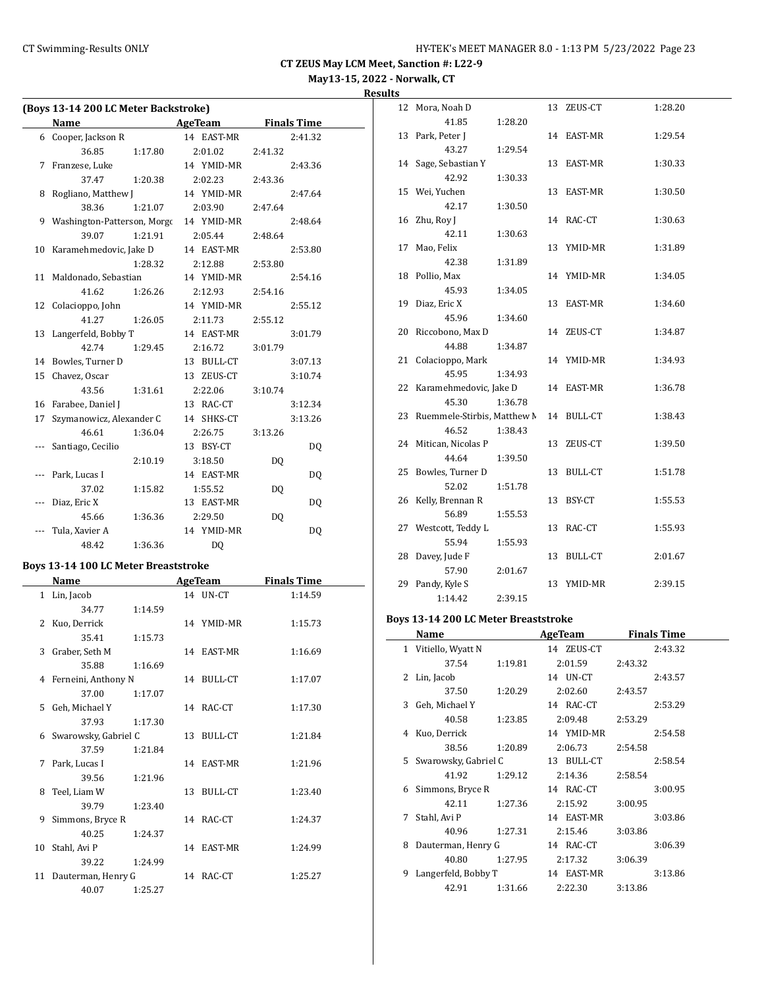**May13-15, 2022 - Norwalk, CT Results**

| (Boys 13-14 200 LC Meter Backstroke) |                             |         |            |                |                    |  |  |
|--------------------------------------|-----------------------------|---------|------------|----------------|--------------------|--|--|
|                                      | <b>Name</b><br>AgeTeam      |         |            |                | <b>Finals Time</b> |  |  |
|                                      | 6 Cooper, Jackson R         |         | 14 EAST-MR |                | 2:41.32            |  |  |
|                                      | 36.85                       | 1:17.80 | 2:01.02    | 2:41.32        |                    |  |  |
| 7                                    | Franzese, Luke              |         | 14 YMID-MR |                | 2:43.36            |  |  |
|                                      | 37.47                       | 1:20.38 | 2:02.23    | 2:43.36        |                    |  |  |
| 8                                    | Rogliano, Matthew J         |         | 14 YMID-MR |                | 2:47.64            |  |  |
|                                      | 38.36                       | 1:21.07 | 2:03.90    | 2:47.64        |                    |  |  |
| 9                                    | Washington-Patterson, Morgo |         | 14 YMID-MR |                | 2:48.64            |  |  |
|                                      | 39.07                       | 1:21.91 | 2:05.44    | 2:48.64        |                    |  |  |
| 10                                   | Karamehmedovic, Jake D      |         | 14 EAST-MR |                | 2:53.80            |  |  |
|                                      |                             | 1:28.32 | 2:12.88    | 2:53.80        |                    |  |  |
| 11                                   | Maldonado, Sebastian        |         | 14 YMID-MR |                | 2:54.16            |  |  |
|                                      | 41.62                       | 1:26.26 | 2:12.93    | 2:54.16        |                    |  |  |
|                                      | 12 Colacioppo, John         |         | 14 YMID-MR |                | 2:55.12            |  |  |
|                                      | 41.27                       | 1:26.05 | 2:11.73    | 2:55.12        |                    |  |  |
| 13                                   | Langerfeld, Bobby T         |         | 14 EAST-MR |                | 3:01.79            |  |  |
|                                      | 42.74                       | 1:29.45 | 2:16.72    | 3:01.79        |                    |  |  |
| 14                                   | Bowles, Turner D            |         | 13 BULL-CT |                | 3:07.13            |  |  |
| 15                                   | Chavez, Oscar               |         | 13 ZEUS-CT |                | 3:10.74            |  |  |
|                                      | 43.56                       | 1:31.61 | 2:22.06    | 3:10.74        |                    |  |  |
| 16                                   | Farabee, Daniel J           |         | 13 RAC-CT  |                | 3:12.34            |  |  |
| 17                                   | Szymanowicz, Alexander C    |         | 14 SHKS-CT |                | 3:13.26            |  |  |
|                                      | 46.61                       | 1:36.04 | 2:26.75    | 3:13.26        |                    |  |  |
| ---                                  | Santiago, Cecilio           |         | 13 BSY-CT  |                | DQ                 |  |  |
|                                      |                             | 2:10.19 | 3:18.50    | DQ             |                    |  |  |
| ---                                  | Park, Lucas I               |         | 14 EAST-MR |                | DQ                 |  |  |
|                                      | 37.02                       | 1:15.82 | 1:55.52    | DQ             |                    |  |  |
| ---                                  | Diaz, Eric X                |         | 13 EAST-MR |                | DQ                 |  |  |
|                                      | 45.66                       | 1:36.36 | 2:29.50    | D <sub>0</sub> |                    |  |  |
|                                      | Tula, Xavier A              |         | 14 YMID-MR |                | DQ                 |  |  |
|                                      | 48.42                       | 1:36.36 | DQ         |                |                    |  |  |

#### **Boys 13-14 100 LC Meter Breaststroke**

|    | <b>Name</b>            |         |    | <b>AgeTeam</b> | <b>Finals Time</b> |  |
|----|------------------------|---------|----|----------------|--------------------|--|
|    | 1 Lin, Jacob           |         |    | 14 UN-CT       | 1:14.59            |  |
|    | 34.77                  | 1:14.59 |    |                |                    |  |
|    | 2 Kuo, Derrick         |         |    | 14 YMID-MR     | 1:15.73            |  |
|    | 35.41                  | 1:15.73 |    |                |                    |  |
|    | 3 Graber, Seth M       |         |    | 14 EAST-MR     | 1:16.69            |  |
|    | 35.88                  | 1:16.69 |    |                |                    |  |
|    | 4 Ferneini, Anthony N  |         |    | 14 BULL-CT     | 1:17.07            |  |
|    | 37.00                  | 1:17.07 |    |                |                    |  |
|    | 5 Geh, Michael Y       |         |    | 14 RAC-CT      | 1:17.30            |  |
|    | 37.93                  | 1:17.30 |    |                |                    |  |
|    | 6 Swarowsky, Gabriel C |         |    | 13 BULL-CT     | 1:21.84            |  |
|    | 37.59                  | 1:21.84 |    |                |                    |  |
| 7  | Park, Lucas I          |         |    | 14 EAST-MR     | 1:21.96            |  |
|    | 39.56                  | 1:21.96 |    |                |                    |  |
| 8  | Teel, Liam W           |         | 13 | BULL-CT        | 1:23.40            |  |
|    | 39.79                  | 1:23.40 |    |                |                    |  |
| 9. | Simmons, Bryce R       |         |    | 14 RAC-CT      | 1:24.37            |  |
|    | 40.25                  | 1:24.37 |    |                |                    |  |
| 10 | Stahl, Avi P           |         |    | 14 EAST-MR     | 1:24.99            |  |
|    | 39.22                  | 1:24.99 |    |                |                    |  |
| 11 | Dauterman, Henry G     |         |    | 14 RAC-CT      | 1:25.27            |  |
|    | 40.07                  | 1:25.27 |    |                |                    |  |

|    | 12 Mora, Noah D             |         |    | 13 ZEUS-CT     | 1:28.20 |
|----|-----------------------------|---------|----|----------------|---------|
|    | 41.85                       | 1:28.20 |    |                |         |
| 13 | Park, Peter J               |         | 14 | EAST-MR        | 1:29.54 |
|    | 43.27                       | 1:29.54 |    |                |         |
| 14 | Sage, Sebastian Y           |         | 13 | EAST-MR        | 1:30.33 |
|    | 42.92                       | 1:30.33 |    |                |         |
|    | 15 Wei, Yuchen              |         | 13 | EAST-MR        | 1:30.50 |
|    | 42.17                       | 1:30.50 |    |                |         |
|    | 16 Zhu, Roy J               |         |    | 14 RAC-CT      | 1:30.63 |
|    | 42.11                       | 1:30.63 |    |                |         |
|    | 17 Mao, Felix               |         |    | 13 YMID-MR     | 1:31.89 |
|    | 42.38                       | 1:31.89 |    |                |         |
|    | 18 Pollio, Max              |         |    | 14 YMID-MR     | 1:34.05 |
|    | 45.93                       | 1:34.05 |    |                |         |
| 19 | Diaz, Eric X                |         | 13 | EAST-MR        | 1:34.60 |
|    | 45.96                       | 1:34.60 |    |                |         |
| 20 | Riccobono, Max D            |         |    | 14 ZEUS-CT     | 1:34.87 |
|    | 44.88                       | 1:34.87 |    |                |         |
| 21 | Colacioppo, Mark            |         |    | 14 YMID-MR     | 1:34.93 |
|    | 45.95                       | 1:34.93 |    |                |         |
| 22 | Karamehmedovic, Jake D      |         |    | 14 EAST-MR     | 1:36.78 |
|    | 45.30                       | 1:36.78 |    |                |         |
| 23 | Ruemmele-Stirbis, Matthew N |         |    | 14 BULL-CT     | 1:38.43 |
|    | 46.52                       | 1:38.43 |    |                |         |
|    | 24 Mitican, Nicolas P       |         | 13 | ZEUS-CT        | 1:39.50 |
|    | 44.64                       | 1:39.50 |    |                |         |
| 25 | Bowles, Turner D            |         | 13 | <b>BULL-CT</b> | 1:51.78 |
|    | 52.02                       | 1:51.78 |    |                |         |
| 26 | Kelly, Brennan R            |         | 13 | BSY-CT         | 1:55.53 |
|    | 56.89                       | 1:55.53 |    |                |         |
|    | 27 Westcott, Teddy L        |         | 13 | RAC-CT         | 1:55.93 |
|    | 55.94                       | 1:55.93 |    |                |         |
| 28 | Davey, Jude F               |         | 13 | BULL-CT        | 2:01.67 |
|    | 57.90                       | 2:01.67 |    |                |         |
| 29 | Pandy, Kyle S               |         | 13 | YMID-MR        | 2:39.15 |
|    | 1:14.42                     | 2:39.15 |    |                |         |

#### **Boys 13-14 200 LC Meter Breaststroke**

|    | Name                   |         | AgeTeam    | <b>Finals Time</b> |
|----|------------------------|---------|------------|--------------------|
|    | 1 Vitiello, Wyatt N    |         | 14 ZEUS-CT | 2:43.32            |
|    | 37.54                  | 1:19.81 | 2:01.59    | 2:43.32            |
| 2  | Lin, Jacob             |         | 14 UN-CT   | 2:43.57            |
|    | 37.50                  | 1:20.29 | 2:02.60    | 2:43.57            |
| 3  | Geh, Michael Y         |         | 14 RAC-CT  | 2:53.29            |
|    | 40.58                  | 1:23.85 | 2:09.48    | 2:53.29            |
| 4  | Kuo, Derrick           |         | 14 YMID-MR | 2:54.58            |
|    | 38.56                  | 1:20.89 | 2:06.73    | 2:54.58            |
|    | 5 Swarowsky, Gabriel C |         | 13 BULL-CT | 2:58.54            |
|    | 41.92                  | 1:29.12 | 2:14.36    | 2:58.54            |
| 6. | Simmons, Bryce R       |         | 14 RAC-CT  | 3:00.95            |
|    | 42.11                  | 1:27.36 | 2:15.92    | 3:00.95            |
| 7  | Stahl, Avi P           |         | 14 EAST-MR | 3:03.86            |
|    | 40.96                  | 1:27.31 | 2:15.46    | 3:03.86            |
| 8  | Dauterman, Henry G     |         | 14 RAC-CT  | 3:06.39            |
|    | 40.80                  | 1:27.95 | 2:17.32    | 3:06.39            |
| 9  | Langerfeld, Bobby T    |         | 14 EAST-MR | 3:13.86            |
|    | 42.91                  | 1:31.66 | 2:22.30    | 3:13.86            |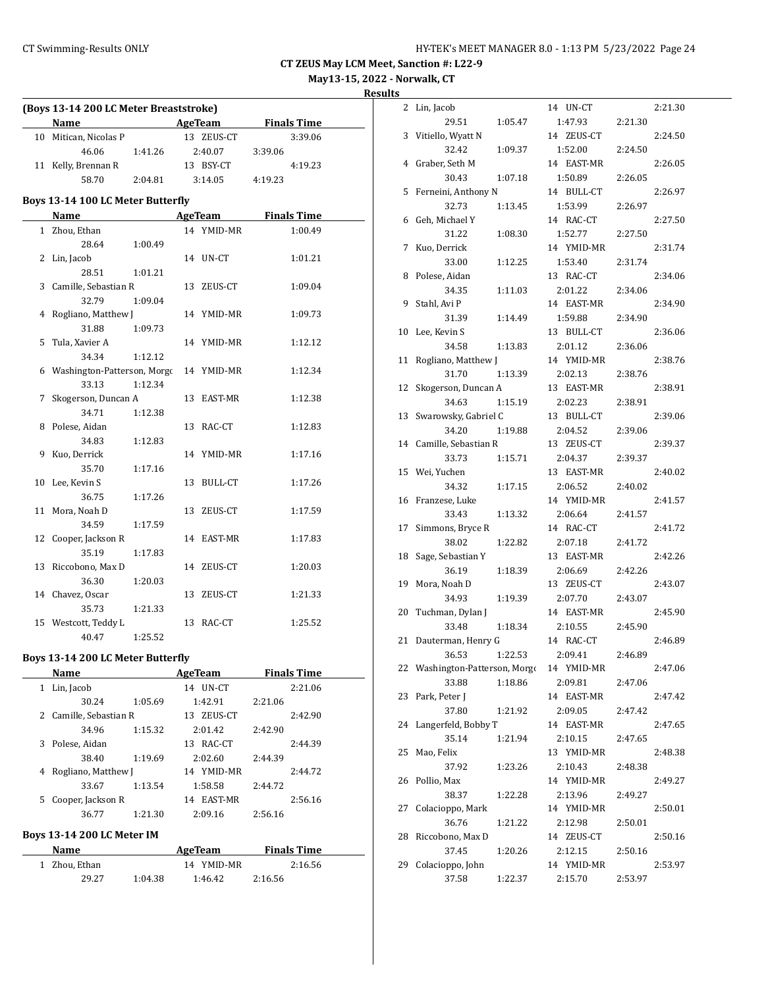**May13-15, 2022 - Norwalk, CT**

**Results**

| (Boys 13-14 200 LC Meter Breaststroke) |                                          |         |  |                |         |                    |
|----------------------------------------|------------------------------------------|---------|--|----------------|---------|--------------------|
|                                        | Name                                     | AgeTeam |  |                |         | <b>Finals Time</b> |
|                                        | 10 Mitican, Nicolas P                    |         |  | 13 ZEUS-CT     |         | 3:39.06            |
|                                        | 46.06                                    | 1:41.26 |  | 2:40.07        | 3:39.06 |                    |
|                                        | 11 Kelly, Brennan R                      |         |  | 13 BSY-CT      |         | 4:19.23            |
|                                        | 58.70                                    | 2:04.81 |  | 3:14.05        | 4:19.23 |                    |
|                                        | Boys 13-14 100 LC Meter Butterfly        |         |  |                |         |                    |
|                                        | <b>Name</b>                              |         |  | AgeTeam        |         | <b>Finals Time</b> |
|                                        | 1 Zhou, Ethan                            |         |  | 14 YMID-MR     |         | 1:00.49            |
|                                        | 28.64                                    | 1:00.49 |  |                |         |                    |
| 2                                      | Lin, Jacob                               |         |  | 14 UN-CT       |         | 1:01.21            |
|                                        | 28.51                                    | 1:01.21 |  |                |         |                    |
|                                        | 3 Camille, Sebastian R                   |         |  | 13 ZEUS-CT     |         | 1:09.04            |
|                                        | 32.79                                    | 1:09.04 |  |                |         |                    |
| 4                                      | Rogliano, Matthew J                      |         |  | 14 YMID-MR     |         | 1:09.73            |
|                                        | 31.88                                    | 1:09.73 |  |                |         |                    |
| 5                                      | Tula, Xavier A                           |         |  | 14 YMID-MR     |         | 1:12.12            |
|                                        | 34.34                                    | 1:12.12 |  |                |         |                    |
|                                        | 6 Washington-Patterson, Morgo 14 YMID-MR |         |  |                |         | 1:12.34            |
|                                        | 33.13                                    | 1:12.34 |  |                |         |                    |
| 7                                      | Skogerson, Duncan A                      |         |  | 13 EAST-MR     |         | 1:12.38            |
|                                        | 34.71                                    | 1:12.38 |  |                |         |                    |
| 8                                      | Polese, Aidan                            |         |  | 13 RAC-CT      |         | 1:12.83            |
|                                        | 34.83                                    | 1:12.83 |  |                |         |                    |
| 9                                      | Kuo, Derrick                             |         |  | 14 YMID-MR     |         | 1:17.16            |
|                                        | 35.70                                    | 1:17.16 |  |                |         |                    |
| 10                                     | Lee, Kevin S                             |         |  | 13 BULL-CT     |         | 1:17.26            |
|                                        | 36.75                                    | 1:17.26 |  |                |         |                    |
| 11                                     | Mora, Noah D                             |         |  | 13 ZEUS-CT     |         | 1:17.59            |
|                                        | 34.59                                    | 1:17.59 |  |                |         |                    |
|                                        | 12 Cooper, Jackson R                     |         |  | 14 EAST-MR     |         | 1:17.83            |
|                                        | 35.19                                    | 1:17.83 |  |                |         |                    |
| 13                                     | Riccobono, Max D                         |         |  | 14 ZEUS-CT     |         | 1:20.03            |
|                                        | 36.30                                    | 1:20.03 |  |                |         |                    |
|                                        | 14 Chavez, Oscar                         |         |  | 13 ZEUS-CT     |         | 1:21.33            |
|                                        | 35.73                                    | 1:21.33 |  |                |         |                    |
|                                        | 15 Westcott, Teddy L                     |         |  | 13 RAC-CT      |         | 1:25.52            |
|                                        | 40.47                                    | 1:25.52 |  |                |         |                    |
|                                        | Boys 13-14 200 LC Meter Butterfly        |         |  |                |         |                    |
|                                        | Name                                     |         |  | <b>AgeTeam</b> |         | <b>Finals Time</b> |
|                                        | 1 Lin, Jacob                             |         |  | 14 UN-CT       |         | 2:21.06            |
|                                        | 30.24                                    | 1:05.69 |  | 1:42.91        | 2:21.06 |                    |
| 2                                      | Camille, Sebastian R                     |         |  | 13 ZEUS-CT     |         | 2:42.90            |

|    | JV.41                  | 1. V J . V <i>J</i> | .          |         |         |
|----|------------------------|---------------------|------------|---------|---------|
|    | 2 Camille, Sebastian R |                     | 13 ZEUS-CT |         | 2:42.90 |
|    | 34.96                  | 1:15.32             | 2:01.42    | 2:42.90 |         |
| 3. | Polese, Aidan          |                     | 13 RAC-CT  |         | 2:44.39 |
|    | 38.40                  | 1:19.69             | 2:02.60    | 2:44.39 |         |
|    | Rogliano, Matthew J    |                     | 14 YMID-MR |         | 2:44.72 |
|    | 33.67                  | 1:13.54             | 1:58.58    | 2:44.72 |         |
| 5. | Cooper, Jackson R      |                     | 14 EAST-MR |         | 2:56.16 |
|    | 36.77                  | 1:21.30             | 2:09.16    | 2:56.16 |         |
|    |                        |                     |            |         |         |

#### **Boys 13-14 200 LC Meter IM**

| <b>Name</b>   |       |         | AgeTeam    |         | <b>Finals Time</b> |  |
|---------------|-------|---------|------------|---------|--------------------|--|
| 1 Zhou. Ethan |       |         | 14 YMID-MR |         | 2:16.56            |  |
|               | 29.27 | 1:04.38 | 1:46.42    | 2:16.56 |                    |  |

| 2  | Lin, Jacob                  |         | 14 UN-CT      |         | 2:21.30 |
|----|-----------------------------|---------|---------------|---------|---------|
|    | 29.51                       | 1:05.47 | 1:47.93       | 2:21.30 |         |
| 3  | Vitiello, Wyatt N           |         | 14 ZEUS-CT    |         | 2:24.50 |
|    | 32.42                       | 1:09.37 | 1:52.00       | 2:24.50 |         |
| 4  | Graber, Seth M              |         | 14 EAST-MR    |         | 2:26.05 |
|    | 30.43                       | 1:07.18 | 1:50.89       | 2:26.05 |         |
| 5  | Ferneini, Anthony N         |         | 14 BULL-CT    |         | 2:26.97 |
|    | 32.73                       | 1:13.45 | 1:53.99       | 2:26.97 |         |
| 6  | Geh, Michael Y              |         | 14 RAC-CT     |         | 2:27.50 |
|    | 31.22                       | 1:08.30 | 1:52.77       | 2:27.50 |         |
| 7  | Kuo, Derrick                |         | 14 YMID-MR    |         | 2:31.74 |
|    | 33.00                       | 1:12.25 | 1:53.40       | 2:31.74 |         |
| 8  | Polese, Aidan               |         | 13 RAC-CT     |         | 2:34.06 |
|    | 34.35                       | 1:11.03 | 2:01.22       | 2:34.06 |         |
| 9  | Stahl, Avi P                |         | 14 EAST-MR    |         | 2:34.90 |
|    | 31.39                       | 1:14.49 | 1:59.88       | 2:34.90 |         |
| 10 | Lee, Kevin S                |         | 13 BULL-CT    |         | 2:36.06 |
|    | 34.58                       | 1:13.83 | 2:01.12       | 2:36.06 |         |
| 11 | Rogliano, Matthew J         |         | 14 YMID-MR    |         | 2:38.76 |
|    | 31.70                       | 1:13.39 | 2:02.13       | 2:38.76 |         |
| 12 | Skogerson, Duncan A         |         | 13 EAST-MR    |         | 2:38.91 |
|    | 34.63                       | 1:15.19 | 2:02.23       | 2:38.91 |         |
| 13 | Swarowsky, Gabriel C        |         | 13 BULL-CT    |         | 2:39.06 |
|    | 34.20                       | 1:19.88 | 2:04.52       | 2:39.06 |         |
| 14 | Camille, Sebastian R        |         | 13 ZEUS-CT    |         | 2:39.37 |
|    | 33.73                       | 1:15.71 | 2:04.37       | 2:39.37 |         |
| 15 | Wei, Yuchen                 |         | 13 EAST-MR    |         | 2:40.02 |
|    | 34.32                       | 1:17.15 | 2:06.52       | 2:40.02 |         |
| 16 | Franzese, Luke              |         | 14 YMID-MR    |         | 2:41.57 |
|    | 33.43                       | 1:13.32 | 2:06.64       | 2:41.57 |         |
| 17 | Simmons, Bryce R            |         | 14 RAC-CT     |         | 2:41.72 |
|    | 38.02                       | 1:22.82 | 2:07.18       | 2:41.72 |         |
| 18 | Sage, Sebastian Y           |         | EAST-MR<br>13 |         | 2:42.26 |
|    | 36.19                       | 1:18.39 | 2:06.69       | 2:42.26 |         |
| 19 | Mora, Noah D                |         | 13 ZEUS-CT    |         | 2:43.07 |
|    | 34.93                       | 1:19.39 | 2:07.70       | 2:43.07 |         |
| 20 | Tuchman, Dylan J            |         | 14 EAST-MR    |         | 2:45.90 |
|    | 33.48                       | 1:18.34 | 2:10.55       | 2:45.90 |         |
| 21 | Dauterman, Henry G          |         | 14 RAC-CT     |         | 2:46.89 |
|    | 36.53                       | 1:22.53 | 2:09.41       | 2:46.89 |         |
| 22 | Washington-Patterson, Morgo |         | 14 YMID-MR    |         | 2:47.06 |
|    | 33.88                       | 1:18.86 | 2:09.81       | 2:47.06 |         |
| 23 | Park, Peter J               |         | 14 EAST-MR    |         | 2:47.42 |
|    | 37.80                       | 1:21.92 | 2:09.05       | 2:47.42 |         |
| 24 | Langerfeld, Bobby T         |         | 14 EAST-MR    |         | 2:47.65 |
|    | 35.14                       | 1:21.94 | 2:10.15       | 2:47.65 |         |
| 25 | Mao, Felix                  |         | 13 YMID-MR    |         | 2:48.38 |
|    | 37.92                       | 1:23.26 | 2:10.43       | 2:48.38 |         |
| 26 | Pollio, Max                 |         | 14 YMID-MR    |         | 2:49.27 |
|    | 38.37                       | 1:22.28 | 2:13.96       | 2:49.27 |         |
| 27 | Colacioppo, Mark            |         | 14 YMID-MR    |         | 2:50.01 |
|    | 36.76                       | 1:21.22 | 2:12.98       | 2:50.01 |         |
| 28 | Riccobono, Max D            |         | 14<br>ZEUS-CT |         | 2:50.16 |
|    | 37.45                       | 1:20.26 | 2:12.15       | 2:50.16 |         |
| 29 | Colacioppo, John            |         | 14 YMID-MR    |         | 2:53.97 |
|    | 37.58                       | 1:22.37 | 2:15.70       | 2:53.97 |         |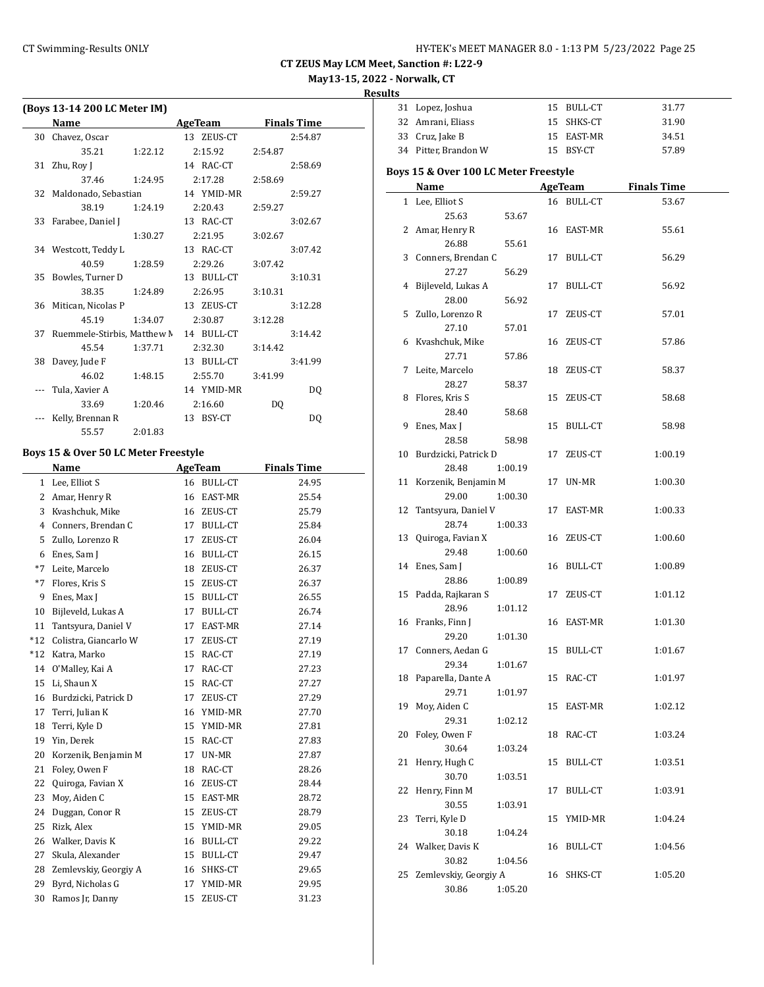**May13-15, 2022 - Norwalk, CT**

**Results**

 $\frac{1}{2}$ 

|       | (Boys 13-14 200 LC Meter IM)         |               |                    |
|-------|--------------------------------------|---------------|--------------------|
|       | Name                                 | AgeTeam       | <b>Finals Time</b> |
| 30    | Chavez, Oscar                        | 13 ZEUS-CT    | 2:54.87            |
|       | 35.21<br>1:22.12                     | 2:15.92       | 2:54.87            |
| 31    | Zhu, Roy J                           | 14 RAC-CT     | 2:58.69            |
|       | 37.46<br>1:24.95                     | 2:17.28       | 2:58.69            |
| 32    | Maldonado, Sebastian                 | 14 YMID-MR    | 2:59.27            |
|       | 38.19<br>1:24.19                     | 2:20.43       | 2:59.27            |
| 33    | Farabee, Daniel J                    | 13 RAC-CT     | 3:02.67            |
|       | 1:30.27                              | 2:21.95       | 3:02.67            |
|       | 34 Westcott, Teddy L                 | 13 RAC-CT     | 3:07.42            |
|       | 40.59<br>1:28.59                     | 2:29.26       | 3:07.42            |
| 35    | Bowles, Turner D                     | 13 BULL-CT    | 3:10.31            |
|       | 38.35<br>1:24.89                     | 2:26.95       | 3:10.31            |
| 36    | Mitican, Nicolas P                   | 13 ZEUS-CT    | 3:12.28            |
|       | 45.19<br>1:34.07                     | 2:30.87       | 3:12.28            |
| 37    | Ruemmele-Stirbis, Matthew N          | 14 BULL-CT    | 3:14.42            |
|       | 45.54<br>1:37.71                     | 2:32.30       | 3:14.42            |
| 38    | Davey, Jude F                        | 13 BULL-CT    | 3:41.99            |
|       | 46.02<br>1:48.15                     | 2:55.70       | 3:41.99            |
|       | Tula, Xavier A                       | 14 YMID-MR    | DQ                 |
|       | 33.69<br>1:20.46                     | 2:16.60       | DQ                 |
|       | Kelly, Brennan R                     | 13 BSY-CT     | DQ                 |
|       | 55.57<br>2:01.83                     |               |                    |
|       |                                      |               |                    |
|       | Boys 15 & Over 50 LC Meter Freestyle |               |                    |
|       | Name                                 | AgeTeam       | <b>Finals Time</b> |
| 1     | Lee, Elliot S                        | 16 BULL-CT    | 24.95              |
| 2     | Amar, Henry R                        | 16 EAST-MR    | 25.54              |
| 3     | Kvashchuk, Mike                      | 16 ZEUS-CT    | 25.79              |
| 4     | Conners, Brendan C                   | 17 BULL-CT    | 25.84              |
| 5     | Zullo, Lorenzo R                     | 17 ZEUS-CT    | 26.04              |
| 6     | Enes, Sam J                          | 16 BULL-CT    | 26.15              |
| *7    | Leite, Marcelo                       | 18 ZEUS-CT    | 26.37              |
| $*7$  | Flores, Kris S                       | 15 ZEUS-CT    | 26.37              |
| 9     | Enes, Max J                          | 15 BULL-CT    | 26.55              |
| 10    | Bijleveld, Lukas A                   | 17 BULL-CT    | 26.74              |
| 11    | Tantsyura, Daniel V                  | 17 EAST-MR    | 27.14              |
| *12   | Colistra, Giancarlo W                | 17<br>ZEUS-CT | 27.19              |
| $*12$ | Katra, Marko                         | 15<br>RAC-CT  | 27.19              |
| 14    | O'Malley, Kai A                      | 17<br>RAC-CT  | 27.23              |
| 15    | Li, Shaun X                          | 15<br>RAC-CT  | 27.27              |
| 16    | Burdzicki, Patrick D                 | 17<br>ZEUS-CT | 27.29              |
| 17    | Terri, Julian K                      | 16<br>YMID-MR | 27.70              |
| 18    | Terri, Kyle D                        | 15<br>YMID-MR | 27.81              |
| 19    | Yin, Derek                           | 15<br>RAC-CT  | 27.83              |
| 20    | Korzenik, Benjamin M                 | 17<br>UN-MR   | 27.87              |
| 21    | Foley, Owen F                        | 18<br>RAC-CT  | 28.26              |
| 22    | Quiroga, Favian X                    | 16<br>ZEUS-CT | 28.44              |
| 23    | Moy, Aiden C                         | 15<br>EAST-MR | 28.72              |
| 24    | Duggan, Conor R                      | 15<br>ZEUS-CT | 28.79              |
| 25    | Rizk, Alex                           | 15<br>YMID-MR | 29.05              |
| 26    | Walker, Davis K                      | 16<br>BULL-CT | 29.22              |
| 27    | Skula, Alexander                     | 15<br>BULL-CT | 29.47              |
| 28    | Zemlevskiy, Georgiy A                | 16<br>SHKS-CT | 29.65              |
| 29    | Byrd, Nicholas G                     |               |                    |
|       | Ramos Jr, Danny                      | 17<br>YMID-MR | 29.95              |
| 30    |                                      | 15<br>ZEUS-CT | 31.23              |

|    | 31 Lopez, Joshua                      |               | 15 BULL-CT     | 31.77              |
|----|---------------------------------------|---------------|----------------|--------------------|
|    | 32 Amrani, Eliass                     |               | 15 SHKS-CT     | 31.90              |
|    | 33 Cruz, Jake B                       |               | 15 EAST-MR     | 34.51              |
|    | 34 Pitter, Brandon W                  |               | 15 BSY-CT      | 57.89              |
|    |                                       |               |                |                    |
|    | Boys 15 & Over 100 LC Meter Freestyle |               |                |                    |
|    | Name                                  |               | <b>AgeTeam</b> | <b>Finals Time</b> |
|    | 1 Lee, Elliot S                       |               | 16 BULL-CT     | 53.67              |
|    | 25.63                                 | 53.67         |                |                    |
|    | 2 Amar, Henry R                       |               | 16 EAST-MR     | 55.61              |
|    | 26.88                                 | 55.61         |                |                    |
| 3  | Conners, Brendan C                    |               | 17 BULL-CT     | 56.29              |
|    | 27.27                                 | 56.29         |                |                    |
| 4  | Bijleveld, Lukas A                    | 17            | BULL-CT        | 56.92              |
|    | 28.00                                 | 56.92         |                |                    |
| 5  | Zullo, Lorenzo R                      | 17            | ZEUS-CT        | 57.01              |
|    | 27.10                                 | 57.01         |                |                    |
|    | 6 Kvashchuk, Mike                     |               | 16 ZEUS-CT     | 57.86              |
|    | 27.71                                 | 57.86         |                |                    |
| 7  | Leite, Marcelo                        |               | 18 ZEUS-CT     | 58.37              |
|    | 28.27                                 | 58.37         |                |                    |
| 8  | Flores, Kris S                        |               | 15 ZEUS-CT     | 58.68              |
|    | 28.40                                 | 58.68         |                |                    |
| 9  | Enes, Max J                           | 15            | BULL-CT        | 58.98              |
|    | 28.58                                 | 58.98         |                |                    |
| 10 | Burdzicki, Patrick D                  |               | 17 ZEUS-CT     | 1:00.19            |
|    | 28.48                                 | 1:00.19       |                |                    |
| 11 | Korzenik, Benjamin M                  |               | 17 UN-MR       | 1:00.30            |
|    | 29.00                                 | 1:00.30       |                |                    |
| 12 | Tantsyura, Daniel V                   |               | 17 EAST-MR     | 1:00.33            |
|    | 28.74                                 | 1:00.33       |                |                    |
| 13 | Quiroga, Favian X                     |               | 16 ZEUS-CT     | 1:00.60            |
|    | 29.48                                 | 1:00.60       |                |                    |
| 14 | Enes, Sam J                           |               | 16 BULL-CT     | 1:00.89            |
|    | 28.86                                 | 1:00.89       |                |                    |
| 15 | Padda, Rajkaran S<br>28.96            | 17<br>1:01.12 | ZEUS-CT        | 1:01.12            |
|    | 16 Franks, Finn J                     |               |                | 1:01.30            |
|    | 29.20                                 | 1:01.30       | 16 EAST-MR     |                    |
|    | 17 Conners, Aedan G                   |               | 15 BULL-CT     | 1:01.67            |
|    | 29.34                                 | 1:01.67       |                |                    |
| 18 | Paparella, Dante A                    |               | 15 RAC-CT      | 1:01.97            |
|    | 29.71                                 | 1:01.97       |                |                    |
| 19 | Moy, Aiden C                          | 15            | EAST-MR        | 1:02.12            |
|    | 29.31                                 | 1:02.12       |                |                    |
| 20 | Foley, Owen F                         | 18            | RAC-CT         | 1:03.24            |
|    | 30.64                                 | 1:03.24       |                |                    |
| 21 | Henry, Hugh C                         | 15            | <b>BULL-CT</b> | 1:03.51            |
|    | 30.70                                 | 1:03.51       |                |                    |
| 22 | Henry, Finn M                         | 17            | <b>BULL-CT</b> | 1:03.91            |
|    | 30.55                                 | 1:03.91       |                |                    |
| 23 | Terri, Kyle D                         | 15            | YMID-MR        | 1:04.24            |
|    | 30.18                                 | 1:04.24       |                |                    |
| 24 | Walker, Davis K                       | 16            | BULL-CT        | 1:04.56            |
|    | 30.82                                 | 1:04.56       |                |                    |
| 25 | Zemlevskiy, Georgiy A                 |               | 16 SHKS-CT     | 1:05.20            |
|    | 30.86                                 | 1:05.20       |                |                    |
|    |                                       |               |                |                    |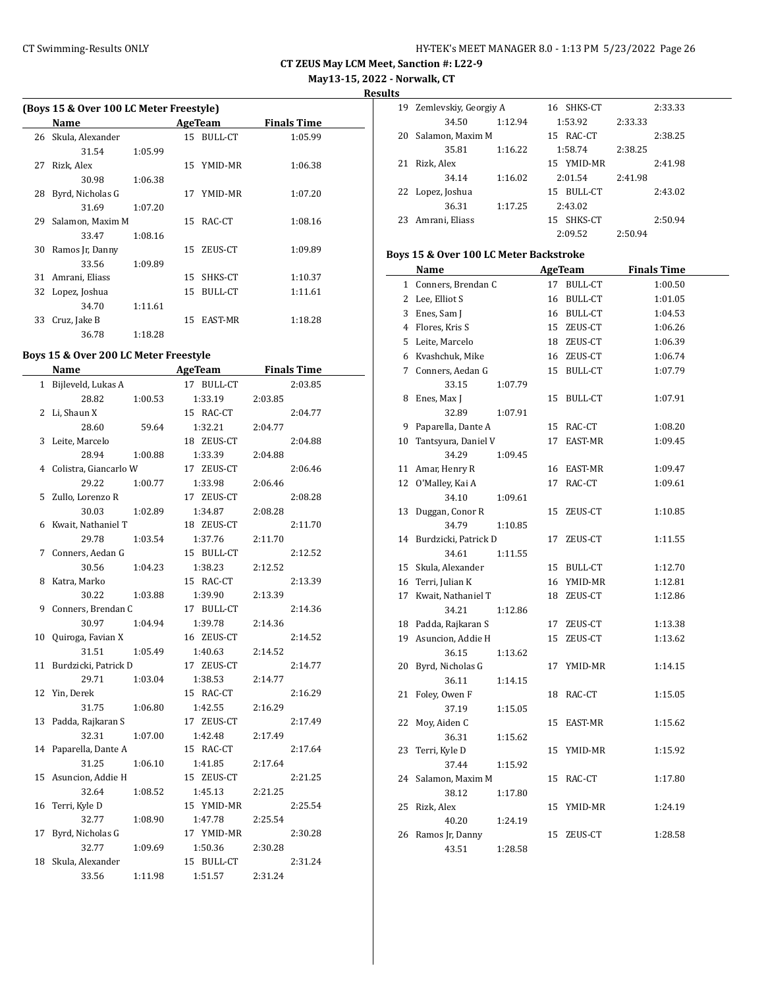**May13-15, 2022 - Norwalk, CT**

**Results**

|    | Name             |         |    | AgeTeam        | <b>Finals Time</b> |  |
|----|------------------|---------|----|----------------|--------------------|--|
| 26 | Skula, Alexander |         |    | 15 BULL-CT     | 1:05.99            |  |
|    | 31.54            | 1:05.99 |    |                |                    |  |
| 27 | Rizk, Alex       |         |    | 15 YMID-MR     | 1:06.38            |  |
|    | 30.98            | 1:06.38 |    |                |                    |  |
| 28 | Byrd, Nicholas G |         |    | 17 YMID-MR     | 1:07.20            |  |
|    | 31.69            | 1:07.20 |    |                |                    |  |
| 29 | Salamon, Maxim M |         | 15 | RAC-CT         | 1:08.16            |  |
|    | 33.47            | 1:08.16 |    |                |                    |  |
| 30 | Ramos Jr, Danny  |         | 15 | ZEUS-CT        | 1:09.89            |  |
|    | 33.56            | 1:09.89 |    |                |                    |  |
| 31 | Amrani, Eliass   |         | 15 | SHKS-CT        | 1:10.37            |  |
| 32 | Lopez, Joshua    |         | 15 | BULL-CT        | 1:11.61            |  |
|    | 34.70            | 1:11.61 |    |                |                    |  |
| 33 | Cruz, Jake B     |         | 15 | <b>EAST-MR</b> | 1:18.28            |  |
|    | 36.78            | 1:18.28 |    |                |                    |  |

#### **Boys 15 & Over 200 LC Meter Freestyle**

|    | <b>Name</b>           |         | <b>AgeTeam</b> |         | <b>Finals Time</b> |
|----|-----------------------|---------|----------------|---------|--------------------|
|    | 1 Bijleveld, Lukas A  |         | 17 BULL-CT     |         | 2:03.85            |
|    | 28.82                 | 1:00.53 | 1:33.19        | 2:03.85 |                    |
| 2  | Li, Shaun X           |         | 15 RAC-CT      |         | 2:04.77            |
|    | 28.60                 | 59.64   | 1:32.21        | 2:04.77 |                    |
| 3  | Leite, Marcelo        |         | 18 ZEUS-CT     |         | 2:04.88            |
|    | 28.94                 | 1:00.88 | 1:33.39        | 2:04.88 |                    |
| 4  | Colistra, Giancarlo W |         | 17 ZEUS-CT     |         | 2:06.46            |
|    | 29.22                 | 1:00.77 | 1:33.98        | 2:06.46 |                    |
| 5  | Zullo, Lorenzo R      |         | 17 ZEUS-CT     |         | 2:08.28            |
|    | 30.03                 | 1:02.89 | 1:34.87        | 2:08.28 |                    |
| 6  | Kwait, Nathaniel T    |         | 18 ZEUS-CT     |         | 2:11.70            |
|    | 29.78                 | 1:03.54 | 1:37.76        | 2:11.70 |                    |
| 7  | Conners, Aedan G      |         | 15 BULL-CT     |         | 2:12.52            |
|    | 30.56                 | 1:04.23 | 1:38.23        | 2:12.52 |                    |
| 8  | Katra, Marko          |         | 15 RAC-CT      |         | 2:13.39            |
|    | 30.22                 | 1:03.88 | 1:39.90        | 2:13.39 |                    |
| 9  | Conners, Brendan C    |         | 17 BULL-CT     |         | 2:14.36            |
|    | 30.97                 | 1:04.94 | 1:39.78        | 2:14.36 |                    |
| 10 | Quiroga, Favian X     |         | 16 ZEUS-CT     |         | 2:14.52            |
|    | 31.51                 | 1:05.49 | 1:40.63        | 2:14.52 |                    |
| 11 | Burdzicki, Patrick D  |         | 17 ZEUS-CT     |         | 2:14.77            |
|    | 29.71                 | 1:03.04 | 1:38.53        | 2:14.77 |                    |
| 12 | Yin, Derek            |         | 15 RAC-CT      |         | 2:16.29            |
|    | 31.75                 | 1:06.80 | 1:42.55        | 2:16.29 |                    |
| 13 | Padda, Rajkaran S     |         | 17 ZEUS-CT     |         | 2:17.49            |
|    | 32.31                 | 1:07.00 | 1:42.48        | 2:17.49 |                    |
| 14 | Paparella, Dante A    |         | 15 RAC-CT      |         | 2:17.64            |
|    | 31.25                 | 1:06.10 | 1:41.85        | 2:17.64 |                    |
| 15 | Asuncion, Addie H     |         | 15 ZEUS-CT     |         | 2:21.25            |
|    | 32.64                 | 1:08.52 | 1:45.13        | 2:21.25 |                    |
| 16 | Terri, Kyle D         |         | 15 YMID-MR     |         | 2:25.54            |
|    | 32.77                 | 1:08.90 | 1:47.78        | 2:25.54 |                    |
| 17 | Byrd, Nicholas G      |         | 17 YMID-MR     |         | 2:30.28            |
|    | 32.77                 | 1:09.69 | 1:50.36        | 2:30.28 |                    |
| 18 | Skula, Alexander      |         | 15 BULL-CT     |         | 2:31.24            |
|    | 33.56                 | 1:11.98 | 1:51.57        | 2:31.24 |                    |

| 19 | Zemlevskiy, Georgiy A |         | 16 SHKS-CT     |         | 2:33.33 |
|----|-----------------------|---------|----------------|---------|---------|
|    | 34.50                 | 1:12.94 | 1:53.92        | 2:33.33 |         |
| 20 | Salamon, Maxim M      |         | RAC-CT<br>15.  |         | 2:38.25 |
|    | 35.81                 | 1:16.22 | 1:58.74        | 2:38.25 |         |
| 21 | Rizk, Alex            |         | 15 YMID-MR     |         | 2:41.98 |
|    | 34.14                 | 1:16.02 | 2:01.54        | 2:41.98 |         |
|    | 22 Lopez, Joshua      |         | BULL-CT<br>15  |         | 2:43.02 |
|    | 36.31                 | 1:17.25 | 2:43.02        |         |         |
| 23 | Amrani, Eliass        |         | SHKS-CT<br>15. |         | 2:50.94 |
|    |                       |         | 2:09.52        | 2.50.94 |         |

# **Boys 15 & Over 100 LC Meter Backstroke**

|              | <b>Name</b>             |               | <b>AgeTeam</b> | <b>Finals Time</b> |
|--------------|-------------------------|---------------|----------------|--------------------|
| $\mathbf{1}$ | Conners, Brendan C      |               | 17 BULL-CT     | 1:00.50            |
|              | 2 Lee, Elliot S         |               | 16 BULL-CT     | 1:01.05            |
|              | 3 Enes, Sam J           |               | 16 BULL-CT     | 1:04.53            |
|              | 4 Flores, Kris S        |               | 15 ZEUS-CT     | 1:06.26            |
|              | 5 Leite, Marcelo        |               | 18 ZEUS-CT     | 1:06.39            |
|              | 6 Kvashchuk, Mike       |               | 16 ZEUS-CT     | 1:06.74            |
|              | 7 Conners, Aedan G      |               | 15 BULL-CT     | 1:07.79            |
|              | 33.15                   | 1:07.79       |                |                    |
|              | 8 Enes, Max J           |               | 15 BULL-CT     | 1:07.91            |
|              | 32.89                   | 1:07.91       |                |                    |
| 9            | Paparella, Dante A      |               | 15 RAC-CT      | 1:08.20            |
| 10           | Tantsyura, Daniel V     | 17            | EAST-MR        | 1:09.45            |
|              | 34.29                   | 1:09.45       |                |                    |
|              | 11 Amar, Henry R        |               | 16 EAST-MR     | 1:09.47            |
|              | 12 O'Malley, Kai A      |               | 17 RAC-CT      | 1:09.61            |
|              | 34.10                   | 1:09.61       |                |                    |
| 13           | Duggan, Conor R         | 15            | ZEUS-CT        | 1:10.85            |
|              | 34.79                   | 1:10.85       |                |                    |
|              | 14 Burdzicki, Patrick D | 17            | ZEUS-CT        | 1:11.55            |
|              | 34.61                   | 1:11.55       |                |                    |
|              | 15 Skula, Alexander     |               | 15 BULL-CT     | 1:12.70            |
|              | 16 Terri, Julian K      |               | 16 YMID-MR     | 1:12.81            |
|              | 17 Kwait, Nathaniel T   |               | 18 ZEUS-CT     | 1:12.86            |
|              | 34.21                   | 1:12.86       |                |                    |
|              | 18 Padda, Rajkaran S    | 17            | ZEUS-CT        | 1:13.38            |
| 19           | Asuncion, Addie H       | 15            | ZEUS-CT        | 1:13.62            |
|              | 36.15                   | 1:13.62       |                |                    |
| 20           | Byrd, Nicholas G        |               | 17 YMID-MR     | 1:14.15            |
|              | 36.11                   | 1:14.15       |                |                    |
| 21           | Foley, Owen F           |               | 18 RAC-CT      | 1:15.05            |
|              | 37.19                   | 1:15.05       |                |                    |
| 22           | Moy, Aiden C            | 15            | EAST-MR        | 1:15.62            |
| 23           | 36.31                   | 1:15.62<br>15 |                |                    |
|              | Terri, Kyle D<br>37.44  | 1:15.92       | YMID-MR        | 1:15.92            |
| 24           | Salamon, Maxim M        |               | 15 RAC-CT      | 1:17.80            |
|              | 38.12                   | 1:17.80       |                |                    |
| 25           | Rizk, Alex              |               | 15 YMID-MR     | 1:24.19            |
|              | 40.20                   | 1:24.19       |                |                    |
|              | 26 Ramos Jr, Danny      | 15            | ZEUS-CT        | 1:28.58            |
|              | 43.51                   | 1:28.58       |                |                    |
|              |                         |               |                |                    |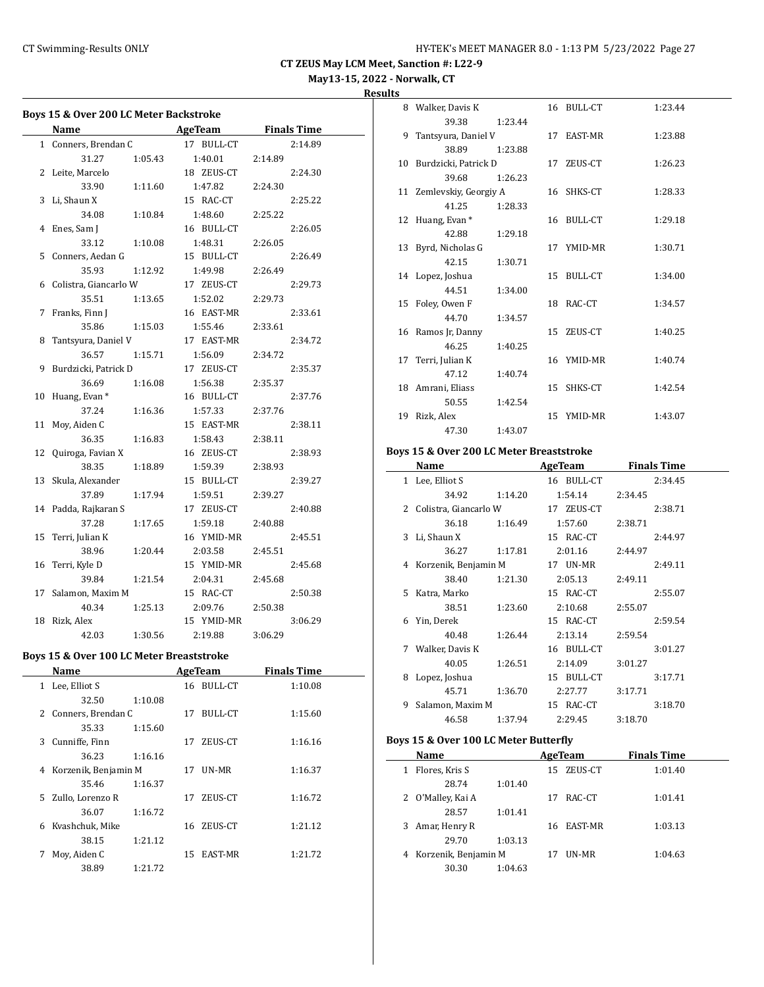**May13-15, 2022 - Norwalk, CT**

#### **Results**

| Boys 15 & Over 200 LC Meter Backstroke   |                       |                      |                    |  |  |  |
|------------------------------------------|-----------------------|----------------------|--------------------|--|--|--|
|                                          | Name                  | AgeTeam              | <b>Finals Time</b> |  |  |  |
| $1 \quad$                                | Conners, Brendan C    | 17 BULL-CT           | 2:14.89            |  |  |  |
|                                          | 31.27<br>1:05.43      | 1:40.01              | 2:14.89            |  |  |  |
| 2                                        | Leite, Marcelo        | 18 ZEUS-CT           | 2:24.30            |  |  |  |
|                                          | 33.90<br>1:11.60      | 1:47.82              | 2:24.30            |  |  |  |
| 3                                        | Li, Shaun X           | 15 RAC-CT            | 2:25.22            |  |  |  |
|                                          | 34.08<br>1:10.84      | 1:48.60              | 2:25.22            |  |  |  |
| 4                                        | Enes, Sam J           | 16 BULL-CT           | 2:26.05            |  |  |  |
|                                          | 33.12<br>1:10.08      | 1:48.31              | 2:26.05            |  |  |  |
| 5                                        | Conners, Aedan G      | 15 BULL-CT           | 2:26.49            |  |  |  |
|                                          | 35.93<br>1:12.92      | 1:49.98              | 2:26.49            |  |  |  |
| 6                                        | Colistra, Giancarlo W | 17 ZEUS-CT           | 2:29.73            |  |  |  |
|                                          | 35.51<br>1:13.65      | 1:52.02              | 2:29.73            |  |  |  |
| 7                                        | Franks, Finn J        | 16 EAST-MR           | 2:33.61            |  |  |  |
|                                          | 35.86<br>1:15.03      | 1:55.46              | 2:33.61            |  |  |  |
| 8                                        | Tantsyura, Daniel V   | 17 EAST-MR           | 2:34.72            |  |  |  |
|                                          | 36.57<br>1:15.71      | 1:56.09              | 2:34.72            |  |  |  |
| 9                                        | Burdzicki, Patrick D  | 17 ZEUS-CT           | 2:35.37            |  |  |  |
|                                          | 36.69<br>1:16.08      | 1:56.38              | 2:35.37            |  |  |  |
| 10                                       | Huang, Evan *         | 16 BULL-CT           | 2:37.76            |  |  |  |
|                                          | 37.24<br>1:16.36      | 1:57.33              | 2:37.76            |  |  |  |
| 11                                       | Moy, Aiden C          | 15 EAST-MR           | 2:38.11            |  |  |  |
|                                          | 36.35<br>1:16.83      | 1:58.43              | 2:38.11            |  |  |  |
| 12                                       | Quiroga, Favian X     | 16 ZEUS-CT           | 2:38.93            |  |  |  |
|                                          | 38.35<br>1:18.89      | 1:59.39              | 2:38.93            |  |  |  |
| 13                                       | Skula, Alexander      | 15 BULL-CT           | 2:39.27            |  |  |  |
|                                          | 37.89<br>1:17.94      | 1:59.51              | 2:39.27            |  |  |  |
| 14                                       | Padda, Rajkaran S     | 17 ZEUS-CT           | 2:40.88            |  |  |  |
|                                          | 37.28<br>1:17.65      | 1:59.18              | 2:40.88            |  |  |  |
| 15                                       | Terri, Julian K       | 16 YMID-MR           | 2:45.51            |  |  |  |
|                                          | 38.96<br>1:20.44      | 2:03.58              | 2:45.51            |  |  |  |
| 16                                       | Terri, Kyle D         | 15 YMID-MR           | 2:45.68            |  |  |  |
|                                          | 39.84<br>1:21.54      | 2:04.31              | 2:45.68            |  |  |  |
| 17                                       | Salamon, Maxim M      | 15 RAC-CT            | 2:50.38            |  |  |  |
|                                          | 40.34<br>1:25.13      | 2:09.76              | 2:50.38            |  |  |  |
| 18                                       | Rizk, Alex            | 15 YMID-MR           | 3:06.29            |  |  |  |
|                                          | 42.03<br>1:30.56      | 2:19.88              | 3:06.29            |  |  |  |
| Boys 15 & Over 100 LC Meter Breaststroke |                       |                      |                    |  |  |  |
|                                          | <b>Name</b>           | <b>AgeTeam</b>       | <b>Finals Time</b> |  |  |  |
| $\mathbf{1}$                             | Lee, Elliot S         | <b>BULL-CT</b><br>16 | 1:10.08            |  |  |  |
|                                          | 32.50<br>1:10.08      |                      |                    |  |  |  |
| 2                                        | Conners, Brendan C    | <b>BULL-CT</b><br>17 | 1:15.60            |  |  |  |
|                                          | 35.33<br>1:15.60      |                      |                    |  |  |  |
| 3                                        | Cunniffe, Finn        | ZEUS-CT<br>17        | 1:16.16            |  |  |  |
|                                          | 36.23<br>1:16.16      |                      |                    |  |  |  |
| 4                                        | Korzenik, Benjamin M  | 17 UN-MR             | 1:16.37            |  |  |  |

35.46 1:16.37

36.07 1:16.72

38.15 1:21.12

38.89 1:21.72

5 Zullo, Lorenzo R 17 ZEUS-CT 1:16.72

6 Kvashchuk, Mike 16 ZEUS-CT 1:21.12

7 Moy, Aiden C 15 EAST-MR 1:21.72

|    | 8 Walker, Davis K        |         |                 | 16 BULL-CT     | 1:23.44 |
|----|--------------------------|---------|-----------------|----------------|---------|
|    | 39.38                    | 1:23.44 |                 |                |         |
| 9  | Tantsyura, Daniel V      |         |                 | 17 EAST-MR     | 1:23.88 |
|    | 38.89                    | 1:23.88 |                 |                |         |
|    | 10 Burdzicki, Patrick D  |         |                 | 17 ZEUS-CT     | 1:26.23 |
|    | 39.68                    | 1:26.23 |                 |                |         |
|    | 11 Zemlevskiy, Georgiy A |         |                 | 16 SHKS-CT     | 1:28.33 |
|    | 41.25                    | 1:28.33 |                 |                |         |
|    | 12 Huang, Evan *         |         |                 | 16 BULL-CT     | 1:29.18 |
|    | 42.88                    | 1:29.18 |                 |                |         |
|    | 13 Byrd, Nicholas G      |         |                 | 17 YMID-MR     | 1:30.71 |
|    | 42.15                    | 1:30.71 |                 |                |         |
|    | 14 Lopez, Joshua         |         | $15 -$          | <b>BULL-CT</b> | 1:34.00 |
|    | 44.51                    | 1:34.00 |                 |                |         |
|    | 15 Foley, Owen F         |         |                 | 18 RAC-CT      | 1:34.57 |
|    | 44.70                    | 1:34.57 |                 |                |         |
|    | 16 Ramos Jr, Danny       |         |                 | 15 ZEUS-CT     | 1:40.25 |
|    | 46.25                    | 1:40.25 |                 |                |         |
| 17 | Terri, Julian K          |         |                 | 16 YMID-MR     | 1:40.74 |
|    | 47.12                    | 1:40.74 |                 |                |         |
|    | 18 Amrani, Eliass        |         | 15 <sup>7</sup> | SHKS-CT        | 1:42.54 |
|    | 50.55                    | 1:42.54 |                 |                |         |
|    | 19 Rizk, Alex            |         |                 | 15 YMID-MR     | 1:43.07 |
|    | 47.30                    | 1:43.07 |                 |                |         |

#### **Boys 15 & Over 200 LC Meter Breaststroke**

|    | Name                  |         | <b>AgeTeam</b> | <b>Finals Time</b> |
|----|-----------------------|---------|----------------|--------------------|
|    | 1 Lee, Elliot S       |         | 16 BULL-CT     | 2:34.45            |
|    | 34.92                 | 1:14.20 | 1:54.14        | 2:34.45            |
| 2. | Colistra, Giancarlo W |         | 17 ZEUS-CT     | 2:38.71            |
|    | 36.18                 | 1:16.49 | 1:57.60        | 2:38.71            |
| 3  | Li, Shaun X           |         | 15 RAC-CT      | 2:44.97            |
|    | 36.27                 | 1:17.81 | 2:01.16        | 2:44.97            |
| 4  | Korzenik, Benjamin M  |         | 17 UN-MR       | 2:49.11            |
|    | 38.40                 | 1:21.30 | 2:05.13        | 2:49.11            |
| 5. | Katra, Marko          |         | 15 RAC-CT      | 2:55.07            |
|    | 38.51                 | 1:23.60 | 2:10.68        | 2:55.07            |
| 6  | Yin, Derek            |         | 15 RAC-CT      | 2:59.54            |
|    | 40.48                 | 1:26.44 | 2:13.14        | 2:59.54            |
| 7  | Walker, Davis K       |         | 16 BULL-CT     | 3:01.27            |
|    | 40.05                 | 1:26.51 | 2:14.09        | 3:01.27            |
| 8  | Lopez, Joshua         |         | BULL-CT<br>15  | 3:17.71            |
|    | 45.71                 | 1:36.70 | 2:27.77        | 3:17.71            |
| 9  | Salamon, Maxim M      |         | 15 RAC-CT      | 3:18.70            |
|    | 46.58                 | 1:37.94 | 2:29.45        | 3:18.70            |
|    |                       |         |                |                    |

#### **Boys 15 & Over 100 LC Meter Butterfly**

 $\overline{\phantom{a}}$ 

|   | Name                 |         | AgeTeam |            | <b>Finals Time</b> |
|---|----------------------|---------|---------|------------|--------------------|
| 1 | Flores, Kris S       |         |         | 15 ZEUS-CT | 1:01.40            |
|   | 28.74                | 1:01.40 |         |            |                    |
| 2 | O'Malley, Kai A      |         | 17      | RAC-CT     | 1:01.41            |
|   | 28.57                | 1:01.41 |         |            |                    |
| 3 | Amar, Henry R        |         |         | 16 EAST-MR | 1:03.13            |
|   | 29.70                | 1:03.13 |         |            |                    |
| 4 | Korzenik, Benjamin M |         | 17      | UN-MR      | 1:04.63            |
|   | 30.30                | 1:04.63 |         |            |                    |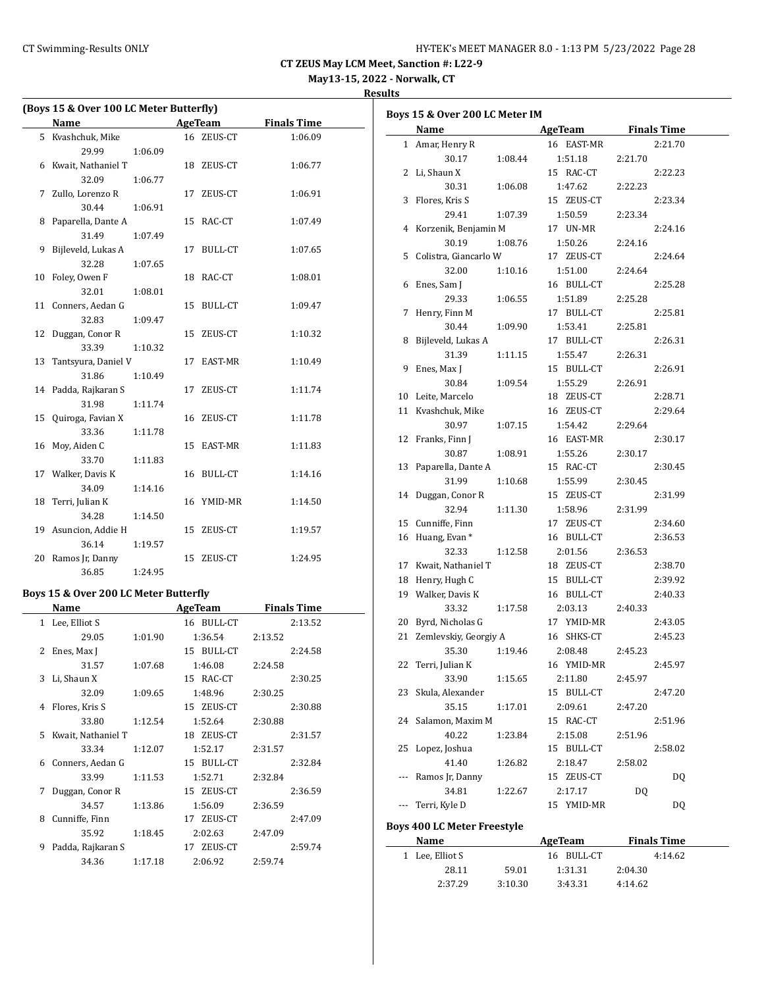## CT Swimming-Results ONLY **CT Swimming-Results ONLY** 1899 28

**CT ZEUS May LCM Meet, Sanction #: L22-9**

**May13-15, 2022 - Norwalk, CT**

**Results**

| (Boys 15 & Over 100 LC Meter Butterfly)                                                                   |                     |         |    |                |                    |  |
|-----------------------------------------------------------------------------------------------------------|---------------------|---------|----|----------------|--------------------|--|
|                                                                                                           | Name                |         |    | AgeTeam        | <b>Finals Time</b> |  |
| 5.                                                                                                        | Kvashchuk, Mike     |         |    | 16 ZEUS-CT     | 1:06.09            |  |
|                                                                                                           | 29.99               | 1:06.09 |    |                |                    |  |
| 6                                                                                                         | Kwait, Nathaniel T  |         |    | 18 ZEUS-CT     | 1:06.77            |  |
|                                                                                                           | 32.09               | 1:06.77 |    |                |                    |  |
| 7                                                                                                         | Zullo, Lorenzo R    |         | 17 | ZEUS-CT        | 1:06.91            |  |
|                                                                                                           | 30.44               | 1:06.91 |    |                |                    |  |
| 8                                                                                                         | Paparella, Dante A  |         |    | 15 RAC-CT      | 1:07.49            |  |
|                                                                                                           | 31.49               | 1:07.49 |    |                |                    |  |
| 9                                                                                                         | Bijleveld, Lukas A  |         | 17 | <b>BULL-CT</b> | 1:07.65            |  |
|                                                                                                           | 32.28               | 1:07.65 |    |                |                    |  |
| 10                                                                                                        | Foley, Owen F       |         |    | 18 RAC-CT      | 1:08.01            |  |
|                                                                                                           | 32.01               | 1:08.01 |    |                |                    |  |
| 11                                                                                                        | Conners, Aedan G    |         |    | 15 BULL-CT     | 1:09.47            |  |
|                                                                                                           | 32.83               | 1:09.47 |    |                |                    |  |
| 12                                                                                                        | Duggan, Conor R     |         |    | 15 ZEUS-CT     | 1:10.32            |  |
|                                                                                                           | 33.39               | 1:10.32 |    |                |                    |  |
| 13                                                                                                        | Tantsyura, Daniel V |         | 17 | EAST-MR        | 1:10.49            |  |
|                                                                                                           | 31.86               | 1:10.49 |    |                |                    |  |
| 14                                                                                                        | Padda, Rajkaran S   |         | 17 | ZEUS-CT        | 1:11.74            |  |
|                                                                                                           | 31.98               | 1:11.74 |    |                |                    |  |
| 15                                                                                                        | Quiroga, Favian X   |         |    | 16 ZEUS-CT     | 1:11.78            |  |
|                                                                                                           | 33.36               | 1:11.78 |    |                |                    |  |
| 16                                                                                                        | Moy, Aiden C        |         |    | 15 EAST-MR     | 1:11.83            |  |
|                                                                                                           | 33.70               | 1:11.83 |    |                |                    |  |
| 17                                                                                                        | Walker, Davis K     |         |    | 16 BULL-CT     | 1:14.16            |  |
|                                                                                                           | 34.09               | 1:14.16 |    |                |                    |  |
| 18                                                                                                        | Terri, Julian K     |         |    | 16 YMID-MR     | 1:14.50            |  |
|                                                                                                           | 34.28               | 1:14.50 |    |                |                    |  |
| 19                                                                                                        | Asuncion, Addie H   |         |    | 15 ZEUS-CT     | 1:19.57            |  |
|                                                                                                           | 36.14               | 1:19.57 |    |                |                    |  |
| 20                                                                                                        | Ramos Jr, Danny     |         | 15 | ZEUS-CT        | 1:24.95            |  |
|                                                                                                           | 36.85               | 1:24.95 |    |                |                    |  |
| $D_{\text{OUC}}$ 1 E $\theta$ , $\Omega_{\text{VOM}}$ 200 I C Motor $D_{\text{U}}$ to $\theta_{\text{U}}$ |                     |         |    |                |                    |  |

#### **Boys 15 & Over 200 LC Meter Butterfly**

|   | Name               |         | AgeTeam       | <b>Finals Time</b> |
|---|--------------------|---------|---------------|--------------------|
|   | 1 Lee, Elliot S    |         | 16 BULL-CT    | 2:13.52            |
|   | 29.05              | 1:01.90 | 1:36.54       | 2:13.52            |
| 2 | Enes, Max J        |         | 15 BULL-CT    | 2:24.58            |
|   | 31.57              | 1:07.68 | 1:46.08       | 2:24.58            |
| 3 | Li, Shaun X        |         | 15 RAC-CT     | 2:30.25            |
|   | 32.09              | 1:09.65 | 1:48.96       | 2:30.25            |
| 4 | Flores, Kris S     |         | 15 ZEUS-CT    | 2:30.88            |
|   | 33.80              | 1:12.54 | 1:52.64       | 2:30.88            |
| 5 | Kwait, Nathaniel T |         | 18 ZEUS-CT    | 2:31.57            |
|   | 33.34              | 1:12.07 | 1:52.17       | 2:31.57            |
| 6 | Conners, Aedan G   |         | BULL-CT<br>15 | 2:32.84            |
|   | 33.99              | 1:11.53 | 1:52.71       | 2:32.84            |
| 7 | Duggan, Conor R    |         | 15 ZEUS-CT    | 2:36.59            |
|   | 34.57              | 1:13.86 | 1:56.09       | 2:36.59            |
| 8 | Cunniffe, Finn     |         | ZEUS-CT<br>17 | 2:47.09            |
|   | 35.92              | 1:18.45 | 2:02.63       | 2:47.09            |
| 9 | Padda, Rajkaran S  |         | ZEUS-CT<br>17 | 2:59.74            |
|   | 34.36              | 1:17.18 | 2:06.92       | 2:59.74            |

|     | Name                               |         | AgeTeam Finals Time  |         |                    |
|-----|------------------------------------|---------|----------------------|---------|--------------------|
|     | 1 Amar, Henry R                    |         | 16 EAST-MR           |         | 2:21.70            |
|     | 30.17                              | 1:08.44 | 1:51.18              | 2:21.70 |                    |
|     | 2 Li, Shaun X                      |         | 15 RAC-CT            |         | 2:22.23            |
|     | 30.31                              | 1:06.08 | 1:47.62              | 2:22.23 |                    |
|     | 3 Flores, Kris S                   |         | 15 ZEUS-CT           |         | 2:23.34            |
|     | 29.41                              | 1:07.39 | 1:50.59              | 2:23.34 |                    |
|     | 4 Korzenik, Benjamin M             |         | 17 UN-MR             |         | 2:24.16            |
|     | 30.19                              | 1:08.76 | 1:50.26              | 2:24.16 |                    |
|     | 5 Colistra, Giancarlo W            |         | 17 ZEUS-CT           |         | 2:24.64            |
|     | 32.00                              | 1:10.16 | 1:51.00              | 2:24.64 |                    |
|     | 6 Enes, Sam J                      |         | 16 BULL-CT           |         | 2:25.28            |
|     | 29.33                              | 1:06.55 | 1:51.89              | 2:25.28 |                    |
| 7   | Henry, Finn M                      |         | 17 BULL-CT           |         | 2:25.81            |
|     | 30.44                              | 1:09.90 | 1:53.41              | 2:25.81 |                    |
| 8   | Bijleveld, Lukas A                 |         | 17 BULL-CT           |         | 2:26.31            |
|     | 31.39                              | 1:11.15 | 1:55.47              | 2:26.31 |                    |
|     | 9 Enes, Max J                      |         | 15 BULL-CT           |         | 2:26.91            |
|     | 30.84                              | 1:09.54 | 1:55.29              | 2:26.91 |                    |
|     | 10 Leite, Marcelo                  |         | 18 ZEUS-CT           |         | 2:28.71            |
|     | 11 Kvashchuk, Mike                 |         | 16 ZEUS-CT           |         | 2:29.64            |
|     | 30.97                              |         | 1:54.42              |         |                    |
|     |                                    | 1:07.15 | 16 EAST-MR           | 2:29.64 |                    |
|     | 12 Franks, Finn J                  |         |                      |         | 2:30.17            |
|     | 30.87                              | 1:08.91 | 1:55.26<br>15 RAC-CT | 2:30.17 |                    |
|     | 13 Paparella, Dante A              |         |                      |         | 2:30.45            |
|     | 31.99                              | 1:10.68 | 1:55.99              | 2:30.45 |                    |
|     | 14 Duggan, Conor R                 |         | 15 ZEUS-CT           |         | 2:31.99            |
|     | 32.94                              | 1:11.30 | 1:58.96              | 2:31.99 |                    |
|     | 15 Cunniffe, Finn                  |         | 17 ZEUS-CT           |         | 2:34.60            |
|     | 16 Huang, Evan *                   |         | 16 BULL-CT           |         | 2:36.53            |
|     | 32.33                              | 1:12.58 | 2:01.56              | 2:36.53 |                    |
| 17  | Kwait, Nathaniel T                 |         | 18 ZEUS-CT           |         | 2:38.70            |
|     | 18 Henry, Hugh C                   |         | 15 BULL-CT           |         | 2:39.92            |
|     | 19 Walker, Davis K                 |         | 16 BULL-CT           |         | 2:40.33            |
|     | 33.32                              | 1:17.58 | 2:03.13              | 2:40.33 |                    |
|     | 20 Byrd, Nicholas G                |         | 17 YMID-MR           |         | 2:43.05            |
|     | 21 Zemlevskiy, Georgiy A           |         | 16 SHKS-CT           |         | 2:45.23            |
|     | 35.30                              | 1:19.46 | 2:08.48              | 2:45.23 |                    |
|     | 22 Terri, Julian K                 |         | 16 YMID-MR           |         | 2:45.97            |
|     | 33.90                              | 1:15.65 | 2:11.80              | 2:45.97 |                    |
| 23  | Skula, Alexander                   |         | 15 BULL-CT           |         | 2:47.20            |
|     | 35.15                              | 1:17.01 | 2:09.61              | 2:47.20 |                    |
| 24  | Salamon, Maxim M                   |         | 15 RAC-CT            |         | 2:51.96            |
|     | 40.22                              | 1:23.84 | 2:15.08              | 2:51.96 |                    |
| 25  | Lopez, Joshua                      |         | 15 BULL-CT           |         | 2:58.02            |
|     | 41.40                              | 1:26.82 | 2:18.47              | 2:58.02 |                    |
| --- | Ramos Jr, Danny                    |         | 15 ZEUS-CT           |         | DQ                 |
|     | 34.81                              | 1:22.67 | 2:17.17              | DQ      |                    |
| --- | Terri, Kyle D                      |         | 15 YMID-MR           |         | <b>DQ</b>          |
|     | <b>Boys 400 LC Meter Freestyle</b> |         |                      |         |                    |
|     | <b>Name</b>                        |         | <b>AgeTeam</b>       |         | <b>Finals Time</b> |
|     | 1 Lee, Elliot S                    |         | 16 BULL-CT           |         | 4:14.62            |
|     |                                    |         |                      |         |                    |
|     | 28.11                              | 59.01   | 1:31.31              | 2:04.30 |                    |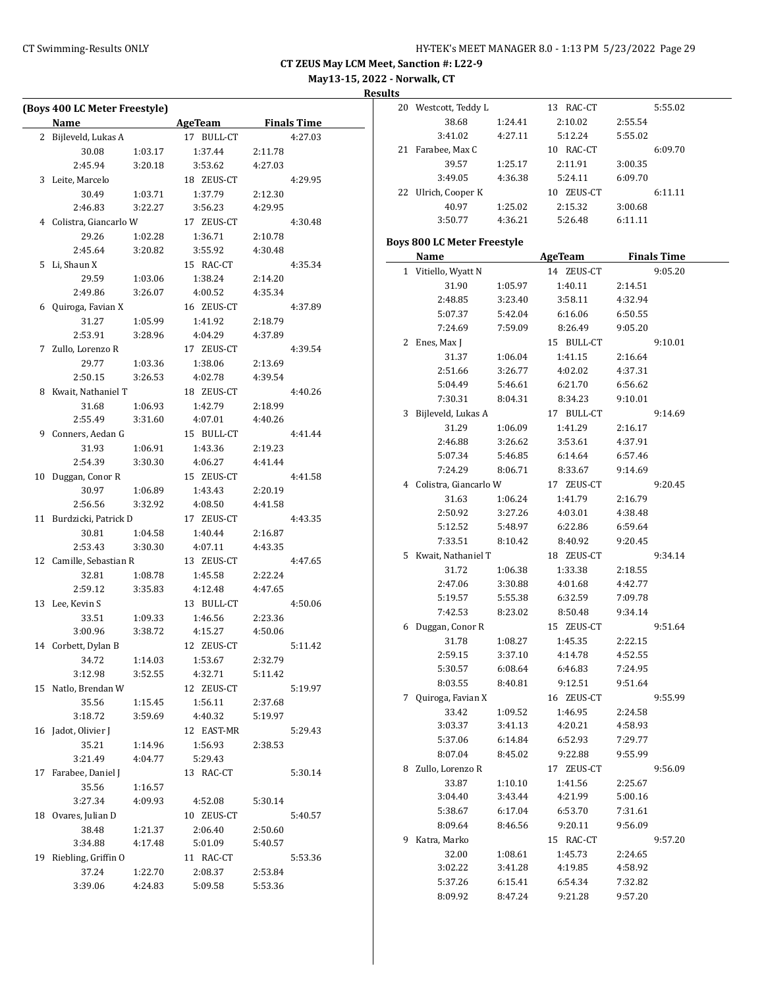**May13-15, 2022 - Norwalk, CT**

**Results**

| (Boys 400 LC Meter Freestyle) |                         |         |  |            |         |                    |
|-------------------------------|-------------------------|---------|--|------------|---------|--------------------|
|                               | Name                    |         |  | AgeTeam    |         | <b>Finals Time</b> |
| $\overline{2}$                | Bijleveld, Lukas A      |         |  | 17 BULL-CT |         | 4:27.03            |
|                               | 30.08                   | 1:03.17 |  | 1:37.44    | 2:11.78 |                    |
|                               | 2:45.94                 | 3:20.18 |  | 3:53.62    | 4:27.03 |                    |
| 3                             | Leite, Marcelo          |         |  | 18 ZEUS-CT |         | 4:29.95            |
|                               | 30.49                   | 1:03.71 |  | 1:37.79    | 2:12.30 |                    |
|                               | 2:46.83                 | 3:22.27 |  | 3:56.23    | 4:29.95 |                    |
|                               | 4 Colistra, Giancarlo W |         |  | 17 ZEUS-CT |         | 4:30.48            |
|                               | 29.26                   | 1:02.28 |  | 1:36.71    | 2:10.78 |                    |
|                               | 2:45.64                 | 3:20.82 |  | 3:55.92    | 4:30.48 |                    |
| 5                             | Li, Shaun X             |         |  | 15 RAC-CT  |         | 4:35.34            |
|                               | 29.59                   | 1:03.06 |  | 1:38.24    | 2:14.20 |                    |
|                               | 2:49.86                 | 3:26.07 |  | 4:00.52    | 4:35.34 |                    |
|                               | 6 Quiroga, Favian X     |         |  | 16 ZEUS-CT |         | 4:37.89            |
|                               | 31.27                   | 1:05.99 |  | 1:41.92    | 2:18.79 |                    |
|                               | 2:53.91                 | 3:28.96 |  | 4:04.29    | 4:37.89 |                    |
|                               | 7 Zullo, Lorenzo R      |         |  | 17 ZEUS-CT |         | 4:39.54            |
|                               | 29.77                   | 1:03.36 |  | 1:38.06    | 2:13.69 |                    |
|                               | 2:50.15                 | 3:26.53 |  | 4:02.78    | 4:39.54 |                    |
| 8                             | Kwait, Nathaniel T      |         |  | 18 ZEUS-CT |         | 4:40.26            |
|                               | 31.68                   | 1:06.93 |  | 1:42.79    | 2:18.99 |                    |
|                               | 2:55.49                 | 3:31.60 |  | 4:07.01    | 4:40.26 |                    |
| 9                             | Conners, Aedan G        |         |  | 15 BULL-CT |         | 4:41.44            |
|                               | 31.93                   | 1:06.91 |  | 1:43.36    | 2:19.23 |                    |
|                               | 2:54.39                 | 3:30.30 |  | 4:06.27    | 4:41.44 |                    |
| 10                            | Duggan, Conor R         |         |  | 15 ZEUS-CT |         | 4:41.58            |
|                               | 30.97                   | 1:06.89 |  | 1:43.43    | 2:20.19 |                    |
|                               | 2:56.56                 | 3:32.92 |  | 4:08.50    | 4:41.58 |                    |
| 11                            | Burdzicki, Patrick D    |         |  | 17 ZEUS-CT |         | 4:43.35            |
|                               | 30.81                   | 1:04.58 |  | 1:40.44    | 2:16.87 |                    |
|                               | 2:53.43                 | 3:30.30 |  | 4:07.11    | 4:43.35 |                    |
|                               | 12 Camille, Sebastian R |         |  | 13 ZEUS-CT |         | 4:47.65            |
|                               | 32.81                   | 1:08.78 |  | 1:45.58    | 2:22.24 |                    |
|                               | 2:59.12                 | 3:35.83 |  | 4:12.48    | 4:47.65 |                    |
| 13                            | Lee, Kevin S            |         |  | 13 BULL-CT |         | 4:50.06            |
|                               | 33.51                   | 1:09.33 |  | 1:46.56    | 2:23.36 |                    |
|                               | 3:00.96                 | 3:38.72 |  | 4:15.27    | 4:50.06 |                    |
|                               | 14 Corbett, Dylan B     |         |  | 12 ZEUS-CT |         | 5:11.42            |
|                               | 34.72                   | 1:14.03 |  | 1:53.67    | 2:32.79 |                    |
|                               | 3:12.98                 | 3:52.55 |  | 4:32.71    | 5:11.42 |                    |
| 15                            | Natlo, Brendan W        |         |  | 12 ZEUS-CT |         | 5:19.97            |
|                               | 35.56                   | 1:15.45 |  | 1:56.11    | 2:37.68 |                    |
|                               | 3:18.72                 | 3:59.69 |  | 4:40.32    | 5:19.97 |                    |
| 16                            | Jadot, Olivier J        |         |  | 12 EAST-MR |         | 5:29.43            |
|                               | 35.21                   | 1:14.96 |  | 1:56.93    | 2:38.53 |                    |
|                               | 3:21.49                 | 4:04.77 |  | 5:29.43    |         |                    |
| 17                            | Farabee, Daniel J       |         |  | 13 RAC-CT  |         | 5:30.14            |
|                               | 35.56                   | 1:16.57 |  |            |         |                    |
|                               | 3:27.34                 | 4:09.93 |  | 4:52.08    | 5:30.14 |                    |
| 18                            | Ovares, Julian D        |         |  | 10 ZEUS-CT |         | 5:40.57            |
|                               | 38.48                   | 1:21.37 |  | 2:06.40    | 2:50.60 |                    |
|                               | 3:34.88                 | 4:17.48 |  | 5:01.09    | 5:40.57 |                    |
| 19                            | Riebling, Griffin O     |         |  | 11 RAC-CT  |         | 5:53.36            |
|                               | 37.24                   | 1:22.70 |  | 2:08.37    | 2:53.84 |                    |
|                               | 3:39.06                 | 4:24.83 |  | 5:09.58    | 5:53.36 |                    |
|                               |                         |         |  |            |         |                    |

|    | 20 Westcott, Teddy L               |                    | 13 RAC-CT          |                    | 5:55.02            |
|----|------------------------------------|--------------------|--------------------|--------------------|--------------------|
|    | 38.68                              | 1:24.41            | 2:10.02            | 2:55.54            |                    |
|    | 3:41.02                            | 4:27.11            | 5:12.24            | 5:55.02            |                    |
|    | 21 Farabee, Max C                  |                    | 10 RAC-CT          |                    | 6:09.70            |
|    | 39.57                              | 1:25.17            | 2:11.91            | 3:00.35            |                    |
|    | 3:49.05                            | 4:36.38            | 5:24.11            | 6:09.70            |                    |
| 22 | Ulrich, Cooper K                   |                    | 10 ZEUS-CT         |                    | 6:11.11            |
|    | 40.97                              | 1:25.02            | 2:15.32            | 3:00.68            |                    |
|    | 3:50.77                            | 4:36.21            | 5:26.48            | 6:11.11            |                    |
|    | <b>Boys 800 LC Meter Freestyle</b> |                    |                    |                    |                    |
|    | Name                               |                    | <b>AgeTeam</b>     |                    | <b>Finals Time</b> |
|    | 1 Vitiello, Wyatt N                |                    | 14 ZEUS-CT         |                    | 9:05.20            |
|    | 31.90                              | 1:05.97            | 1:40.11            | 2:14.51            |                    |
|    | 2:48.85                            | 3:23.40            | 3:58.11            | 4:32.94            |                    |
|    | 5:07.37                            | 5:42.04            | 6:16.06            | 6:50.55            |                    |
|    | 7:24.69                            | 7:59.09            | 8:26.49            | 9:05.20            |                    |
| 2  | Enes, Max J                        |                    | 15 BULL-CT         |                    | 9:10.01            |
|    | 31.37                              | 1:06.04            | 1:41.15            | 2:16.64            |                    |
|    | 2:51.66                            | 3:26.77            | 4:02.02            | 4:37.31            |                    |
|    | 5:04.49                            | 5:46.61            | 6:21.70            | 6:56.62            |                    |
|    | 7:30.31                            | 8:04.31            | 8:34.23            | 9:10.01            |                    |
| 3  | Bijleveld, Lukas A                 |                    | 17 BULL-CT         |                    | 9:14.69            |
|    | 31.29                              | 1:06.09            | 1:41.29            | 2:16.17            |                    |
|    | 2:46.88                            | 3:26.62            | 3:53.61            | 4:37.91            |                    |
|    | 5:07.34                            | 5:46.85            | 6:14.64            | 6:57.46            |                    |
|    | 7:24.29                            | 8:06.71            | 8:33.67            | 9:14.69            |                    |
|    | 4 Colistra, Giancarlo W            |                    | 17 ZEUS-CT         |                    | 9:20.45            |
|    | 31.63                              | 1:06.24            | 1:41.79            | 2:16.79            |                    |
|    | 2:50.92                            | 3:27.26            | 4:03.01            | 4:38.48            |                    |
|    | 5:12.52                            | 5:48.97            | 6:22.86            | 6:59.64            |                    |
|    | 7:33.51                            | 8:10.42            | 8:40.92            | 9:20.45            |                    |
|    | 5 Kwait, Nathaniel T               |                    | 18 ZEUS-CT         |                    | 9:34.14            |
|    | 31.72                              | 1:06.38            | 1:33.38            | 2:18.55            |                    |
|    | 2:47.06                            | 3:30.88            | 4:01.68            | 4:42.77            |                    |
|    | 5:19.57                            | 5:55.38            | 6:32.59            | 7:09.78            |                    |
|    | 7:42.53                            | 8:23.02            | 8:50.48            | 9:34.14            |                    |
| 6  | Duggan, Conor R                    |                    | 15 ZEUS-CT         |                    | 9:51.64            |
|    | 31.78                              | 1:08.27            | 1:45.35            | 2:22.15            |                    |
|    | 2:59.15                            | 3:37.10            | 4:14.78            | 4:52.55            |                    |
|    | 5:30.57                            | 6:08.64            | 6:46.83            | 7:24.95            |                    |
|    | 8:03.55                            | 8:40.81            | 9:12.51            | 9:51.64            |                    |
| 7  | Quiroga, Favian X                  |                    | 16 ZEUS-CT         |                    | 9:55.99            |
|    | 33.42                              | 1:09.52            | 1:46.95            | 2:24.58            |                    |
|    | 3:03.37                            | 3:41.13            | 4:20.21            | 4:58.93            |                    |
|    | 5:37.06                            | 6:14.84<br>8:45.02 | 6:52.93<br>9:22.88 | 7:29.77<br>9:55.99 |                    |
| 8  | 8:07.04<br>Zullo, Lorenzo R        |                    | ZEUS-CT            |                    |                    |
|    | 33.87                              |                    | 17<br>1:41.56      |                    | 9:56.09            |
|    | 3:04.40                            | 1:10.10<br>3:43.44 | 4:21.99            | 2:25.67<br>5:00.16 |                    |
|    | 5:38.67                            | 6:17.04            | 6:53.70            | 7:31.61            |                    |
|    | 8:09.64                            | 8:46.56            | 9:20.11            | 9:56.09            |                    |
| 9  | Katra, Marko                       |                    | 15 RAC-CT          |                    | 9:57.20            |
|    | 32.00                              | 1:08.61            | 1:45.73            | 2:24.65            |                    |
|    | 3:02.22                            | 3:41.28            | 4:19.85            | 4:58.92            |                    |
|    | 5:37.26                            | 6:15.41            | 6:54.34            | 7:32.82            |                    |
|    | 8:09.92                            | 8:47.24            | 9:21.28            | 9:57.20            |                    |
|    |                                    |                    |                    |                    |                    |